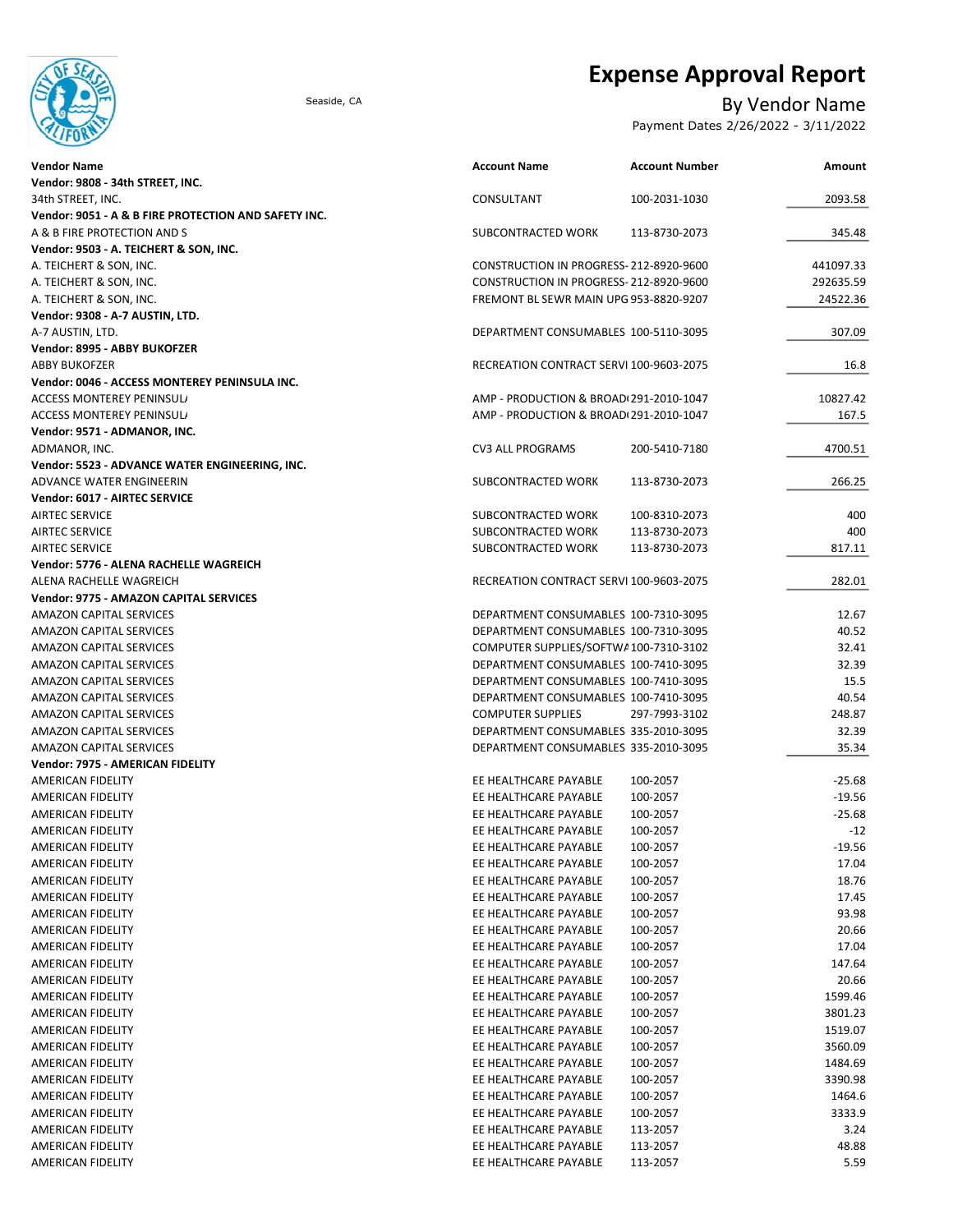

# Expense Approval Report

## Seaside, CA By Vendor Name

Payment Dates 2/26/2022 - 3/11/2022

| Vendor Name                                          | <b>Account Name</b>                     | <b>Account Number</b> | Amount    |
|------------------------------------------------------|-----------------------------------------|-----------------------|-----------|
| Vendor: 9808 - 34th STREET, INC.                     |                                         |                       |           |
| 34th STREET. INC.                                    | CONSULTANT                              | 100-2031-1030         | 2093.58   |
| Vendor: 9051 - A & B FIRE PROTECTION AND SAFETY INC. |                                         |                       |           |
| A & B FIRE PROTECTION AND S                          | SUBCONTRACTED WORK                      | 113-8730-2073         | 345.48    |
| Vendor: 9503 - A. TEICHERT & SON, INC.               |                                         |                       |           |
| A. TEICHERT & SON, INC.                              | CONSTRUCTION IN PROGRESS-212-8920-9600  |                       | 441097.33 |
| A. TEICHERT & SON, INC.                              | CONSTRUCTION IN PROGRESS-212-8920-9600  |                       | 292635.59 |
| A. TEICHERT & SON, INC.                              | FREMONT BL SEWR MAIN UPG 953-8820-9207  |                       | 24522.36  |
| Vendor: 9308 - A-7 AUSTIN, LTD.                      |                                         |                       |           |
| A-7 AUSTIN, LTD.                                     | DEPARTMENT CONSUMABLES 100-5110-3095    |                       | 307.09    |
| Vendor: 8995 - ABBY BUKOFZER                         |                                         |                       |           |
| ABBY BUKOFZER                                        | RECREATION CONTRACT SERVI 100-9603-2075 |                       | 16.8      |
| Vendor: 0046 - ACCESS MONTEREY PENINSULA INC.        |                                         |                       |           |
| ACCESS MONTEREY PENINSUL/                            | AMP - PRODUCTION & BROAD(291-2010-1047  |                       | 10827.42  |
| ACCESS MONTEREY PENINSUL/                            | AMP - PRODUCTION & BROAD(291-2010-1047  |                       | 167.5     |
| Vendor: 9571 - ADMANOR, INC.                         |                                         |                       |           |
| ADMANOR, INC.                                        | <b>CV3 ALL PROGRAMS</b>                 | 200-5410-7180         | 4700.51   |
| Vendor: 5523 - ADVANCE WATER ENGINEERING, INC.       |                                         |                       |           |
| ADVANCE WATER ENGINEERIN                             | SUBCONTRACTED WORK                      | 113-8730-2073         | 266.25    |
| <b>Vendor: 6017 - AIRTEC SERVICE</b>                 |                                         |                       |           |
| AIRTEC SERVICE                                       | SUBCONTRACTED WORK                      | 100-8310-2073         | 400       |
| AIRTEC SERVICE                                       | SUBCONTRACTED WORK                      | 113-8730-2073         | 400       |
| AIRTEC SERVICE                                       | SUBCONTRACTED WORK                      | 113-8730-2073         | 817.11    |
| Vendor: 5776 - ALENA RACHELLE WAGREICH               |                                         |                       |           |
| ALENA RACHELLE WAGREICH                              | RECREATION CONTRACT SERVI 100-9603-2075 |                       | 282.01    |
| Vendor: 9775 - AMAZON CAPITAL SERVICES               |                                         |                       |           |
| AMAZON CAPITAL SERVICES                              | DEPARTMENT CONSUMABLES 100-7310-3095    |                       | 12.67     |
| AMAZON CAPITAL SERVICES                              | DEPARTMENT CONSUMABLES 100-7310-3095    |                       | 40.52     |
| AMAZON CAPITAL SERVICES                              | COMPUTER SUPPLIES/SOFTWA100-7310-3102   |                       | 32.41     |
| AMAZON CAPITAL SERVICES                              | DEPARTMENT CONSUMABLES 100-7410-3095    |                       | 32.39     |
|                                                      |                                         |                       |           |
| AMAZON CAPITAL SERVICES                              | DEPARTMENT CONSUMABLES 100-7410-3095    |                       | 15.5      |
| AMAZON CAPITAL SERVICES                              | DEPARTMENT CONSUMABLES 100-7410-3095    |                       | 40.54     |
| AMAZON CAPITAL SERVICES                              | <b>COMPUTER SUPPLIES</b>                | 297-7993-3102         | 248.87    |
| AMAZON CAPITAL SERVICES                              | DEPARTMENT CONSUMABLES 335-2010-3095    |                       | 32.39     |
| AMAZON CAPITAL SERVICES                              | DEPARTMENT CONSUMABLES 335-2010-3095    |                       | 35.34     |
| Vendor: 7975 - AMERICAN FIDELITY                     |                                         |                       |           |
| AMERICAN FIDELITY                                    | EE HEALTHCARE PAYABLE                   | 100-2057              | $-25.68$  |
| AMERICAN FIDELITY                                    | EE HEALTHCARE PAYABLE                   | 100-2057              | $-19.56$  |
| AMERICAN FIDELITY                                    | EE HEALTHCARE PAYABLE                   | 100-2057              | $-25.68$  |
| AMERICAN FIDELITY                                    | EE HEALTHCARE PAYABLE                   | 100-2057              | $-12$     |
| AMERICAN FIDELITY                                    | EE HEALTHCARE PAYABLE                   | 100-2057              | $-19.56$  |
| AMERICAN FIDELITY                                    | EE HEALTHCARE PAYABLE                   | 100-2057              | 17.04     |
| AMERICAN FIDELITY                                    | EE HEALTHCARE PAYABLE                   | 100-2057              | 18.76     |
| AMERICAN FIDELITY                                    | EE HEALTHCARE PAYABLE                   | 100-2057              | 17.45     |
| AMERICAN FIDELITY                                    | EE HEALTHCARE PAYABLE                   | 100-2057              | 93.98     |
| AMERICAN FIDELITY                                    | EE HEALTHCARE PAYABLE                   | 100-2057              | 20.66     |
| AMERICAN FIDELITY                                    | EE HEALTHCARE PAYABLE                   | 100-2057              | 17.04     |
| AMERICAN FIDELITY                                    | EE HEALTHCARE PAYABLE                   | 100-2057              | 147.64    |
| AMERICAN FIDELITY                                    | EE HEALTHCARE PAYABLE                   | 100-2057              | 20.66     |
| AMERICAN FIDELITY                                    | EE HEALTHCARE PAYABLE                   | 100-2057              | 1599.46   |
| AMERICAN FIDELITY                                    | EE HEALTHCARE PAYABLE                   | 100-2057              | 3801.23   |
| AMERICAN FIDELITY                                    | EE HEALTHCARE PAYABLE                   | 100-2057              | 1519.07   |
| AMERICAN FIDELITY                                    | EE HEALTHCARE PAYABLE                   | 100-2057              | 3560.09   |
| AMERICAN FIDELITY                                    | EE HEALTHCARE PAYABLE                   | 100-2057              | 1484.69   |
| AMERICAN FIDELITY                                    | EE HEALTHCARE PAYABLE                   | 100-2057              | 3390.98   |
| AMERICAN FIDELITY                                    | EE HEALTHCARE PAYABLE                   | 100-2057              | 1464.6    |
| AMERICAN FIDELITY                                    | EE HEALTHCARE PAYABLE                   | 100-2057              | 3333.9    |
| AMERICAN FIDELITY                                    | EE HEALTHCARE PAYABLE                   | 113-2057              | 3.24      |
| AMERICAN FIDELITY                                    | EE HEALTHCARE PAYABLE                   | 113-2057              | 48.88     |
| AMERICAN FIDELITY                                    | EE HEALTHCARE PAYABLE                   | 113-2057              | 5.59      |
|                                                      |                                         |                       |           |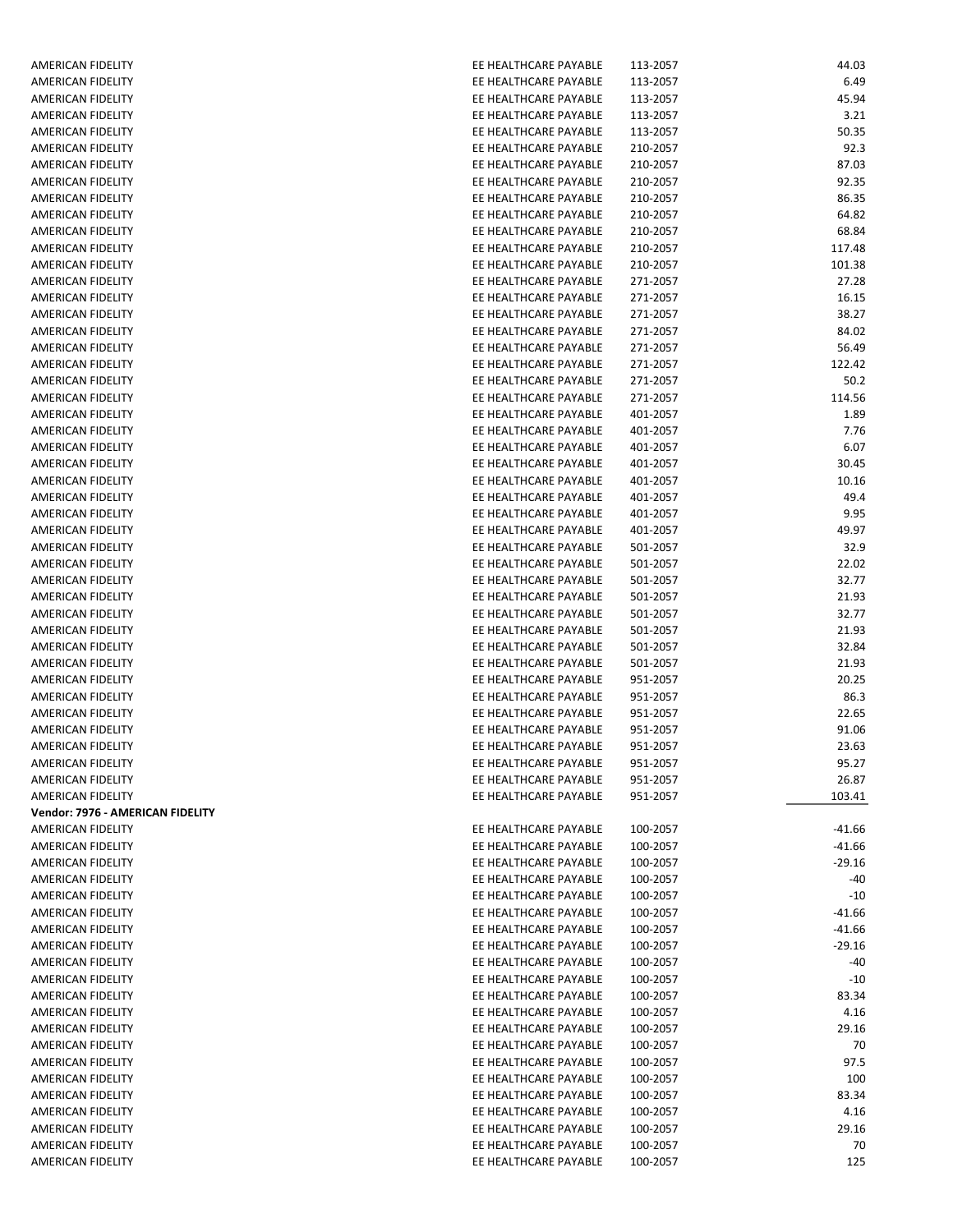| AMERICAN FIDELITY                | EE HEALTHCARE PAYABLE | 113-2057 | 44.03    |
|----------------------------------|-----------------------|----------|----------|
| AMERICAN FIDELITY                | EE HEALTHCARE PAYABLE | 113-2057 | 6.49     |
| AMERICAN FIDELITY                | EE HEALTHCARE PAYABLE | 113-2057 | 45.94    |
| AMERICAN FIDELITY                | EE HEALTHCARE PAYABLE | 113-2057 | 3.21     |
| AMERICAN FIDELITY                | EE HEALTHCARE PAYABLE | 113-2057 | 50.35    |
| AMERICAN FIDELITY                | EE HEALTHCARE PAYABLE | 210-2057 | 92.3     |
| <b>AMERICAN FIDELITY</b>         | EE HEALTHCARE PAYABLE | 210-2057 | 87.03    |
| AMERICAN FIDELITY                | EE HEALTHCARE PAYABLE | 210-2057 | 92.35    |
| AMERICAN FIDELITY                | EE HEALTHCARE PAYABLE | 210-2057 | 86.35    |
| <b>AMERICAN FIDELITY</b>         | EE HEALTHCARE PAYABLE | 210-2057 | 64.82    |
|                                  |                       |          |          |
| AMERICAN FIDELITY                | EE HEALTHCARE PAYABLE | 210-2057 | 68.84    |
| AMERICAN FIDELITY                | EE HEALTHCARE PAYABLE | 210-2057 | 117.48   |
| AMERICAN FIDELITY                | EE HEALTHCARE PAYABLE | 210-2057 | 101.38   |
| AMERICAN FIDELITY                | EE HEALTHCARE PAYABLE | 271-2057 | 27.28    |
| AMERICAN FIDELITY                | EE HEALTHCARE PAYABLE | 271-2057 | 16.15    |
| AMERICAN FIDELITY                | EE HEALTHCARE PAYABLE | 271-2057 | 38.27    |
| AMERICAN FIDELITY                | EE HEALTHCARE PAYABLE | 271-2057 | 84.02    |
| AMERICAN FIDELITY                | EE HEALTHCARE PAYABLE | 271-2057 | 56.49    |
| AMERICAN FIDELITY                | EE HEALTHCARE PAYABLE | 271-2057 | 122.42   |
| AMERICAN FIDELITY                | EE HEALTHCARE PAYABLE | 271-2057 | 50.2     |
| AMERICAN FIDELITY                | EE HEALTHCARE PAYABLE | 271-2057 | 114.56   |
| AMERICAN FIDELITY                | EE HEALTHCARE PAYABLE | 401-2057 | 1.89     |
| AMERICAN FIDELITY                | EE HEALTHCARE PAYABLE | 401-2057 | 7.76     |
| AMERICAN FIDELITY                | EE HEALTHCARE PAYABLE | 401-2057 | 6.07     |
| AMERICAN FIDELITY                | EE HEALTHCARE PAYABLE | 401-2057 | 30.45    |
| AMERICAN FIDELITY                | EE HEALTHCARE PAYABLE | 401-2057 | 10.16    |
| AMERICAN FIDELITY                | EE HEALTHCARE PAYABLE | 401-2057 | 49.4     |
|                                  |                       |          |          |
| AMERICAN FIDELITY                | EE HEALTHCARE PAYABLE | 401-2057 | 9.95     |
| AMERICAN FIDELITY                | EE HEALTHCARE PAYABLE | 401-2057 | 49.97    |
| AMERICAN FIDELITY                | EE HEALTHCARE PAYABLE | 501-2057 | 32.9     |
| AMERICAN FIDELITY                | EE HEALTHCARE PAYABLE | 501-2057 | 22.02    |
| AMERICAN FIDELITY                | EE HEALTHCARE PAYABLE | 501-2057 | 32.77    |
| AMERICAN FIDELITY                | EE HEALTHCARE PAYABLE | 501-2057 | 21.93    |
| AMERICAN FIDELITY                | EE HEALTHCARE PAYABLE | 501-2057 | 32.77    |
| AMERICAN FIDELITY                | EE HEALTHCARE PAYABLE | 501-2057 | 21.93    |
| AMERICAN FIDELITY                | EE HEALTHCARE PAYABLE | 501-2057 | 32.84    |
| AMERICAN FIDELITY                | EE HEALTHCARE PAYABLE | 501-2057 | 21.93    |
| AMERICAN FIDELITY                | EE HEALTHCARE PAYABLE | 951-2057 | 20.25    |
| AMERICAN FIDELITY                | EE HEALTHCARE PAYABLE | 951-2057 | 86.3     |
| AMERICAN FIDELITY                | EE HEALTHCARE PAYABLE | 951-2057 | 22.65    |
| AMERICAN FIDELITY                | EE HEALTHCARE PAYABLE | 951-2057 | 91.06    |
| AMERICAN FIDELITY                | EE HEALTHCARE PAYABLE | 951-2057 | 23.63    |
| AMERICAN FIDELITY                | EE HEALTHCARE PAYABLE | 951-2057 | 95.27    |
| AMERICAN FIDELITY                | EE HEALTHCARE PAYABLE | 951-2057 | 26.87    |
| AMERICAN FIDELITY                | EE HEALTHCARE PAYABLE | 951-2057 | 103.41   |
|                                  |                       |          |          |
| Vendor: 7976 - AMERICAN FIDELITY |                       |          |          |
| AMERICAN FIDELITY                | EE HEALTHCARE PAYABLE | 100-2057 | $-41.66$ |
| AMERICAN FIDELITY                | EE HEALTHCARE PAYABLE | 100-2057 | $-41.66$ |
| AMERICAN FIDELITY                | EE HEALTHCARE PAYABLE | 100-2057 | $-29.16$ |
| AMERICAN FIDELITY                | EE HEALTHCARE PAYABLE | 100-2057 | $-40$    |
| AMERICAN FIDELITY                | EE HEALTHCARE PAYABLE | 100-2057 | $-10$    |
| <b>AMERICAN FIDELITY</b>         | EE HEALTHCARE PAYABLE | 100-2057 | $-41.66$ |
| AMERICAN FIDELITY                | EE HEALTHCARE PAYABLE | 100-2057 | $-41.66$ |
| AMERICAN FIDELITY                | EE HEALTHCARE PAYABLE | 100-2057 | $-29.16$ |
| AMERICAN FIDELITY                | EE HEALTHCARE PAYABLE | 100-2057 | $-40$    |
| AMERICAN FIDELITY                | EE HEALTHCARE PAYABLE | 100-2057 | $-10$    |
| AMERICAN FIDELITY                | EE HEALTHCARE PAYABLE | 100-2057 | 83.34    |
| AMERICAN FIDELITY                | EE HEALTHCARE PAYABLE | 100-2057 | 4.16     |
| AMERICAN FIDELITY                | EE HEALTHCARE PAYABLE | 100-2057 | 29.16    |
| AMERICAN FIDELITY                | EE HEALTHCARE PAYABLE | 100-2057 | 70       |
| AMERICAN FIDELITY                | EE HEALTHCARE PAYABLE | 100-2057 | 97.5     |
| AMERICAN FIDELITY                | EE HEALTHCARE PAYABLE | 100-2057 | 100      |
| AMERICAN FIDELITY                | EE HEALTHCARE PAYABLE | 100-2057 | 83.34    |
| AMERICAN FIDELITY                | EE HEALTHCARE PAYABLE | 100-2057 | 4.16     |
|                                  |                       |          |          |
| AMERICAN FIDELITY                | EE HEALTHCARE PAYABLE | 100-2057 | 29.16    |
| AMERICAN FIDELITY                | EE HEALTHCARE PAYABLE | 100-2057 | 70       |
| AMERICAN FIDELITY                | EE HEALTHCARE PAYABLE | 100-2057 | 125      |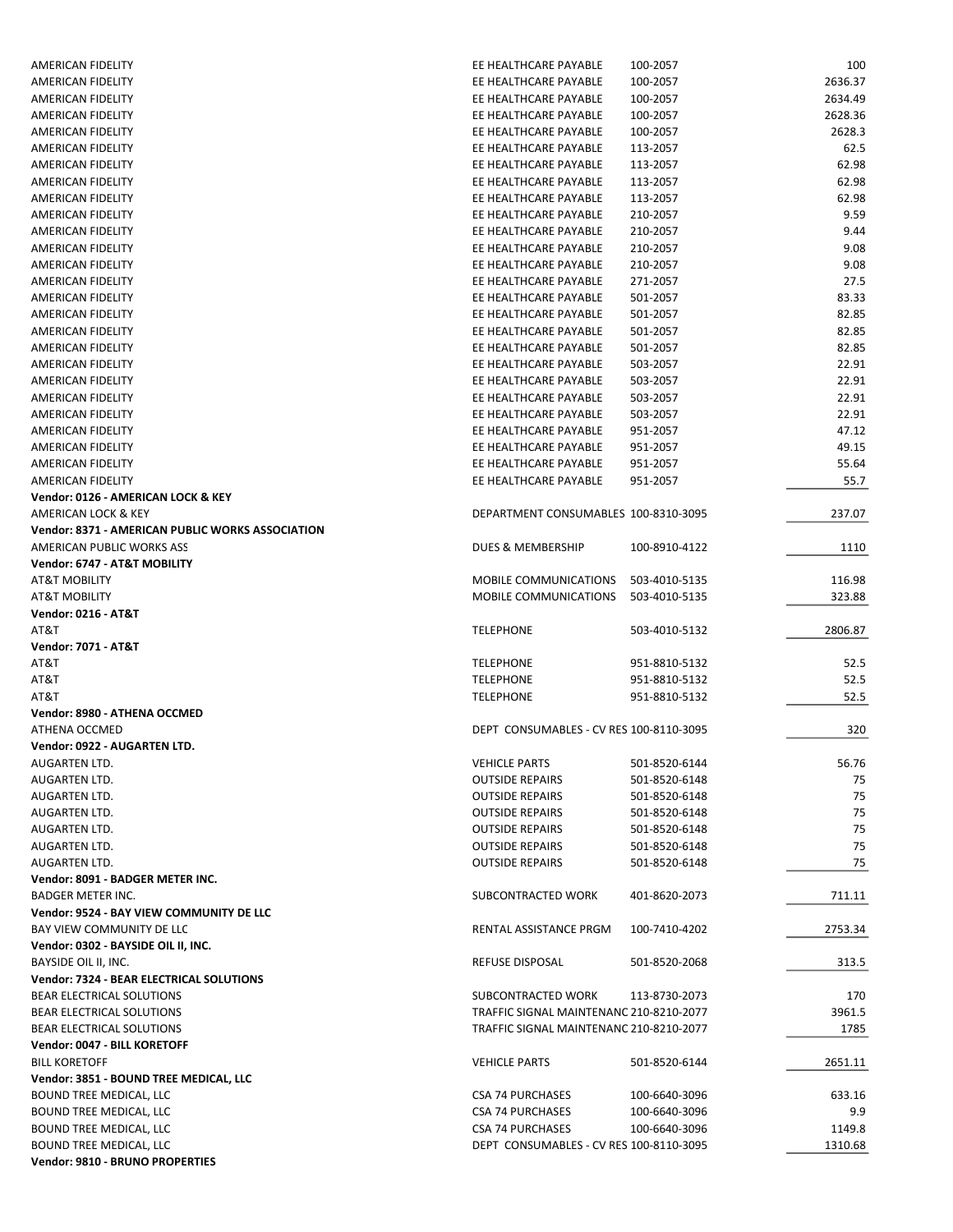| <b>AMERICAN FIDELITY</b>                                          | EE HEALTHCARE PAYABLE                   | 100-2057      | 100     |
|-------------------------------------------------------------------|-----------------------------------------|---------------|---------|
| AMERICAN FIDELITY                                                 | EE HEALTHCARE PAYABLE                   | 100-2057      | 2636.37 |
| AMERICAN FIDELITY                                                 | EE HEALTHCARE PAYABLE                   | 100-2057      | 2634.49 |
| AMERICAN FIDELITY                                                 | EE HEALTHCARE PAYABLE                   | 100-2057      | 2628.36 |
| AMERICAN FIDELITY                                                 | EE HEALTHCARE PAYABLE                   | 100-2057      | 2628.3  |
| AMERICAN FIDELITY                                                 | EE HEALTHCARE PAYABLE                   | 113-2057      | 62.5    |
| AMERICAN FIDELITY                                                 | EE HEALTHCARE PAYABLE                   | 113-2057      | 62.98   |
| AMERICAN FIDELITY                                                 | EE HEALTHCARE PAYABLE                   | 113-2057      | 62.98   |
| <b>AMERICAN FIDELITY</b>                                          | EE HEALTHCARE PAYABLE                   | 113-2057      | 62.98   |
| AMERICAN FIDELITY                                                 | EE HEALTHCARE PAYABLE                   | 210-2057      | 9.59    |
| AMERICAN FIDELITY                                                 | EE HEALTHCARE PAYABLE                   | 210-2057      | 9.44    |
| AMERICAN FIDELITY                                                 | EE HEALTHCARE PAYABLE                   | 210-2057      | 9.08    |
| AMERICAN FIDELITY                                                 | EE HEALTHCARE PAYABLE                   | 210-2057      | 9.08    |
| AMERICAN FIDELITY                                                 | EE HEALTHCARE PAYABLE                   | 271-2057      | 27.5    |
| AMERICAN FIDELITY                                                 | EE HEALTHCARE PAYABLE                   | 501-2057      | 83.33   |
| AMERICAN FIDELITY                                                 | EE HEALTHCARE PAYABLE                   | 501-2057      | 82.85   |
| AMERICAN FIDELITY                                                 | EE HEALTHCARE PAYABLE                   | 501-2057      | 82.85   |
| AMERICAN FIDELITY                                                 | EE HEALTHCARE PAYABLE                   | 501-2057      | 82.85   |
| AMERICAN FIDELITY                                                 | EE HEALTHCARE PAYABLE                   | 503-2057      | 22.91   |
| AMERICAN FIDELITY                                                 | EE HEALTHCARE PAYABLE                   | 503-2057      | 22.91   |
| <b>AMERICAN FIDELITY</b>                                          | EE HEALTHCARE PAYABLE                   | 503-2057      | 22.91   |
| AMERICAN FIDELITY                                                 | EE HEALTHCARE PAYABLE                   | 503-2057      | 22.91   |
| AMERICAN FIDELITY                                                 | EE HEALTHCARE PAYABLE                   | 951-2057      | 47.12   |
| AMERICAN FIDELITY                                                 | EE HEALTHCARE PAYABLE                   | 951-2057      | 49.15   |
| AMERICAN FIDELITY                                                 | EE HEALTHCARE PAYABLE                   | 951-2057      | 55.64   |
| AMERICAN FIDELITY                                                 | EE HEALTHCARE PAYABLE                   | 951-2057      | 55.7    |
| Vendor: 0126 - AMERICAN LOCK & KEY                                |                                         |               |         |
| AMERICAN LOCK & KEY                                               | DEPARTMENT CONSUMABLES 100-8310-3095    |               | 237.07  |
| Vendor: 8371 - AMERICAN PUBLIC WORKS ASSOCIATION                  |                                         |               |         |
| AMERICAN PUBLIC WORKS ASS                                         | DUES & MEMBERSHIP                       | 100-8910-4122 | 1110    |
| Vendor: 6747 - AT&T MOBILITY                                      |                                         |               |         |
| <b>AT&amp;T MOBILITY</b>                                          | MOBILE COMMUNICATIONS                   | 503-4010-5135 | 116.98  |
| <b>AT&amp;T MOBILITY</b>                                          | MOBILE COMMUNICATIONS                   | 503-4010-5135 | 323.88  |
| <b>Vendor: 0216 - AT&amp;T</b>                                    |                                         |               |         |
|                                                                   |                                         |               |         |
| AT&T                                                              | <b>TELEPHONE</b>                        | 503-4010-5132 | 2806.87 |
| <b>Vendor: 7071 - AT&amp;T</b>                                    |                                         |               |         |
| AT&T                                                              | <b>TELEPHONE</b>                        | 951-8810-5132 | 52.5    |
| AT&T                                                              | <b>TELEPHONE</b>                        | 951-8810-5132 | 52.5    |
| AT&T                                                              | <b>TELEPHONE</b>                        | 951-8810-5132 | 52.5    |
| Vendor: 8980 - ATHENA OCCMED                                      |                                         |               |         |
| ATHENA OCCMED                                                     | DEPT CONSUMABLES - CV RES 100-8110-3095 |               | 320     |
| Vendor: 0922 - AUGARTEN LTD.                                      |                                         |               |         |
| AUGARTEN LTD.                                                     | <b>VEHICLE PARTS</b>                    | 501-8520-6144 | 56.76   |
| AUGARTEN LTD.                                                     | <b>OUTSIDE REPAIRS</b>                  | 501-8520-6148 | 75      |
| AUGARTEN LTD.                                                     | <b>OUTSIDE REPAIRS</b>                  | 501-8520-6148 | 75      |
| AUGARTEN LTD.                                                     | <b>OUTSIDE REPAIRS</b>                  | 501-8520-6148 | 75      |
| AUGARTEN LTD.                                                     | <b>OUTSIDE REPAIRS</b>                  | 501-8520-6148 | 75      |
| AUGARTEN LTD.                                                     | <b>OUTSIDE REPAIRS</b>                  | 501-8520-6148 | 75      |
| <b>AUGARTEN LTD.</b>                                              | <b>OUTSIDE REPAIRS</b>                  | 501-8520-6148 | 75      |
| Vendor: 8091 - BADGER METER INC.                                  |                                         |               |         |
| <b>BADGER METER INC.</b>                                          | SUBCONTRACTED WORK                      | 401-8620-2073 | 711.11  |
| Vendor: 9524 - BAY VIEW COMMUNITY DE LLC                          |                                         |               |         |
| BAY VIEW COMMUNITY DE LLC                                         | RENTAL ASSISTANCE PRGM                  | 100-7410-4202 | 2753.34 |
| Vendor: 0302 - BAYSIDE OIL II, INC.                               |                                         |               |         |
| BAYSIDE OIL II, INC.                                              | REFUSE DISPOSAL                         | 501-8520-2068 | 313.5   |
| Vendor: 7324 - BEAR ELECTRICAL SOLUTIONS                          |                                         |               |         |
| <b>BEAR ELECTRICAL SOLUTIONS</b>                                  | SUBCONTRACTED WORK                      | 113-8730-2073 | 170     |
| BEAR ELECTRICAL SOLUTIONS                                         | TRAFFIC SIGNAL MAINTENANC 210-8210-2077 |               | 3961.5  |
| <b>BEAR ELECTRICAL SOLUTIONS</b>                                  | TRAFFIC SIGNAL MAINTENANC 210-8210-2077 |               | 1785    |
| Vendor: 0047 - BILL KORETOFF                                      |                                         |               |         |
| <b>BILL KORETOFF</b>                                              | <b>VEHICLE PARTS</b>                    | 501-8520-6144 | 2651.11 |
| Vendor: 3851 - BOUND TREE MEDICAL, LLC                            |                                         |               |         |
| <b>BOUND TREE MEDICAL, LLC</b>                                    | <b>CSA 74 PURCHASES</b>                 | 100-6640-3096 | 633.16  |
| <b>BOUND TREE MEDICAL, LLC</b>                                    | <b>CSA 74 PURCHASES</b>                 | 100-6640-3096 | 9.9     |
| <b>BOUND TREE MEDICAL, LLC</b>                                    | <b>CSA 74 PURCHASES</b>                 | 100-6640-3096 | 1149.8  |
| <b>BOUND TREE MEDICAL, LLC</b><br>Vendor: 9810 - BRUNO PROPERTIES | DEPT CONSUMABLES - CV RES 100-8110-3095 |               | 1310.68 |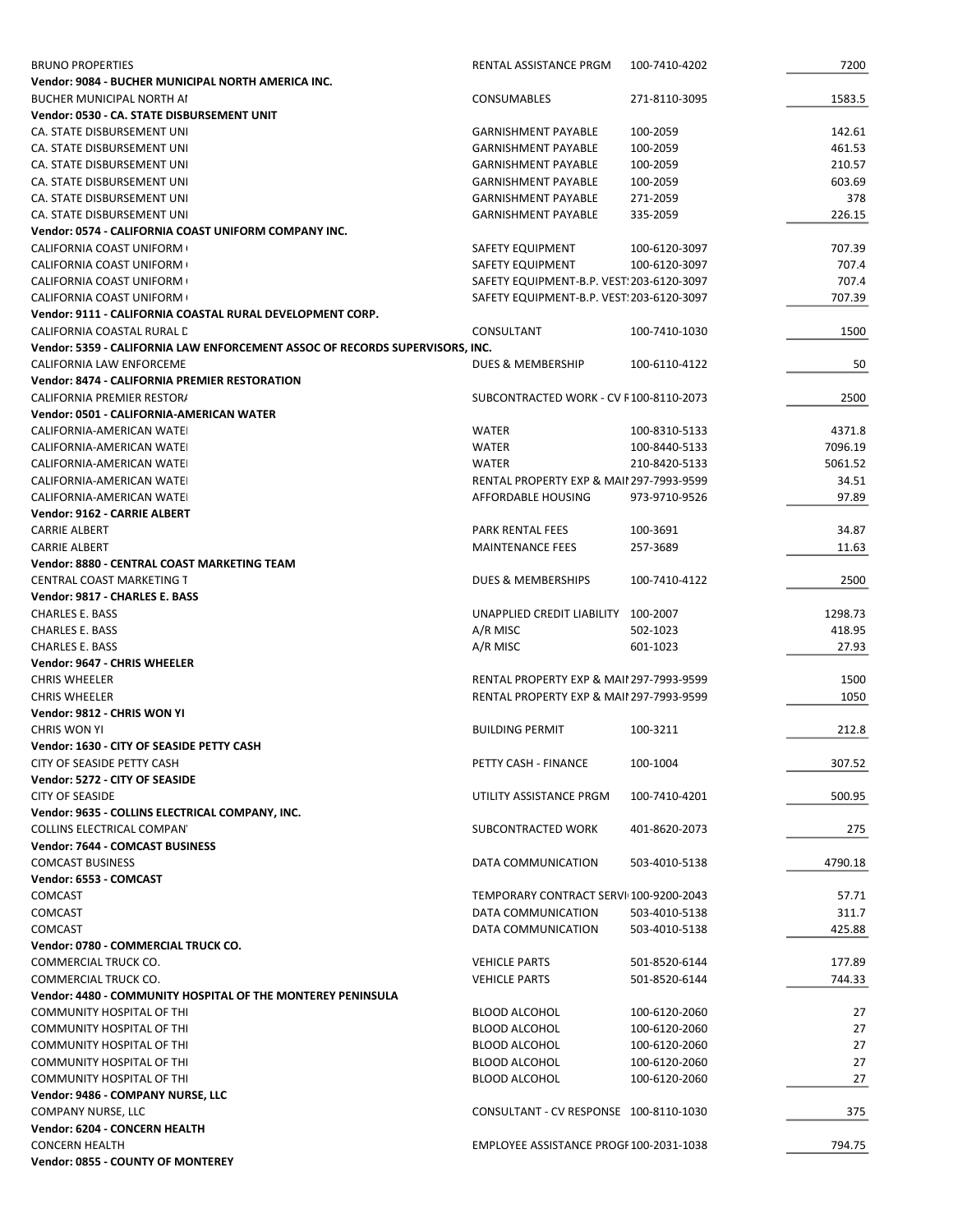| <b>BRUNO PROPERTIES</b>                                                      | RENTAL ASSISTANCE PRGM                                        | 100-7410-4202 | 7200            |
|------------------------------------------------------------------------------|---------------------------------------------------------------|---------------|-----------------|
| Vendor: 9084 - BUCHER MUNICIPAL NORTH AMERICA INC.                           |                                                               |               |                 |
| <b>BUCHER MUNICIPAL NORTH AI</b>                                             | CONSUMABLES                                                   | 271-8110-3095 | 1583.5          |
| Vendor: 0530 - CA. STATE DISBURSEMENT UNIT                                   |                                                               |               |                 |
| CA. STATE DISBURSEMENT UNI                                                   | <b>GARNISHMENT PAYABLE</b>                                    | 100-2059      | 142.61          |
| CA. STATE DISBURSEMENT UNI                                                   | <b>GARNISHMENT PAYABLE</b>                                    | 100-2059      | 461.53          |
| CA. STATE DISBURSEMENT UNI                                                   | <b>GARNISHMENT PAYABLE</b>                                    | 100-2059      | 210.57          |
| CA. STATE DISBURSEMENT UNI                                                   | <b>GARNISHMENT PAYABLE</b>                                    | 100-2059      | 603.69          |
| CA. STATE DISBURSEMENT UNI                                                   | <b>GARNISHMENT PAYABLE</b>                                    | 271-2059      | 378             |
| CA. STATE DISBURSEMENT UNI                                                   | <b>GARNISHMENT PAYABLE</b>                                    | 335-2059      | 226.15          |
| Vendor: 0574 - CALIFORNIA COAST UNIFORM COMPANY INC.                         |                                                               |               |                 |
| CALIFORNIA COAST UNIFORM (<br>CALIFORNIA COAST UNIFORM (                     | SAFETY EQUIPMENT                                              | 100-6120-3097 | 707.39<br>707.4 |
| <b>CALIFORNIA COAST UNIFORM (</b>                                            | SAFETY EQUIPMENT<br>SAFETY EQUIPMENT-B.P. VEST: 203-6120-3097 | 100-6120-3097 | 707.4           |
| CALIFORNIA COAST UNIFORM (                                                   | SAFETY EQUIPMENT-B.P. VEST: 203-6120-3097                     |               | 707.39          |
| Vendor: 9111 - CALIFORNIA COASTAL RURAL DEVELOPMENT CORP.                    |                                                               |               |                 |
| CALIFORNIA COASTAL RURAL D                                                   | CONSULTANT                                                    | 100-7410-1030 | 1500            |
| Vendor: 5359 - CALIFORNIA LAW ENFORCEMENT ASSOC OF RECORDS SUPERVISORS, INC. |                                                               |               |                 |
| CALIFORNIA LAW ENFORCEME                                                     | DUES & MEMBERSHIP                                             | 100-6110-4122 | 50              |
| <b>Vendor: 8474 - CALIFORNIA PREMIER RESTORATION</b>                         |                                                               |               |                 |
| CALIFORNIA PREMIER RESTOR/                                                   | SUBCONTRACTED WORK - CV F100-8110-2073                        |               | 2500            |
| Vendor: 0501 - CALIFORNIA-AMERICAN WATER                                     |                                                               |               |                 |
| CALIFORNIA-AMERICAN WATEI                                                    | <b>WATER</b>                                                  | 100-8310-5133 | 4371.8          |
| CALIFORNIA-AMERICAN WATEI                                                    | <b>WATER</b>                                                  | 100-8440-5133 | 7096.19         |
| CALIFORNIA-AMERICAN WATEI                                                    | <b>WATER</b>                                                  | 210-8420-5133 | 5061.52         |
| CALIFORNIA-AMERICAN WATEI                                                    | <b>RENTAL PROPERTY EXP &amp; MAII 297-7993-9599</b>           |               | 34.51           |
| CALIFORNIA-AMERICAN WATEI                                                    | AFFORDABLE HOUSING                                            | 973-9710-9526 | 97.89           |
| Vendor: 9162 - CARRIE ALBERT                                                 |                                                               |               |                 |
| <b>CARRIE ALBERT</b>                                                         | PARK RENTAL FEES                                              | 100-3691      | 34.87           |
| <b>CARRIE ALBERT</b>                                                         | <b>MAINTENANCE FEES</b>                                       | 257-3689      | 11.63           |
| Vendor: 8880 - CENTRAL COAST MARKETING TEAM                                  |                                                               |               |                 |
| CENTRAL COAST MARKETING T                                                    | DUES & MEMBERSHIPS                                            | 100-7410-4122 | 2500            |
| Vendor: 9817 - CHARLES E. BASS                                               |                                                               |               |                 |
| <b>CHARLES E. BASS</b>                                                       | UNAPPLIED CREDIT LIABILITY 100-2007                           |               | 1298.73         |
| <b>CHARLES E. BASS</b>                                                       | A/R MISC                                                      | 502-1023      | 418.95          |
| <b>CHARLES E. BASS</b>                                                       | A/R MISC                                                      | 601-1023      | 27.93           |
| Vendor: 9647 - CHRIS WHEELER                                                 |                                                               |               |                 |
| <b>CHRIS WHEELER</b>                                                         | <b>RENTAL PROPERTY EXP &amp; MAII 297-7993-9599</b>           |               | 1500            |
| <b>CHRIS WHEELER</b><br>Vendor: 9812 - CHRIS WON YI                          | <b>RENTAL PROPERTY EXP &amp; MAII 297-7993-9599</b>           |               | 1050            |
| <b>CHRIS WON YI</b>                                                          | <b>BUILDING PERMIT</b>                                        | 100-3211      | 212.8           |
| Vendor: 1630 - CITY OF SEASIDE PETTY CASH                                    |                                                               |               |                 |
| CITY OF SEASIDE PETTY CASH                                                   | PETTY CASH - FINANCE                                          | 100-1004      | 307.52          |
| Vendor: 5272 - CITY OF SEASIDE                                               |                                                               |               |                 |
| <b>CITY OF SEASIDE</b>                                                       | UTILITY ASSISTANCE PRGM                                       | 100-7410-4201 | 500.95          |
| Vendor: 9635 - COLLINS ELECTRICAL COMPANY, INC.                              |                                                               |               |                 |
| COLLINS ELECTRICAL COMPAN'                                                   | SUBCONTRACTED WORK                                            | 401-8620-2073 | 275             |
| <b>Vendor: 7644 - COMCAST BUSINESS</b>                                       |                                                               |               |                 |
| <b>COMCAST BUSINESS</b>                                                      | DATA COMMUNICATION                                            | 503-4010-5138 | 4790.18         |
| Vendor: 6553 - COMCAST                                                       |                                                               |               |                 |
| <b>COMCAST</b>                                                               | TEMPORARY CONTRACT SERVI 100-9200-2043                        |               | 57.71           |
| <b>COMCAST</b>                                                               | DATA COMMUNICATION                                            | 503-4010-5138 | 311.7           |
| <b>COMCAST</b>                                                               | DATA COMMUNICATION                                            | 503-4010-5138 | 425.88          |
| Vendor: 0780 - COMMERCIAL TRUCK CO.                                          |                                                               |               |                 |
| COMMERCIAL TRUCK CO.                                                         | <b>VEHICLE PARTS</b>                                          | 501-8520-6144 | 177.89          |
| COMMERCIAL TRUCK CO.                                                         | <b>VEHICLE PARTS</b>                                          | 501-8520-6144 | 744.33          |
| Vendor: 4480 - COMMUNITY HOSPITAL OF THE MONTEREY PENINSULA                  |                                                               |               |                 |
| COMMUNITY HOSPITAL OF THI                                                    | <b>BLOOD ALCOHOL</b>                                          | 100-6120-2060 | 27              |
| COMMUNITY HOSPITAL OF THI                                                    | <b>BLOOD ALCOHOL</b>                                          | 100-6120-2060 | 27              |
| COMMUNITY HOSPITAL OF THI                                                    | <b>BLOOD ALCOHOL</b>                                          | 100-6120-2060 | 27              |
| COMMUNITY HOSPITAL OF THI                                                    | <b>BLOOD ALCOHOL</b>                                          | 100-6120-2060 | 27              |
| COMMUNITY HOSPITAL OF THI                                                    | <b>BLOOD ALCOHOL</b>                                          | 100-6120-2060 | 27              |
| Vendor: 9486 - COMPANY NURSE, LLC                                            | CONSULTANT - CV RESPONSE 100-8110-1030                        |               |                 |
| COMPANY NURSE, LLC<br>Vendor: 6204 - CONCERN HEALTH                          |                                                               |               | 375             |
| <b>CONCERN HEALTH</b>                                                        | EMPLOYEE ASSISTANCE PROGF 100-2031-1038                       |               | 794.75          |
| Vendor: 0855 - COUNTY OF MONTEREY                                            |                                                               |               |                 |
|                                                                              |                                                               |               |                 |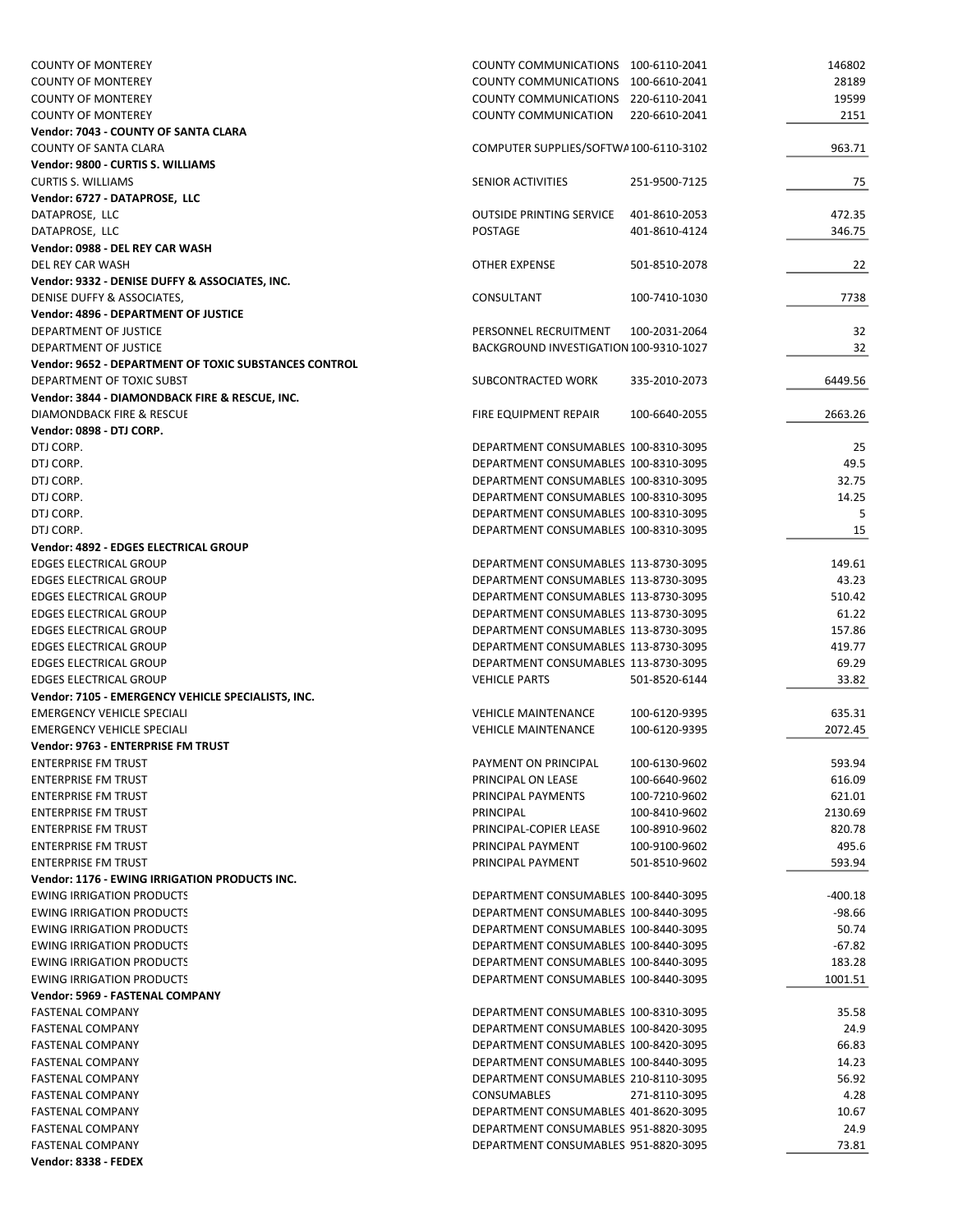| <b>COUNTY OF MONTEREY</b>                                    | COUNTY COMMUNICATIONS 100-6110-2041    |               | 146802   |
|--------------------------------------------------------------|----------------------------------------|---------------|----------|
| <b>COUNTY OF MONTEREY</b>                                    | COUNTY COMMUNICATIONS 100-6610-2041    |               | 28189    |
| <b>COUNTY OF MONTEREY</b>                                    | COUNTY COMMUNICATIONS 220-6110-2041    |               | 19599    |
| <b>COUNTY OF MONTEREY</b>                                    | <b>COUNTY COMMUNICATION</b>            | 220-6610-2041 | 2151     |
| Vendor: 7043 - COUNTY OF SANTA CLARA                         |                                        |               |          |
| <b>COUNTY OF SANTA CLARA</b>                                 | COMPUTER SUPPLIES/SOFTWA100-6110-3102  |               | 963.71   |
| Vendor: 9800 - CURTIS S. WILLIAMS                            |                                        |               |          |
| <b>CURTIS S. WILLIAMS</b>                                    | <b>SENIOR ACTIVITIES</b>               | 251-9500-7125 | 75       |
| Vendor: 6727 - DATAPROSE, LLC                                |                                        |               |          |
| DATAPROSE, LLC                                               | <b>OUTSIDE PRINTING SERVICE</b>        | 401-8610-2053 | 472.35   |
| DATAPROSE, LLC                                               | POSTAGE                                | 401-8610-4124 | 346.75   |
| Vendor: 0988 - DEL REY CAR WASH                              |                                        |               |          |
| DEL REY CAR WASH                                             | OTHER EXPENSE                          | 501-8510-2078 | 22       |
| Vendor: 9332 - DENISE DUFFY & ASSOCIATES, INC.               |                                        |               |          |
| DENISE DUFFY & ASSOCIATES,                                   | CONSULTANT                             | 100-7410-1030 | 7738     |
| Vendor: 4896 - DEPARTMENT OF JUSTICE                         |                                        |               |          |
| DEPARTMENT OF JUSTICE                                        | PERSONNEL RECRUITMENT                  | 100-2031-2064 | 32       |
| DEPARTMENT OF JUSTICE                                        | BACKGROUND INVESTIGATION 100-9310-1027 |               | 32       |
| <b>Vendor: 9652 - DEPARTMENT OF TOXIC SUBSTANCES CONTROL</b> |                                        |               |          |
| DEPARTMENT OF TOXIC SUBST                                    | SUBCONTRACTED WORK                     | 335-2010-2073 | 6449.56  |
| Vendor: 3844 - DIAMONDBACK FIRE & RESCUE, INC.               |                                        |               |          |
| DIAMONDBACK FIRE & RESCUE                                    | FIRE EQUIPMENT REPAIR                  | 100-6640-2055 | 2663.26  |
| Vendor: 0898 - DTJ CORP.                                     |                                        |               |          |
| DTJ CORP.                                                    | DEPARTMENT CONSUMABLES 100-8310-3095   |               | 25       |
| DTJ CORP.                                                    | DEPARTMENT CONSUMABLES 100-8310-3095   |               | 49.5     |
| DTJ CORP.                                                    | DEPARTMENT CONSUMABLES 100-8310-3095   |               | 32.75    |
| DTJ CORP.                                                    | DEPARTMENT CONSUMABLES 100-8310-3095   |               | 14.25    |
| DTJ CORP.                                                    | DEPARTMENT CONSUMABLES 100-8310-3095   |               | 5        |
| DTJ CORP.                                                    | DEPARTMENT CONSUMABLES 100-8310-3095   |               | 15       |
| Vendor: 4892 - EDGES ELECTRICAL GROUP                        |                                        |               |          |
| <b>EDGES ELECTRICAL GROUP</b>                                | DEPARTMENT CONSUMABLES 113-8730-3095   |               | 149.61   |
| <b>EDGES ELECTRICAL GROUP</b>                                | DEPARTMENT CONSUMABLES 113-8730-3095   |               | 43.23    |
| <b>EDGES ELECTRICAL GROUP</b>                                | DEPARTMENT CONSUMABLES 113-8730-3095   |               | 510.42   |
| <b>EDGES ELECTRICAL GROUP</b>                                | DEPARTMENT CONSUMABLES 113-8730-3095   |               | 61.22    |
| <b>EDGES ELECTRICAL GROUP</b>                                | DEPARTMENT CONSUMABLES 113-8730-3095   |               | 157.86   |
| <b>EDGES ELECTRICAL GROUP</b>                                | DEPARTMENT CONSUMABLES 113-8730-3095   |               | 419.77   |
| <b>EDGES ELECTRICAL GROUP</b>                                | DEPARTMENT CONSUMABLES 113-8730-3095   |               | 69.29    |
| <b>EDGES ELECTRICAL GROUP</b>                                | <b>VEHICLE PARTS</b>                   | 501-8520-6144 | 33.82    |
| Vendor: 7105 - EMERGENCY VEHICLE SPECIALISTS, INC.           |                                        |               |          |
| <b>EMERGENCY VEHICLE SPECIALI</b>                            | <b>VEHICLE MAINTENANCE</b>             | 100-6120-9395 | 635.31   |
| <b>EMERGENCY VEHICLE SPECIALI</b>                            | <b>VEHICLE MAINTENANCE</b>             | 100-6120-9395 | 2072.45  |
| Vendor: 9763 - ENTERPRISE FM TRUST                           |                                        |               |          |
| <b>ENTERPRISE FM TRUST</b>                                   | PAYMENT ON PRINCIPAL                   | 100-6130-9602 | 593.94   |
| <b>ENTERPRISE FM TRUST</b>                                   | PRINCIPAL ON LEASE                     | 100-6640-9602 | 616.09   |
| <b>ENTERPRISE FM TRUST</b>                                   | PRINCIPAL PAYMENTS                     | 100-7210-9602 | 621.01   |
| <b>ENTERPRISE FM TRUST</b>                                   | PRINCIPAL                              | 100-8410-9602 | 2130.69  |
| <b>ENTERPRISE FM TRUST</b>                                   | PRINCIPAL-COPIER LEASE                 | 100-8910-9602 | 820.78   |
| <b>ENTERPRISE FM TRUST</b>                                   | PRINCIPAL PAYMENT                      | 100-9100-9602 | 495.6    |
| <b>ENTERPRISE FM TRUST</b>                                   |                                        |               |          |
| Vendor: 1176 - EWING IRRIGATION PRODUCTS INC.                | PRINCIPAL PAYMENT                      | 501-8510-9602 | 593.94   |
| <b>EWING IRRIGATION PRODUCTS</b>                             | DEPARTMENT CONSUMABLES 100-8440-3095   |               |          |
|                                                              |                                        |               | -400.18  |
| <b>EWING IRRIGATION PRODUCTS</b>                             | DEPARTMENT CONSUMABLES 100-8440-3095   |               | $-98.66$ |
| <b>EWING IRRIGATION PRODUCTS</b>                             | DEPARTMENT CONSUMABLES 100-8440-3095   |               | 50.74    |
| <b>EWING IRRIGATION PRODUCTS</b>                             | DEPARTMENT CONSUMABLES 100-8440-3095   |               | $-67.82$ |
| <b>EWING IRRIGATION PRODUCTS</b>                             | DEPARTMENT CONSUMABLES 100-8440-3095   |               | 183.28   |
| <b>EWING IRRIGATION PRODUCTS</b>                             | DEPARTMENT CONSUMABLES 100-8440-3095   |               | 1001.51  |
| Vendor: 5969 - FASTENAL COMPANY                              |                                        |               |          |
| <b>FASTENAL COMPANY</b>                                      | DEPARTMENT CONSUMABLES 100-8310-3095   |               | 35.58    |
| <b>FASTENAL COMPANY</b>                                      | DEPARTMENT CONSUMABLES 100-8420-3095   |               | 24.9     |
| <b>FASTENAL COMPANY</b>                                      | DEPARTMENT CONSUMABLES 100-8420-3095   |               | 66.83    |
| <b>FASTENAL COMPANY</b>                                      | DEPARTMENT CONSUMABLES 100-8440-3095   |               | 14.23    |
| <b>FASTENAL COMPANY</b>                                      | DEPARTMENT CONSUMABLES 210-8110-3095   |               | 56.92    |
| <b>FASTENAL COMPANY</b>                                      | <b>CONSUMABLES</b>                     | 271-8110-3095 | 4.28     |
| <b>FASTENAL COMPANY</b>                                      | DEPARTMENT CONSUMABLES 401-8620-3095   |               | 10.67    |
| <b>FASTENAL COMPANY</b>                                      | DEPARTMENT CONSUMABLES 951-8820-3095   |               | 24.9     |
| <b>FASTENAL COMPANY</b>                                      | DEPARTMENT CONSUMABLES 951-8820-3095   |               | 73.81    |
| Vendor: 8338 - FEDEX                                         |                                        |               |          |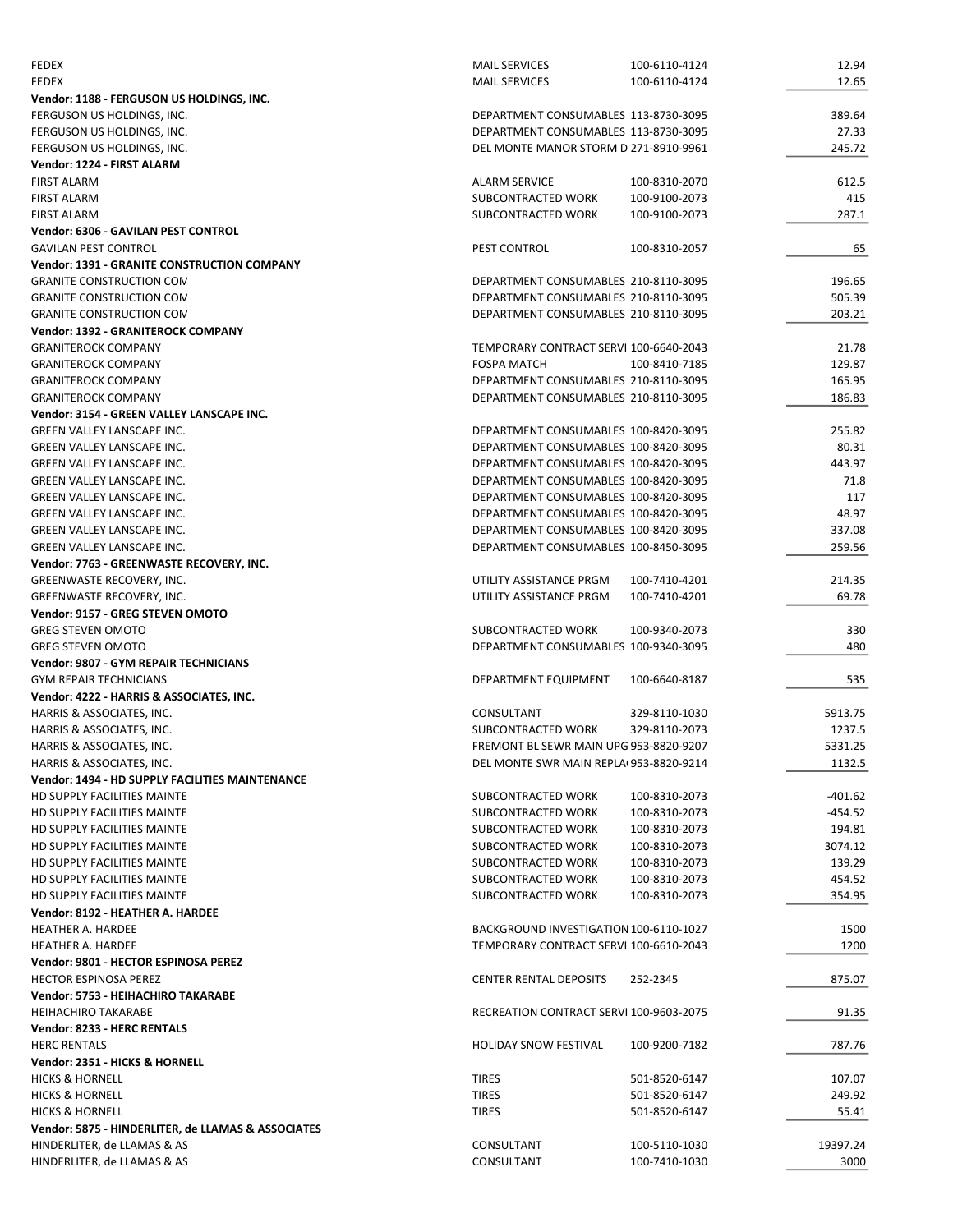| <b>FEDEX</b>                                       | <b>MAIL SERVICES</b>                    | 100-6110-4124 | 12.94     |
|----------------------------------------------------|-----------------------------------------|---------------|-----------|
| <b>FEDEX</b>                                       | <b>MAIL SERVICES</b>                    | 100-6110-4124 | 12.65     |
| Vendor: 1188 - FERGUSON US HOLDINGS, INC.          |                                         |               |           |
| FERGUSON US HOLDINGS, INC.                         | DEPARTMENT CONSUMABLES 113-8730-3095    |               | 389.64    |
| FERGUSON US HOLDINGS, INC.                         | DEPARTMENT CONSUMABLES 113-8730-3095    |               | 27.33     |
| FERGUSON US HOLDINGS, INC.                         | DEL MONTE MANOR STORM D 271-8910-9961   |               | 245.72    |
| Vendor: 1224 - FIRST ALARM                         |                                         |               |           |
| <b>FIRST ALARM</b>                                 | <b>ALARM SERVICE</b>                    | 100-8310-2070 | 612.5     |
| <b>FIRST ALARM</b>                                 | SUBCONTRACTED WORK                      | 100-9100-2073 | 415       |
| <b>FIRST ALARM</b>                                 | SUBCONTRACTED WORK                      | 100-9100-2073 | 287.1     |
| <b>Vendor: 6306 - GAVILAN PEST CONTROL</b>         |                                         |               |           |
| <b>GAVILAN PEST CONTROL</b>                        | PEST CONTROL                            | 100-8310-2057 | 65        |
| <b>Vendor: 1391 - GRANITE CONSTRUCTION COMPANY</b> |                                         |               |           |
| <b>GRANITE CONSTRUCTION CON</b>                    | DEPARTMENT CONSUMABLES 210-8110-3095    |               | 196.65    |
| <b>GRANITE CONSTRUCTION CON</b>                    | DEPARTMENT CONSUMABLES 210-8110-3095    |               | 505.39    |
| <b>GRANITE CONSTRUCTION CON</b>                    | DEPARTMENT CONSUMABLES 210-8110-3095    |               | 203.21    |
| <b>Vendor: 1392 - GRANITEROCK COMPANY</b>          |                                         |               |           |
| <b>GRANITEROCK COMPANY</b>                         | TEMPORARY CONTRACT SERVI 100-6640-2043  |               | 21.78     |
| <b>GRANITEROCK COMPANY</b>                         | <b>FOSPA MATCH</b>                      | 100-8410-7185 | 129.87    |
| <b>GRANITEROCK COMPANY</b>                         | DEPARTMENT CONSUMABLES 210-8110-3095    |               | 165.95    |
| <b>GRANITEROCK COMPANY</b>                         | DEPARTMENT CONSUMABLES 210-8110-3095    |               | 186.83    |
| Vendor: 3154 - GREEN VALLEY LANSCAPE INC.          |                                         |               |           |
| <b>GREEN VALLEY LANSCAPE INC.</b>                  | DEPARTMENT CONSUMABLES 100-8420-3095    |               | 255.82    |
| <b>GREEN VALLEY LANSCAPE INC.</b>                  | DEPARTMENT CONSUMABLES 100-8420-3095    |               | 80.31     |
| <b>GREEN VALLEY LANSCAPE INC.</b>                  | DEPARTMENT CONSUMABLES 100-8420-3095    |               | 443.97    |
| <b>GREEN VALLEY LANSCAPE INC.</b>                  | DEPARTMENT CONSUMABLES 100-8420-3095    |               | 71.8      |
|                                                    |                                         |               |           |
| <b>GREEN VALLEY LANSCAPE INC.</b>                  | DEPARTMENT CONSUMABLES 100-8420-3095    |               | 117       |
| <b>GREEN VALLEY LANSCAPE INC.</b>                  | DEPARTMENT CONSUMABLES 100-8420-3095    |               | 48.97     |
| <b>GREEN VALLEY LANSCAPE INC.</b>                  | DEPARTMENT CONSUMABLES 100-8420-3095    |               | 337.08    |
| <b>GREEN VALLEY LANSCAPE INC.</b>                  | DEPARTMENT CONSUMABLES 100-8450-3095    |               | 259.56    |
| Vendor: 7763 - GREENWASTE RECOVERY, INC.           |                                         |               |           |
| GREENWASTE RECOVERY, INC.                          | UTILITY ASSISTANCE PRGM                 | 100-7410-4201 | 214.35    |
| GREENWASTE RECOVERY, INC.                          | UTILITY ASSISTANCE PRGM                 | 100-7410-4201 | 69.78     |
| Vendor: 9157 - GREG STEVEN OMOTO                   |                                         |               |           |
| <b>GREG STEVEN OMOTO</b>                           | SUBCONTRACTED WORK                      | 100-9340-2073 | 330       |
| <b>GREG STEVEN OMOTO</b>                           | DEPARTMENT CONSUMABLES 100-9340-3095    |               | 480       |
|                                                    |                                         |               |           |
| <b>Vendor: 9807 - GYM REPAIR TECHNICIANS</b>       |                                         |               |           |
| <b>GYM REPAIR TECHNICIANS</b>                      | DEPARTMENT EQUIPMENT                    | 100-6640-8187 | 535       |
| Vendor: 4222 - HARRIS & ASSOCIATES, INC.           |                                         |               |           |
| HARRIS & ASSOCIATES, INC.                          | CONSULTANT                              | 329-8110-1030 | 5913.75   |
| HARRIS & ASSOCIATES, INC.                          | SUBCONTRACTED WORK                      | 329-8110-2073 | 1237.5    |
| HARRIS & ASSOCIATES, INC.                          | FREMONT BL SEWR MAIN UPG 953-8820-9207  |               | 5331.25   |
| HARRIS & ASSOCIATES, INC.                          | DEL MONTE SWR MAIN REPLA(953-8820-9214  |               | 1132.5    |
| Vendor: 1494 - HD SUPPLY FACILITIES MAINTENANCE    |                                         |               |           |
| HD SUPPLY FACILITIES MAINTE                        | SUBCONTRACTED WORK                      | 100-8310-2073 | $-401.62$ |
| HD SUPPLY FACILITIES MAINTE                        | SUBCONTRACTED WORK                      | 100-8310-2073 | -454.52   |
| HD SUPPLY FACILITIES MAINTE                        | SUBCONTRACTED WORK                      | 100-8310-2073 | 194.81    |
| HD SUPPLY FACILITIES MAINTE                        | SUBCONTRACTED WORK                      | 100-8310-2073 | 3074.12   |
| HD SUPPLY FACILITIES MAINTE                        | SUBCONTRACTED WORK                      | 100-8310-2073 | 139.29    |
| HD SUPPLY FACILITIES MAINTE                        | SUBCONTRACTED WORK                      | 100-8310-2073 | 454.52    |
| HD SUPPLY FACILITIES MAINTE                        | SUBCONTRACTED WORK                      | 100-8310-2073 | 354.95    |
| Vendor: 8192 - HEATHER A. HARDEE                   |                                         |               |           |
| <b>HEATHER A. HARDEE</b>                           | BACKGROUND INVESTIGATION 100-6110-1027  |               | 1500      |
| <b>HEATHER A. HARDEE</b>                           | TEMPORARY CONTRACT SERVI 100-6610-2043  |               | 1200      |
| Vendor: 9801 - HECTOR ESPINOSA PEREZ               |                                         |               |           |
| <b>HECTOR ESPINOSA PEREZ</b>                       | <b>CENTER RENTAL DEPOSITS</b>           | 252-2345      | 875.07    |
| Vendor: 5753 - HEIHACHIRO TAKARABE                 |                                         |               |           |
| <b>HEIHACHIRO TAKARABE</b>                         | RECREATION CONTRACT SERVI 100-9603-2075 |               | 91.35     |
| Vendor: 8233 - HERC RENTALS                        |                                         |               |           |
| <b>HERC RENTALS</b>                                | <b>HOLIDAY SNOW FESTIVAL</b>            | 100-9200-7182 | 787.76    |
| Vendor: 2351 - HICKS & HORNELL                     |                                         |               |           |
| <b>HICKS &amp; HORNELL</b>                         | <b>TIRES</b>                            | 501-8520-6147 | 107.07    |
| <b>HICKS &amp; HORNELL</b>                         | <b>TIRES</b>                            | 501-8520-6147 | 249.92    |
| <b>HICKS &amp; HORNELL</b>                         | <b>TIRES</b>                            | 501-8520-6147 | 55.41     |
| Vendor: 5875 - HINDERLITER, de LLAMAS & ASSOCIATES |                                         |               |           |
| HINDERLITER, de LLAMAS & AS                        | CONSULTANT                              | 100-5110-1030 | 19397.24  |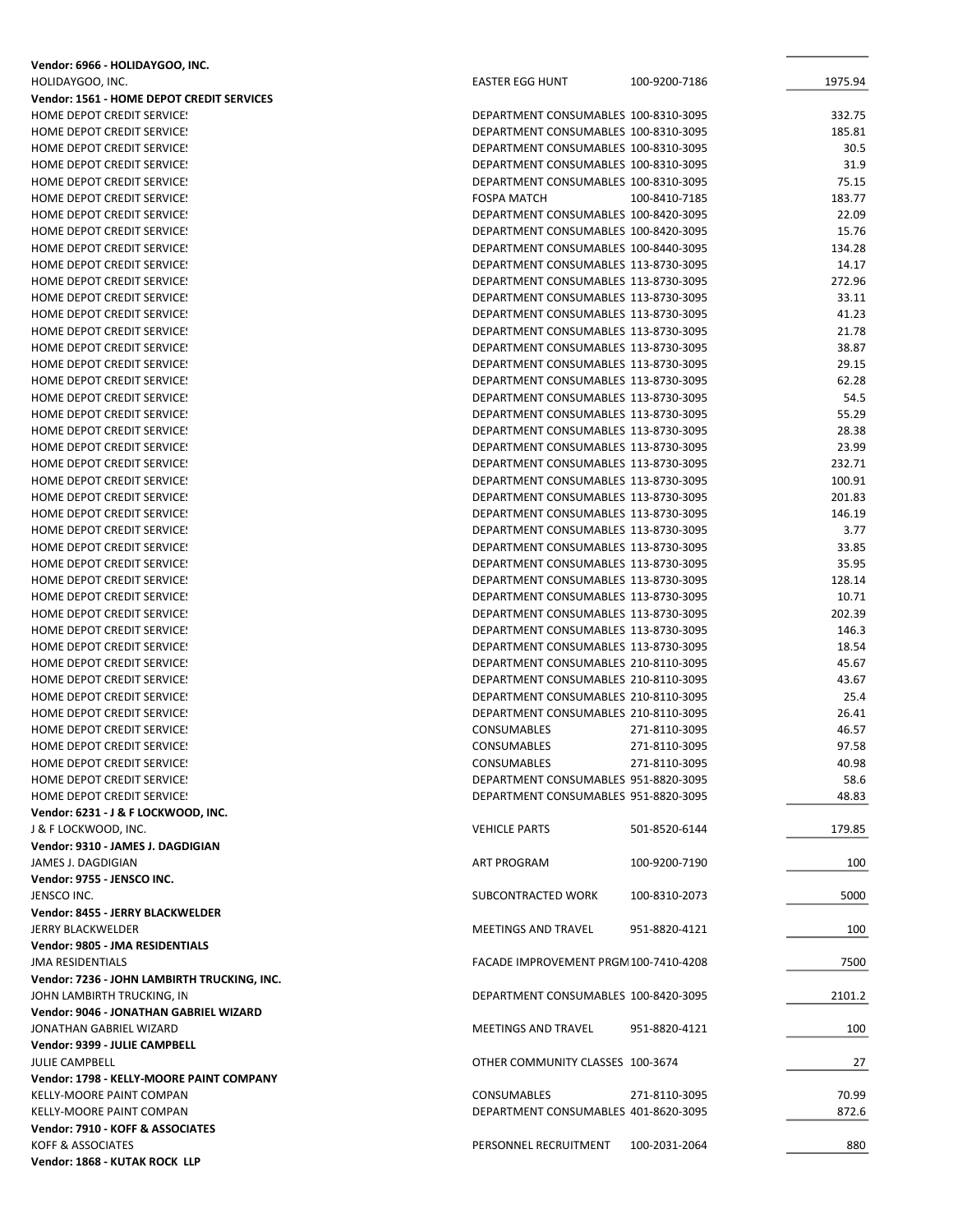| Vendor: 6966 - HOLIDAYGOO, INC.             |                                       |               |         |
|---------------------------------------------|---------------------------------------|---------------|---------|
| HOLIDAYGOO, INC.                            | <b>EASTER EGG HUNT</b>                | 100-9200-7186 | 1975.94 |
| Vendor: 1561 - HOME DEPOT CREDIT SERVICES   |                                       |               |         |
| HOME DEPOT CREDIT SERVICE!                  | DEPARTMENT CONSUMABLES 100-8310-3095  |               | 332.75  |
| HOME DEPOT CREDIT SERVICE!                  | DEPARTMENT CONSUMABLES 100-8310-3095  |               | 185.81  |
| <b>HOME DEPOT CREDIT SERVICE!</b>           | DEPARTMENT CONSUMABLES 100-8310-3095  |               | 30.5    |
| <b>HOME DEPOT CREDIT SERVICE!</b>           | DEPARTMENT CONSUMABLES 100-8310-3095  |               | 31.9    |
| HOME DEPOT CREDIT SERVICE!                  | DEPARTMENT CONSUMABLES 100-8310-3095  |               | 75.15   |
| HOME DEPOT CREDIT SERVICE!                  | <b>FOSPA MATCH</b>                    | 100-8410-7185 | 183.77  |
| HOME DEPOT CREDIT SERVICE!                  | DEPARTMENT CONSUMABLES 100-8420-3095  |               | 22.09   |
| HOME DEPOT CREDIT SERVICE!                  | DEPARTMENT CONSUMABLES 100-8420-3095  |               | 15.76   |
| HOME DEPOT CREDIT SERVICE!                  | DEPARTMENT CONSUMABLES 100-8440-3095  |               | 134.28  |
| HOME DEPOT CREDIT SERVICE!                  | DEPARTMENT CONSUMABLES 113-8730-3095  |               | 14.17   |
| HOME DEPOT CREDIT SERVICE!                  | DEPARTMENT CONSUMABLES 113-8730-3095  |               | 272.96  |
| HOME DEPOT CREDIT SERVICE!                  | DEPARTMENT CONSUMABLES 113-8730-3095  |               | 33.11   |
| HOME DEPOT CREDIT SERVICE!                  | DEPARTMENT CONSUMABLES 113-8730-3095  |               | 41.23   |
| HOME DEPOT CREDIT SERVICE!                  | DEPARTMENT CONSUMABLES 113-8730-3095  |               | 21.78   |
| HOME DEPOT CREDIT SERVICE!                  | DEPARTMENT CONSUMABLES 113-8730-3095  |               | 38.87   |
| <b>HOME DEPOT CREDIT SERVICE!</b>           | DEPARTMENT CONSUMABLES 113-8730-3095  |               | 29.15   |
| <b>HOME DEPOT CREDIT SERVICE!</b>           | DEPARTMENT CONSUMABLES 113-8730-3095  |               | 62.28   |
| HOME DEPOT CREDIT SERVICE!                  | DEPARTMENT CONSUMABLES 113-8730-3095  |               | 54.5    |
| HOME DEPOT CREDIT SERVICE!                  | DEPARTMENT CONSUMABLES 113-8730-3095  |               | 55.29   |
|                                             |                                       |               |         |
| HOME DEPOT CREDIT SERVICE!                  | DEPARTMENT CONSUMABLES 113-8730-3095  |               | 28.38   |
| <b>HOME DEPOT CREDIT SERVICE!</b>           | DEPARTMENT CONSUMABLES 113-8730-3095  |               | 23.99   |
| HOME DEPOT CREDIT SERVICE!                  | DEPARTMENT CONSUMABLES 113-8730-3095  |               | 232.71  |
| HOME DEPOT CREDIT SERVICE!                  | DEPARTMENT CONSUMABLES 113-8730-3095  |               | 100.91  |
| <b>HOME DEPOT CREDIT SERVICE!</b>           | DEPARTMENT CONSUMABLES 113-8730-3095  |               | 201.83  |
| <b>HOME DEPOT CREDIT SERVICE!</b>           | DEPARTMENT CONSUMABLES 113-8730-3095  |               | 146.19  |
| HOME DEPOT CREDIT SERVICE!                  | DEPARTMENT CONSUMABLES 113-8730-3095  |               | 3.77    |
| HOME DEPOT CREDIT SERVICE!                  | DEPARTMENT CONSUMABLES 113-8730-3095  |               | 33.85   |
| HOME DEPOT CREDIT SERVICE!                  | DEPARTMENT CONSUMABLES 113-8730-3095  |               | 35.95   |
| HOME DEPOT CREDIT SERVICE!                  | DEPARTMENT CONSUMABLES 113-8730-3095  |               | 128.14  |
| HOME DEPOT CREDIT SERVICE!                  | DEPARTMENT CONSUMABLES 113-8730-3095  |               | 10.71   |
| HOME DEPOT CREDIT SERVICE!                  | DEPARTMENT CONSUMABLES 113-8730-3095  |               | 202.39  |
| HOME DEPOT CREDIT SERVICE!                  | DEPARTMENT CONSUMABLES 113-8730-3095  |               | 146.3   |
| HOME DEPOT CREDIT SERVICE!                  | DEPARTMENT CONSUMABLES 113-8730-3095  |               | 18.54   |
| HOME DEPOT CREDIT SERVICE!                  | DEPARTMENT CONSUMABLES 210-8110-3095  |               | 45.67   |
| <b>HOME DEPOT CREDIT SERVICE:</b>           | DEPARTMENT CONSUMABLES 210-8110-3095  |               | 43.67   |
| <b>HOME DEPOT CREDIT SERVICE!</b>           | DEPARTMENT CONSUMABLES 210-8110-3095  |               | 25.4    |
| HOME DEPOT CREDIT SERVICE!                  | DEPARTMENT CONSUMABLES 210-8110-3095  |               | 26.41   |
| <b>HOME DEPOT CREDIT SERVICE!</b>           | <b>CONSUMABLES</b>                    | 271-8110-3095 | 46.57   |
| HOME DEPOT CREDIT SERVICE!                  | <b>CONSUMABLES</b>                    | 271-8110-3095 | 97.58   |
| HOME DEPOT CREDIT SERVICE!                  | CONSUMABLES                           | 271-8110-3095 | 40.98   |
| HOME DEPOT CREDIT SERVICE!                  | DEPARTMENT CONSUMABLES 951-8820-3095  |               | 58.6    |
| <b>HOME DEPOT CREDIT SERVICE!</b>           | DEPARTMENT CONSUMABLES 951-8820-3095  |               | 48.83   |
| Vendor: 6231 - J & F LOCKWOOD, INC.         |                                       |               |         |
| J & F LOCKWOOD, INC.                        | <b>VEHICLE PARTS</b>                  | 501-8520-6144 | 179.85  |
| Vendor: 9310 - JAMES J. DAGDIGIAN           |                                       |               |         |
| JAMES J. DAGDIGIAN                          | ART PROGRAM                           | 100-9200-7190 | 100     |
| Vendor: 9755 - JENSCO INC.                  |                                       |               |         |
| JENSCO INC.                                 | SUBCONTRACTED WORK                    | 100-8310-2073 | 5000    |
| Vendor: 8455 - JERRY BLACKWELDER            |                                       |               |         |
| <b>JERRY BLACKWELDER</b>                    | MEETINGS AND TRAVEL                   | 951-8820-4121 | 100     |
| Vendor: 9805 - JMA RESIDENTIALS             |                                       |               |         |
|                                             |                                       |               |         |
| <b>JMA RESIDENTIALS</b>                     | FACADE IMPROVEMENT PRGM 100-7410-4208 |               | 7500    |
| Vendor: 7236 - JOHN LAMBIRTH TRUCKING, INC. |                                       |               |         |
| JOHN LAMBIRTH TRUCKING, IN                  | DEPARTMENT CONSUMABLES 100-8420-3095  |               | 2101.2  |
| Vendor: 9046 - JONATHAN GABRIEL WIZARD      |                                       |               |         |
| JONATHAN GABRIEL WIZARD                     | MEETINGS AND TRAVEL                   | 951-8820-4121 | 100     |
| Vendor: 9399 - JULIE CAMPBELL               |                                       |               |         |
| <b>JULIE CAMPBELL</b>                       | OTHER COMMUNITY CLASSES 100-3674      |               | 27      |
| Vendor: 1798 - KELLY-MOORE PAINT COMPANY    |                                       |               |         |
| KELLY-MOORE PAINT COMPAN                    | CONSUMABLES                           | 271-8110-3095 | 70.99   |
| KELLY-MOORE PAINT COMPAN                    | DEPARTMENT CONSUMABLES 401-8620-3095  |               | 872.6   |
| Vendor: 7910 - KOFF & ASSOCIATES            |                                       |               |         |
| KOFF & ASSOCIATES                           | PERSONNEL RECRUITMENT                 | 100-2031-2064 | 880     |
| Vendor: 1868 - KUTAK ROCK LLP               |                                       |               |         |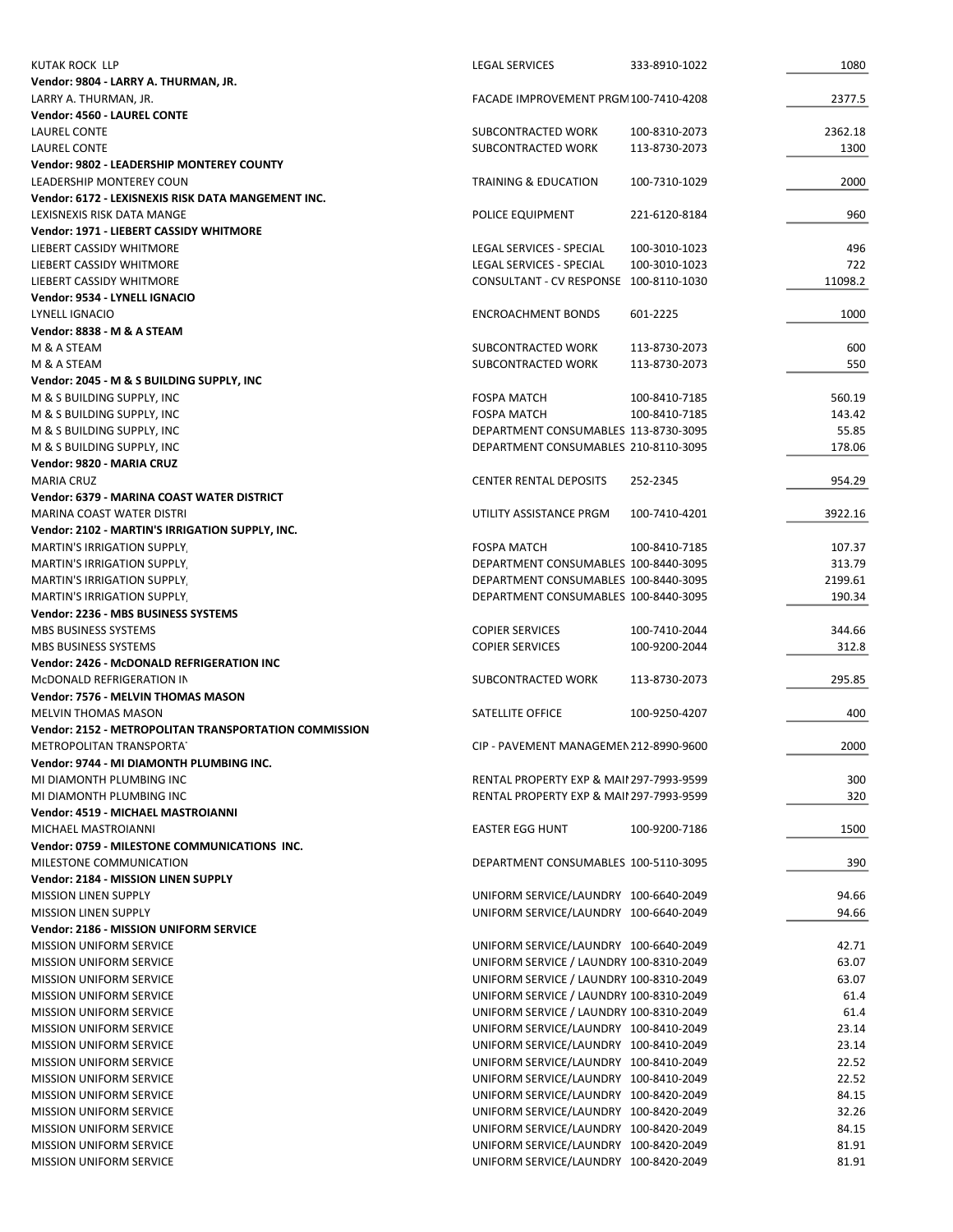| <b>KUTAK ROCK LLP</b>                                                 | <b>LEGAL SERVICES</b>                                                          | 333-8910-1022 | 1080           |
|-----------------------------------------------------------------------|--------------------------------------------------------------------------------|---------------|----------------|
| Vendor: 9804 - LARRY A. THURMAN, JR.                                  |                                                                                |               |                |
| LARRY A. THURMAN, JR.                                                 | FACADE IMPROVEMENT PRGM 100-7410-4208                                          |               | 2377.5         |
| Vendor: 4560 - LAUREL CONTE                                           |                                                                                |               |                |
| LAUREL CONTE                                                          | SUBCONTRACTED WORK                                                             | 100-8310-2073 | 2362.18        |
| LAUREL CONTE                                                          | SUBCONTRACTED WORK                                                             | 113-8730-2073 | 1300           |
| Vendor: 9802 - LEADERSHIP MONTEREY COUNTY                             |                                                                                |               |                |
| LEADERSHIP MONTEREY COUN                                              | TRAINING & EDUCATION                                                           | 100-7310-1029 | 2000           |
| Vendor: 6172 - LEXISNEXIS RISK DATA MANGEMENT INC.                    |                                                                                |               |                |
| LEXISNEXIS RISK DATA MANGE                                            | POLICE EQUIPMENT                                                               | 221-6120-8184 | 960            |
| Vendor: 1971 - LIEBERT CASSIDY WHITMORE                               |                                                                                |               |                |
| LIEBERT CASSIDY WHITMORE                                              | LEGAL SERVICES - SPECIAL                                                       | 100-3010-1023 | 496            |
| LIEBERT CASSIDY WHITMORE<br>LIEBERT CASSIDY WHITMORE                  | <b>LEGAL SERVICES - SPECIAL</b>                                                | 100-3010-1023 | 722<br>11098.2 |
| Vendor: 9534 - LYNELL IGNACIO                                         | CONSULTANT - CV RESPONSE 100-8110-1030                                         |               |                |
| LYNELL IGNACIO                                                        | <b>ENCROACHMENT BONDS</b>                                                      | 601-2225      | 1000           |
| Vendor: 8838 - M & A STEAM                                            |                                                                                |               |                |
| M & A STEAM                                                           | SUBCONTRACTED WORK                                                             | 113-8730-2073 | 600            |
| M & A STEAM                                                           | SUBCONTRACTED WORK                                                             | 113-8730-2073 | 550            |
| Vendor: 2045 - M & S BUILDING SUPPLY, INC                             |                                                                                |               |                |
| M & S BUILDING SUPPLY, INC                                            | <b>FOSPA MATCH</b>                                                             | 100-8410-7185 | 560.19         |
| M & S BUILDING SUPPLY, INC                                            | <b>FOSPA MATCH</b>                                                             | 100-8410-7185 | 143.42         |
| M & S BUILDING SUPPLY, INC                                            | DEPARTMENT CONSUMABLES 113-8730-3095                                           |               | 55.85          |
| M & S BUILDING SUPPLY, INC                                            | DEPARTMENT CONSUMABLES 210-8110-3095                                           |               | 178.06         |
| Vendor: 9820 - MARIA CRUZ                                             |                                                                                |               |                |
| <b>MARIA CRUZ</b>                                                     | <b>CENTER RENTAL DEPOSITS</b>                                                  | 252-2345      | 954.29         |
| Vendor: 6379 - MARINA COAST WATER DISTRICT                            |                                                                                |               |                |
| MARINA COAST WATER DISTRI                                             | UTILITY ASSISTANCE PRGM                                                        | 100-7410-4201 | 3922.16        |
| Vendor: 2102 - MARTIN'S IRRIGATION SUPPLY, INC.                       |                                                                                |               |                |
| <b>MARTIN'S IRRIGATION SUPPLY</b>                                     | <b>FOSPA MATCH</b>                                                             | 100-8410-7185 | 107.37         |
| <b>MARTIN'S IRRIGATION SUPPLY</b>                                     | DEPARTMENT CONSUMABLES 100-8440-3095                                           |               | 313.79         |
| <b>MARTIN'S IRRIGATION SUPPLY.</b>                                    | DEPARTMENT CONSUMABLES 100-8440-3095                                           |               | 2199.61        |
| <b>MARTIN'S IRRIGATION SUPPLY</b>                                     | DEPARTMENT CONSUMABLES 100-8440-3095                                           |               | 190.34         |
| Vendor: 2236 - MBS BUSINESS SYSTEMS                                   |                                                                                |               |                |
| MBS BUSINESS SYSTEMS                                                  | <b>COPIER SERVICES</b>                                                         | 100-7410-2044 | 344.66         |
| MBS BUSINESS SYSTEMS                                                  | <b>COPIER SERVICES</b>                                                         | 100-9200-2044 | 312.8          |
| Vendor: 2426 - McDONALD REFRIGERATION INC                             |                                                                                |               |                |
| MCDONALD REFRIGERATION IN                                             | SUBCONTRACTED WORK                                                             | 113-8730-2073 | 295.85         |
| Vendor: 7576 - MELVIN THOMAS MASON                                    |                                                                                |               |                |
| <b>MELVIN THOMAS MASON</b>                                            | SATELLITE OFFICE                                                               | 100-9250-4207 | 400            |
| Vendor: 2152 - METROPOLITAN TRANSPORTATION COMMISSION                 |                                                                                |               |                |
| METROPOLITAN TRANSPORTAT                                              | CIP - PAVEMENT MANAGEMEN 212-8990-9600                                         |               | 2000           |
| Vendor: 9744 - MI DIAMONTH PLUMBING INC.<br>MI DIAMONTH PLUMBING INC. | RENTAL PROPERTY EXP & MAII 297-7993-9599                                       |               | 300            |
| MI DIAMONTH PLUMBING INC.                                             | RENTAL PROPERTY EXP & MAII 297-7993-9599                                       |               | 320            |
| <b>Vendor: 4519 - MICHAEL MASTROIANNI</b>                             |                                                                                |               |                |
| MICHAEL MASTROIANNI                                                   | <b>EASTER EGG HUNT</b>                                                         | 100-9200-7186 | 1500           |
| Vendor: 0759 - MILESTONE COMMUNICATIONS INC.                          |                                                                                |               |                |
| MILESTONE COMMUNICATION                                               | DEPARTMENT CONSUMABLES 100-5110-3095                                           |               | 390            |
| <b>Vendor: 2184 - MISSION LINEN SUPPLY</b>                            |                                                                                |               |                |
| <b>MISSION LINEN SUPPLY</b>                                           | UNIFORM SERVICE/LAUNDRY 100-6640-2049                                          |               | 94.66          |
| <b>MISSION LINEN SUPPLY</b>                                           | UNIFORM SERVICE/LAUNDRY 100-6640-2049                                          |               | 94.66          |
| Vendor: 2186 - MISSION UNIFORM SERVICE                                |                                                                                |               |                |
| <b>MISSION UNIFORM SERVICE</b>                                        | UNIFORM SERVICE/LAUNDRY 100-6640-2049                                          |               | 42.71          |
| <b>MISSION UNIFORM SERVICE</b>                                        | UNIFORM SERVICE / LAUNDRY 100-8310-2049                                        |               | 63.07          |
| <b>MISSION UNIFORM SERVICE</b>                                        | UNIFORM SERVICE / LAUNDRY 100-8310-2049                                        |               | 63.07          |
| <b>MISSION UNIFORM SERVICE</b>                                        | UNIFORM SERVICE / LAUNDRY 100-8310-2049                                        |               | 61.4           |
| <b>MISSION UNIFORM SERVICE</b>                                        | UNIFORM SERVICE / LAUNDRY 100-8310-2049                                        |               | 61.4           |
| <b>MISSION UNIFORM SERVICE</b>                                        | UNIFORM SERVICE/LAUNDRY 100-8410-2049                                          |               | 23.14          |
| <b>MISSION UNIFORM SERVICE</b>                                        | UNIFORM SERVICE/LAUNDRY 100-8410-2049                                          |               | 23.14          |
| <b>MISSION UNIFORM SERVICE</b>                                        | UNIFORM SERVICE/LAUNDRY 100-8410-2049                                          |               | 22.52          |
| <b>MISSION UNIFORM SERVICE</b>                                        | UNIFORM SERVICE/LAUNDRY 100-8410-2049                                          |               | 22.52          |
| <b>MISSION UNIFORM SERVICE</b>                                        | UNIFORM SERVICE/LAUNDRY 100-8420-2049                                          |               | 84.15          |
| <b>MISSION UNIFORM SERVICE</b>                                        | UNIFORM SERVICE/LAUNDRY 100-8420-2049                                          |               | 32.26          |
| <b>MISSION UNIFORM SERVICE</b>                                        | UNIFORM SERVICE/LAUNDRY 100-8420-2049                                          |               | 84.15          |
| <b>MISSION UNIFORM SERVICE</b>                                        | UNIFORM SERVICE/LAUNDRY 100-8420-2049<br>UNIFORM SERVICE/LAUNDRY 100-8420-2049 |               | 81.91<br>81.91 |
| <b>MISSION UNIFORM SERVICE</b>                                        |                                                                                |               |                |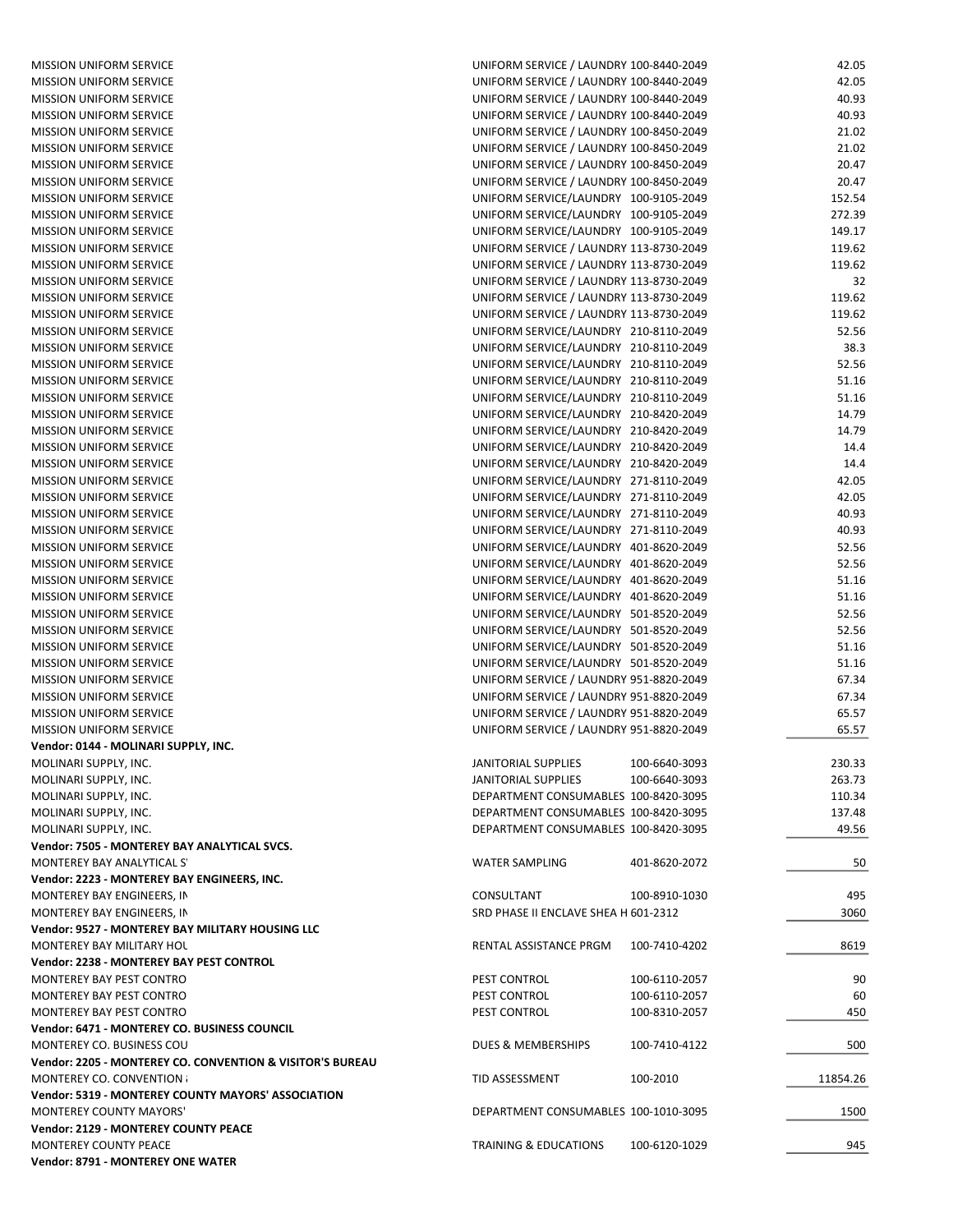| <b>MISSION UNIFORM SERVICE</b>                            | UNIFORM SERVICE / LAUNDRY 100-8440-2049 |               | 42.05    |
|-----------------------------------------------------------|-----------------------------------------|---------------|----------|
| <b>MISSION UNIFORM SERVICE</b>                            | UNIFORM SERVICE / LAUNDRY 100-8440-2049 |               | 42.05    |
| <b>MISSION UNIFORM SERVICE</b>                            | UNIFORM SERVICE / LAUNDRY 100-8440-2049 |               | 40.93    |
| <b>MISSION UNIFORM SERVICE</b>                            | UNIFORM SERVICE / LAUNDRY 100-8440-2049 |               | 40.93    |
| <b>MISSION UNIFORM SERVICE</b>                            | UNIFORM SERVICE / LAUNDRY 100-8450-2049 |               | 21.02    |
| <b>MISSION UNIFORM SERVICE</b>                            | UNIFORM SERVICE / LAUNDRY 100-8450-2049 |               | 21.02    |
| <b>MISSION UNIFORM SERVICE</b>                            | UNIFORM SERVICE / LAUNDRY 100-8450-2049 |               | 20.47    |
| <b>MISSION UNIFORM SERVICE</b>                            | UNIFORM SERVICE / LAUNDRY 100-8450-2049 |               | 20.47    |
| <b>MISSION UNIFORM SERVICE</b>                            | UNIFORM SERVICE/LAUNDRY 100-9105-2049   |               | 152.54   |
| <b>MISSION UNIFORM SERVICE</b>                            | UNIFORM SERVICE/LAUNDRY 100-9105-2049   |               | 272.39   |
| <b>MISSION UNIFORM SERVICE</b>                            | UNIFORM SERVICE/LAUNDRY 100-9105-2049   |               | 149.17   |
| <b>MISSION UNIFORM SERVICE</b>                            | UNIFORM SERVICE / LAUNDRY 113-8730-2049 |               | 119.62   |
| <b>MISSION UNIFORM SERVICE</b>                            | UNIFORM SERVICE / LAUNDRY 113-8730-2049 |               | 119.62   |
| <b>MISSION UNIFORM SERVICE</b>                            | UNIFORM SERVICE / LAUNDRY 113-8730-2049 |               | 32       |
| <b>MISSION UNIFORM SERVICE</b>                            | UNIFORM SERVICE / LAUNDRY 113-8730-2049 |               | 119.62   |
| <b>MISSION UNIFORM SERVICE</b>                            | UNIFORM SERVICE / LAUNDRY 113-8730-2049 |               | 119.62   |
| <b>MISSION UNIFORM SERVICE</b>                            | UNIFORM SERVICE/LAUNDRY 210-8110-2049   |               | 52.56    |
| <b>MISSION UNIFORM SERVICE</b>                            | UNIFORM SERVICE/LAUNDRY 210-8110-2049   |               | 38.3     |
| <b>MISSION UNIFORM SERVICE</b>                            | UNIFORM SERVICE/LAUNDRY 210-8110-2049   |               | 52.56    |
| <b>MISSION UNIFORM SERVICE</b>                            | UNIFORM SERVICE/LAUNDRY 210-8110-2049   |               | 51.16    |
| <b>MISSION UNIFORM SERVICE</b>                            | UNIFORM SERVICE/LAUNDRY 210-8110-2049   |               | 51.16    |
| <b>MISSION UNIFORM SERVICE</b>                            | UNIFORM SERVICE/LAUNDRY 210-8420-2049   |               | 14.79    |
| <b>MISSION UNIFORM SERVICE</b>                            | UNIFORM SERVICE/LAUNDRY 210-8420-2049   |               | 14.79    |
| <b>MISSION UNIFORM SERVICE</b>                            | UNIFORM SERVICE/LAUNDRY 210-8420-2049   |               | 14.4     |
| <b>MISSION UNIFORM SERVICE</b>                            | UNIFORM SERVICE/LAUNDRY 210-8420-2049   |               | 14.4     |
| <b>MISSION UNIFORM SERVICE</b>                            | UNIFORM SERVICE/LAUNDRY 271-8110-2049   |               | 42.05    |
| <b>MISSION UNIFORM SERVICE</b>                            | UNIFORM SERVICE/LAUNDRY 271-8110-2049   |               | 42.05    |
| <b>MISSION UNIFORM SERVICE</b>                            | UNIFORM SERVICE/LAUNDRY 271-8110-2049   |               | 40.93    |
| <b>MISSION UNIFORM SERVICE</b>                            | UNIFORM SERVICE/LAUNDRY 271-8110-2049   |               | 40.93    |
| <b>MISSION UNIFORM SERVICE</b>                            | UNIFORM SERVICE/LAUNDRY 401-8620-2049   |               | 52.56    |
| <b>MISSION UNIFORM SERVICE</b>                            | UNIFORM SERVICE/LAUNDRY 401-8620-2049   |               | 52.56    |
| <b>MISSION UNIFORM SERVICE</b>                            | UNIFORM SERVICE/LAUNDRY 401-8620-2049   |               | 51.16    |
| <b>MISSION UNIFORM SERVICE</b>                            | UNIFORM SERVICE/LAUNDRY 401-8620-2049   |               | 51.16    |
| <b>MISSION UNIFORM SERVICE</b>                            | UNIFORM SERVICE/LAUNDRY 501-8520-2049   |               | 52.56    |
| <b>MISSION UNIFORM SERVICE</b>                            | UNIFORM SERVICE/LAUNDRY 501-8520-2049   |               | 52.56    |
| <b>MISSION UNIFORM SERVICE</b>                            | UNIFORM SERVICE/LAUNDRY 501-8520-2049   |               | 51.16    |
| <b>MISSION UNIFORM SERVICE</b>                            | UNIFORM SERVICE/LAUNDRY 501-8520-2049   |               | 51.16    |
| <b>MISSION UNIFORM SERVICE</b>                            | UNIFORM SERVICE / LAUNDRY 951-8820-2049 |               | 67.34    |
| <b>MISSION UNIFORM SERVICE</b>                            | UNIFORM SERVICE / LAUNDRY 951-8820-2049 |               | 67.34    |
| <b>MISSION UNIFORM SERVICE</b>                            | UNIFORM SERVICE / LAUNDRY 951-8820-2049 |               | 65.57    |
| <b>MISSION UNIFORM SERVICE</b>                            | UNIFORM SERVICE / LAUNDRY 951-8820-2049 |               | 65.57    |
| Vendor: 0144 - MOLINARI SUPPLY, INC.                      |                                         |               |          |
| MOLINARI SUPPLY, INC.                                     | JANITORIAL SUPPLIES                     | 100-6640-3093 | 230.33   |
| MOLINARI SUPPLY, INC.                                     | JANITORIAL SUPPLIES                     | 100-6640-3093 | 263.73   |
| MOLINARI SUPPLY, INC.                                     | DEPARTMENT CONSUMABLES 100-8420-3095    |               | 110.34   |
| MOLINARI SUPPLY, INC.                                     | DEPARTMENT CONSUMABLES 100-8420-3095    |               | 137.48   |
| MOLINARI SUPPLY, INC.                                     | DEPARTMENT CONSUMABLES 100-8420-3095    |               | 49.56    |
| Vendor: 7505 - MONTEREY BAY ANALYTICAL SVCS.              |                                         |               |          |
| MONTEREY BAY ANALYTICAL S'                                | <b>WATER SAMPLING</b>                   | 401-8620-2072 | 50       |
| Vendor: 2223 - MONTEREY BAY ENGINEERS, INC.               |                                         |               |          |
| MONTEREY BAY ENGINEERS, IN                                | CONSULTANT                              | 100-8910-1030 | 495      |
| MONTEREY BAY ENGINEERS, IN                                | SRD PHASE II ENCLAVE SHEA H 601-2312    |               | 3060     |
| Vendor: 9527 - MONTEREY BAY MILITARY HOUSING LLC          |                                         |               |          |
| MONTEREY BAY MILITARY HOL                                 | RENTAL ASSISTANCE PRGM                  | 100-7410-4202 | 8619     |
| Vendor: 2238 - MONTEREY BAY PEST CONTROL                  |                                         |               |          |
| MONTEREY BAY PEST CONTRO                                  | PEST CONTROL                            | 100-6110-2057 | 90       |
| MONTEREY BAY PEST CONTRO                                  | PEST CONTROL                            | 100-6110-2057 | 60       |
| MONTEREY BAY PEST CONTRO                                  | PEST CONTROL                            | 100-8310-2057 | 450      |
| Vendor: 6471 - MONTEREY CO. BUSINESS COUNCIL              |                                         |               |          |
| MONTEREY CO. BUSINESS COU                                 | DUES & MEMBERSHIPS                      |               |          |
| Vendor: 2205 - MONTEREY CO. CONVENTION & VISITOR'S BUREAU |                                         | 100-7410-4122 | 500      |
| MONTEREY CO. CONVENTION                                   | TID ASSESSMENT                          | 100-2010      | 11854.26 |
| Vendor: 5319 - MONTEREY COUNTY MAYORS' ASSOCIATION        |                                         |               |          |
| <b>MONTEREY COUNTY MAYORS'</b>                            | DEPARTMENT CONSUMABLES 100-1010-3095    |               | 1500     |
| Vendor: 2129 - MONTEREY COUNTY PEACE                      |                                         |               |          |
| MONTEREY COUNTY PEACE                                     | <b>TRAINING &amp; EDUCATIONS</b>        | 100-6120-1029 | 945      |
| Vendor: 8791 - MONTEREY ONE WATER                         |                                         |               |          |
|                                                           |                                         |               |          |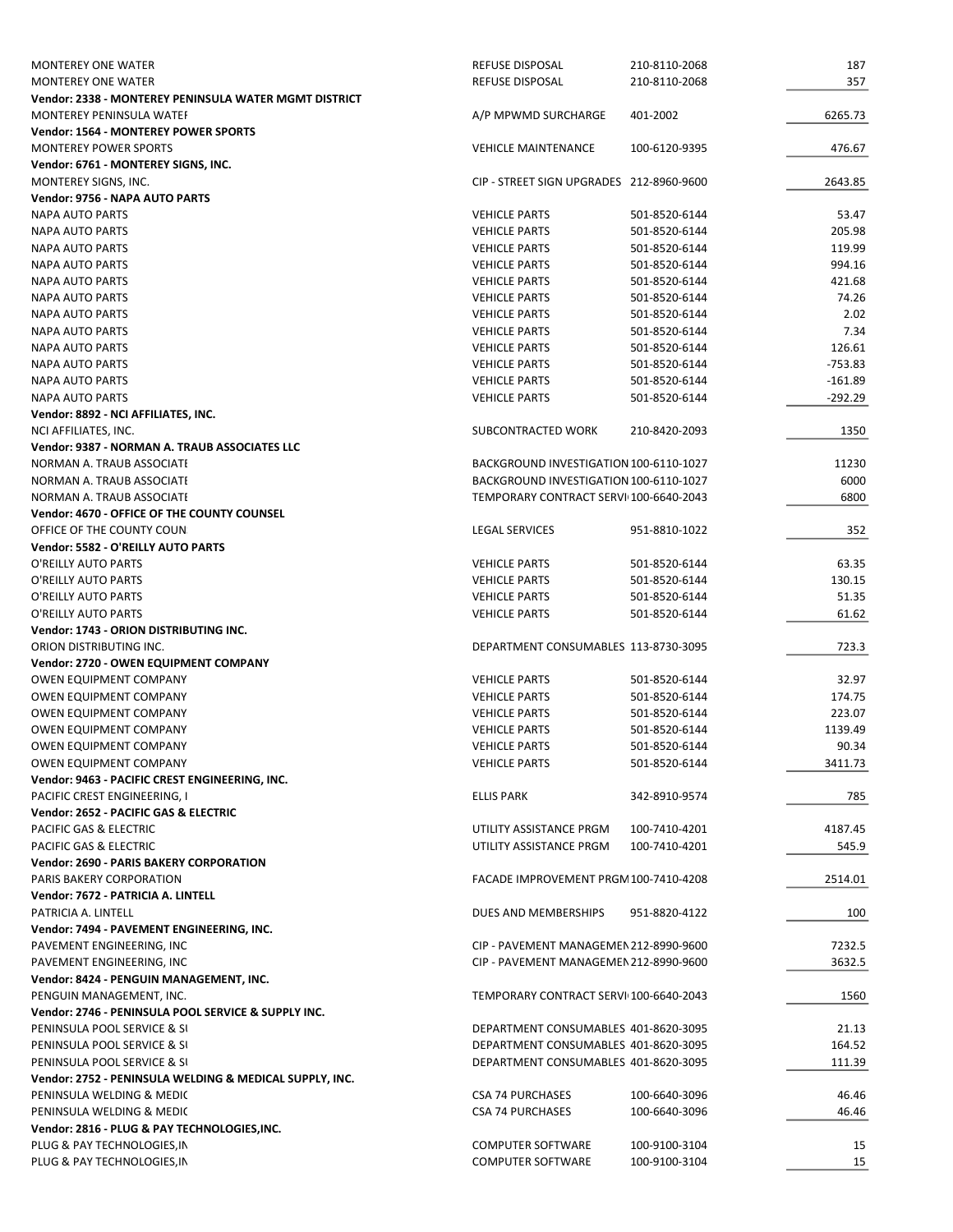| <b>MONTEREY ONE WATER</b>                               | <b>REFUSE DISPOSAL</b>                   | 210-8110-2068 | 187             |
|---------------------------------------------------------|------------------------------------------|---------------|-----------------|
| <b>MONTEREY ONE WATER</b>                               | <b>REFUSE DISPOSAL</b>                   | 210-8110-2068 | 357             |
| Vendor: 2338 - MONTEREY PENINSULA WATER MGMT DISTRICT   |                                          |               |                 |
| MONTEREY PENINSULA WATER                                | A/P MPWMD SURCHARGE                      | 401-2002      | 6265.73         |
| <b>Vendor: 1564 - MONTEREY POWER SPORTS</b>             |                                          |               |                 |
| <b>MONTEREY POWER SPORTS</b>                            | <b>VEHICLE MAINTENANCE</b>               | 100-6120-9395 | 476.67          |
| Vendor: 6761 - MONTEREY SIGNS, INC.                     |                                          |               |                 |
| MONTEREY SIGNS, INC.                                    | CIP - STREET SIGN UPGRADES 212-8960-9600 |               | 2643.85         |
| Vendor: 9756 - NAPA AUTO PARTS                          |                                          |               |                 |
| <b>NAPA AUTO PARTS</b>                                  | <b>VEHICLE PARTS</b>                     | 501-8520-6144 | 53.47           |
| <b>NAPA AUTO PARTS</b>                                  | <b>VEHICLE PARTS</b>                     | 501-8520-6144 | 205.98          |
| <b>NAPA AUTO PARTS</b>                                  | <b>VEHICLE PARTS</b>                     | 501-8520-6144 | 119.99          |
| <b>NAPA AUTO PARTS</b>                                  | <b>VEHICLE PARTS</b>                     | 501-8520-6144 | 994.16          |
| <b>NAPA AUTO PARTS</b>                                  | <b>VEHICLE PARTS</b>                     | 501-8520-6144 | 421.68          |
| <b>NAPA AUTO PARTS</b>                                  | <b>VEHICLE PARTS</b>                     | 501-8520-6144 | 74.26           |
| <b>NAPA AUTO PARTS</b>                                  | <b>VEHICLE PARTS</b>                     | 501-8520-6144 | 2.02            |
| <b>NAPA AUTO PARTS</b>                                  | <b>VEHICLE PARTS</b>                     | 501-8520-6144 | 7.34            |
| <b>NAPA AUTO PARTS</b>                                  | <b>VEHICLE PARTS</b>                     | 501-8520-6144 | 126.61          |
| <b>NAPA AUTO PARTS</b>                                  | <b>VEHICLE PARTS</b>                     | 501-8520-6144 | $-753.83$       |
| <b>NAPA AUTO PARTS</b>                                  | <b>VEHICLE PARTS</b>                     | 501-8520-6144 | $-161.89$       |
| <b>NAPA AUTO PARTS</b>                                  | <b>VEHICLE PARTS</b>                     | 501-8520-6144 | $-292.29$       |
| Vendor: 8892 - NCI AFFILIATES, INC.                     |                                          |               |                 |
| NCI AFFILIATES, INC.                                    | SUBCONTRACTED WORK                       | 210-8420-2093 | 1350            |
| Vendor: 9387 - NORMAN A. TRAUB ASSOCIATES LLC           |                                          |               |                 |
| NORMAN A. TRAUB ASSOCIATE                               | BACKGROUND INVESTIGATION 100-6110-1027   |               | 11230           |
| NORMAN A. TRAUB ASSOCIATE                               | BACKGROUND INVESTIGATION 100-6110-1027   |               | 6000            |
| NORMAN A. TRAUB ASSOCIATE                               | TEMPORARY CONTRACT SERVI 100-6640-2043   |               | 6800            |
| Vendor: 4670 - OFFICE OF THE COUNTY COUNSEL             |                                          |               |                 |
| OFFICE OF THE COUNTY COUN.                              | <b>LEGAL SERVICES</b>                    | 951-8810-1022 | 352             |
| Vendor: 5582 - O'REILLY AUTO PARTS                      |                                          |               |                 |
| O'REILLY AUTO PARTS                                     | <b>VEHICLE PARTS</b>                     | 501-8520-6144 | 63.35           |
| O'REILLY AUTO PARTS                                     | <b>VEHICLE PARTS</b>                     | 501-8520-6144 | 130.15          |
| O'REILLY AUTO PARTS                                     | <b>VEHICLE PARTS</b>                     | 501-8520-6144 | 51.35           |
| O'REILLY AUTO PARTS                                     | <b>VEHICLE PARTS</b>                     | 501-8520-6144 | 61.62           |
| Vendor: 1743 - ORION DISTRIBUTING INC.                  |                                          |               |                 |
| ORION DISTRIBUTING INC.                                 | DEPARTMENT CONSUMABLES 113-8730-3095     |               | 723.3           |
| Vendor: 2720 - OWEN EQUIPMENT COMPANY                   |                                          |               |                 |
|                                                         |                                          |               |                 |
| <b>OWEN EQUIPMENT COMPANY</b>                           | <b>VEHICLE PARTS</b>                     | 501-8520-6144 | 32.97<br>174.75 |
| OWEN EQUIPMENT COMPANY                                  | <b>VEHICLE PARTS</b>                     | 501-8520-6144 |                 |
| OWEN EQUIPMENT COMPANY                                  | <b>VEHICLE PARTS</b>                     | 501-8520-6144 | 223.07          |
| OWEN EQUIPMENT COMPANY                                  | <b>VEHICLE PARTS</b>                     | 501-8520-6144 | 1139.49         |
| <b>OWEN EQUIPMENT COMPANY</b>                           | <b>VEHICLE PARTS</b>                     | 501-8520-6144 | 90.34           |
| OWEN EQUIPMENT COMPANY                                  | <b>VEHICLE PARTS</b>                     | 501-8520-6144 | 3411.73         |
| Vendor: 9463 - PACIFIC CREST ENGINEERING, INC.          |                                          |               |                 |
| PACIFIC CREST ENGINEERING, I                            | <b>ELLIS PARK</b>                        | 342-8910-9574 | 785             |
| Vendor: 2652 - PACIFIC GAS & ELECTRIC                   |                                          |               |                 |
| PACIFIC GAS & ELECTRIC                                  | UTILITY ASSISTANCE PRGM                  | 100-7410-4201 | 4187.45         |
| PACIFIC GAS & ELECTRIC                                  | UTILITY ASSISTANCE PRGM                  | 100-7410-4201 | 545.9           |
| <b>Vendor: 2690 - PARIS BAKERY CORPORATION</b>          |                                          |               |                 |
| PARIS BAKERY CORPORATION                                | FACADE IMPROVEMENT PRGM 100-7410-4208    |               | 2514.01         |
| Vendor: 7672 - PATRICIA A. LINTELL                      |                                          |               |                 |
| PATRICIA A. LINTELL                                     | DUES AND MEMBERSHIPS                     | 951-8820-4122 | 100             |
| Vendor: 7494 - PAVEMENT ENGINEERING, INC.               |                                          |               |                 |
| PAVEMENT ENGINEERING, INC                               | CIP - PAVEMENT MANAGEMEN 212-8990-9600   |               | 7232.5          |
| PAVEMENT ENGINEERING, INC                               | CIP - PAVEMENT MANAGEMEN 212-8990-9600   |               | 3632.5          |
| Vendor: 8424 - PENGUIN MANAGEMENT, INC.                 |                                          |               |                 |
| PENGUIN MANAGEMENT, INC.                                | TEMPORARY CONTRACT SERVI 100-6640-2043   |               | 1560            |
| Vendor: 2746 - PENINSULA POOL SERVICE & SUPPLY INC.     |                                          |               |                 |
| PENINSULA POOL SERVICE & SI                             | DEPARTMENT CONSUMABLES 401-8620-3095     |               | 21.13           |
| PENINSULA POOL SERVICE & SI                             | DEPARTMENT CONSUMABLES 401-8620-3095     |               | 164.52          |
| PENINSULA POOL SERVICE & SI                             | DEPARTMENT CONSUMABLES 401-8620-3095     |               | 111.39          |
| Vendor: 2752 - PENINSULA WELDING & MEDICAL SUPPLY, INC. |                                          |               |                 |
| PENINSULA WELDING & MEDIC                               | <b>CSA 74 PURCHASES</b>                  | 100-6640-3096 | 46.46           |
| PENINSULA WELDING & MEDIC                               | <b>CSA 74 PURCHASES</b>                  | 100-6640-3096 | 46.46           |
| Vendor: 2816 - PLUG & PAY TECHNOLOGIES, INC.            |                                          |               |                 |
| PLUG & PAY TECHNOLOGIES, IN                             | <b>COMPUTER SOFTWARE</b>                 | 100-9100-3104 | 15              |
| PLUG & PAY TECHNOLOGIES, IN                             | <b>COMPUTER SOFTWARE</b>                 | 100-9100-3104 | 15              |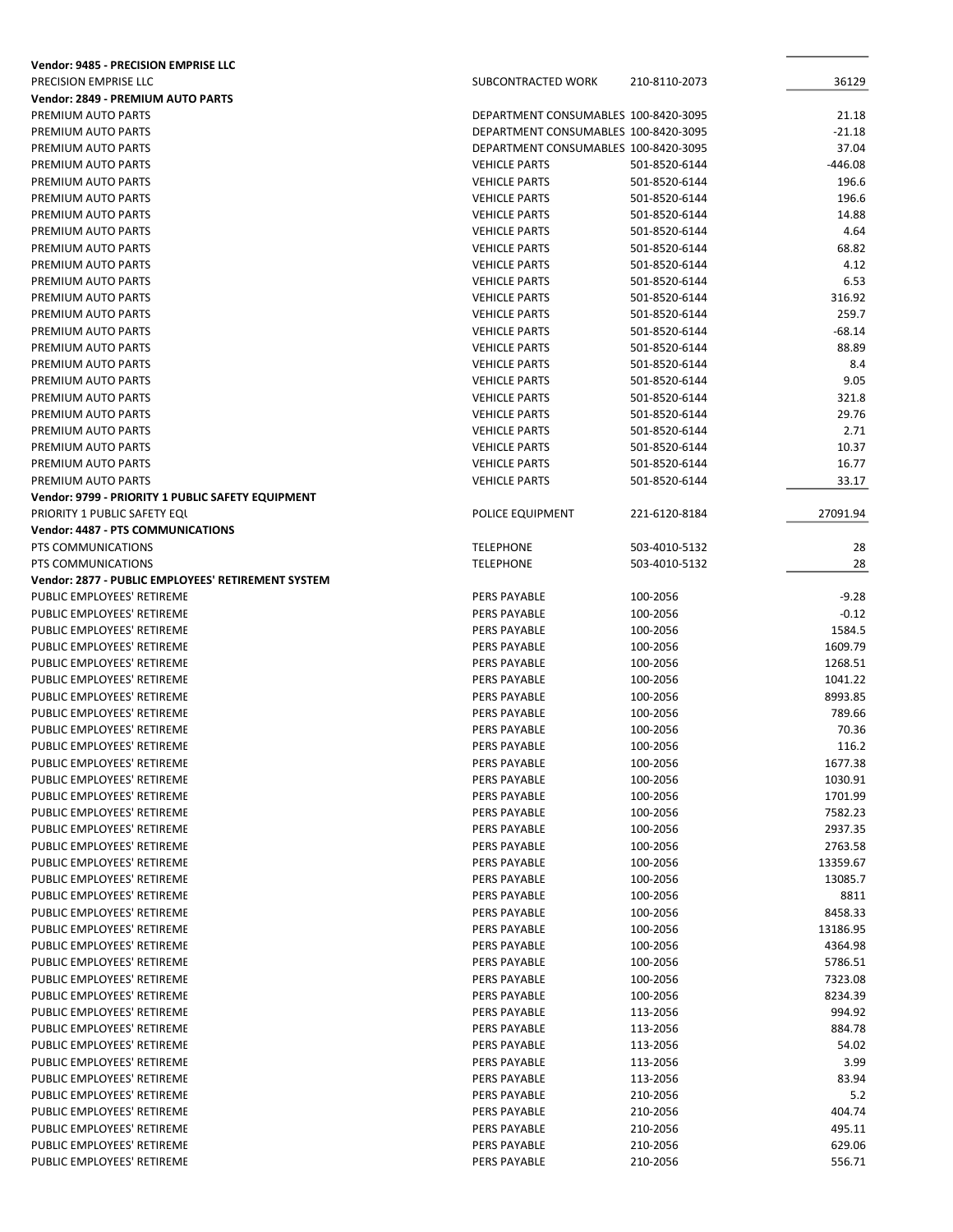| Vendor: 9485 - PRECISION EMPRISE LLC               |                                      |               |           |
|----------------------------------------------------|--------------------------------------|---------------|-----------|
| PRECISION EMPRISE LLC                              | SUBCONTRACTED WORK                   | 210-8110-2073 | 36129     |
| <b>Vendor: 2849 - PREMIUM AUTO PARTS</b>           |                                      |               |           |
| PREMIUM AUTO PARTS                                 | DEPARTMENT CONSUMABLES 100-8420-3095 |               | 21.18     |
| PREMIUM AUTO PARTS                                 | DEPARTMENT CONSUMABLES 100-8420-3095 |               | -21.18    |
| PREMIUM AUTO PARTS                                 | DEPARTMENT CONSUMABLES 100-8420-3095 |               | 37.04     |
| PREMIUM AUTO PARTS                                 | <b>VEHICLE PARTS</b>                 | 501-8520-6144 | $-446.08$ |
| PREMIUM AUTO PARTS                                 | <b>VEHICLE PARTS</b>                 | 501-8520-6144 | 196.6     |
| PREMIUM AUTO PARTS                                 | <b>VEHICLE PARTS</b>                 | 501-8520-6144 | 196.6     |
| PREMIUM AUTO PARTS                                 | <b>VEHICLE PARTS</b>                 | 501-8520-6144 | 14.88     |
| PREMIUM AUTO PARTS                                 | <b>VEHICLE PARTS</b>                 | 501-8520-6144 | 4.64      |
| PREMIUM AUTO PARTS                                 | <b>VEHICLE PARTS</b>                 | 501-8520-6144 | 68.82     |
| PREMIUM AUTO PARTS                                 | <b>VEHICLE PARTS</b>                 | 501-8520-6144 | 4.12      |
| PREMIUM AUTO PARTS                                 | <b>VEHICLE PARTS</b>                 | 501-8520-6144 | 6.53      |
| PREMIUM AUTO PARTS                                 | <b>VEHICLE PARTS</b>                 | 501-8520-6144 | 316.92    |
| PREMIUM AUTO PARTS                                 | <b>VEHICLE PARTS</b>                 | 501-8520-6144 | 259.7     |
| PREMIUM AUTO PARTS                                 | <b>VEHICLE PARTS</b>                 | 501-8520-6144 | -68.14    |
| PREMIUM AUTO PARTS                                 | <b>VEHICLE PARTS</b>                 | 501-8520-6144 | 88.89     |
| PREMIUM AUTO PARTS                                 | <b>VEHICLE PARTS</b>                 | 501-8520-6144 | 8.4       |
| PREMIUM AUTO PARTS                                 | <b>VEHICLE PARTS</b>                 | 501-8520-6144 | 9.05      |
| PREMIUM AUTO PARTS                                 | <b>VEHICLE PARTS</b>                 | 501-8520-6144 | 321.8     |
| PREMIUM AUTO PARTS                                 | <b>VEHICLE PARTS</b>                 | 501-8520-6144 | 29.76     |
| PREMIUM AUTO PARTS                                 | <b>VEHICLE PARTS</b>                 | 501-8520-6144 | 2.71      |
| PREMIUM AUTO PARTS                                 | <b>VEHICLE PARTS</b>                 | 501-8520-6144 | 10.37     |
| PREMIUM AUTO PARTS                                 | <b>VEHICLE PARTS</b>                 | 501-8520-6144 | 16.77     |
| PREMIUM AUTO PARTS                                 | <b>VEHICLE PARTS</b>                 | 501-8520-6144 | 33.17     |
| Vendor: 9799 - PRIORITY 1 PUBLIC SAFETY EQUIPMENT  |                                      |               |           |
| PRIORITY 1 PUBLIC SAFETY EQU                       | POLICE EQUIPMENT                     |               | 27091.94  |
| <b>Vendor: 4487 - PTS COMMUNICATIONS</b>           |                                      | 221-6120-8184 |           |
| PTS COMMUNICATIONS                                 | <b>TELEPHONE</b>                     | 503-4010-5132 | 28        |
| PTS COMMUNICATIONS                                 | <b>TELEPHONE</b>                     | 503-4010-5132 | 28        |
| Vendor: 2877 - PUBLIC EMPLOYEES' RETIREMENT SYSTEM |                                      |               |           |
|                                                    |                                      |               |           |
| PUBLIC EMPLOYEES' RETIREME                         | PERS PAYABLE                         | 100-2056      | $-9.28$   |
| PUBLIC EMPLOYEES' RETIREME                         | PERS PAYABLE                         | 100-2056      | $-0.12$   |
| PUBLIC EMPLOYEES' RETIREME                         | PERS PAYABLE                         | 100-2056      | 1584.5    |
| PUBLIC EMPLOYEES' RETIREME                         | PERS PAYABLE                         | 100-2056      | 1609.79   |
| PUBLIC EMPLOYEES' RETIREME                         | PERS PAYABLE                         | 100-2056      | 1268.51   |
| PUBLIC EMPLOYEES' RETIREME                         | PERS PAYABLE                         | 100-2056      | 1041.22   |
| PUBLIC EMPLOYEES' RETIREME                         | PERS PAYABLE                         | 100-2056      | 8993.85   |
| PUBLIC EMPLOYEES' RETIREME                         | PERS PAYABLE                         | 100-2056      | 789.66    |
| PUBLIC EMPLOYEES' RETIREME                         | PERS PAYABLE                         | 100-2056      | 70.36     |
| PUBLIC EMPLOYEES' RETIREME                         | <b>PERS PAYABLE</b>                  | 100-2056      | 116.2     |
| PUBLIC EMPLOYEES' RETIREME                         | PERS PAYABLE                         | 100-2056      | 1677.38   |
| PUBLIC EMPLOYEES' RETIREME                         | PERS PAYABLE                         | 100-2056      | 1030.91   |
| PUBLIC EMPLOYEES' RETIREME                         | PERS PAYABLE                         | 100-2056      | 1701.99   |
| PUBLIC EMPLOYEES' RETIREME                         | PERS PAYABLE                         | 100-2056      | 7582.23   |
| PUBLIC EMPLOYEES' RETIREME                         | PERS PAYABLE                         | 100-2056      | 2937.35   |
| PUBLIC EMPLOYEES' RETIREME                         | PERS PAYABLE                         | 100-2056      | 2763.58   |
| PUBLIC EMPLOYEES' RETIREME                         | PERS PAYABLE                         | 100-2056      | 13359.67  |
| PUBLIC EMPLOYEES' RETIREME                         | PERS PAYABLE                         | 100-2056      | 13085.7   |
| PUBLIC EMPLOYEES' RETIREME                         | PERS PAYABLE                         | 100-2056      | 8811      |
| PUBLIC EMPLOYEES' RETIREME                         | PERS PAYABLE                         | 100-2056      | 8458.33   |
| PUBLIC EMPLOYEES' RETIREME                         | PERS PAYABLE                         | 100-2056      | 13186.95  |
| PUBLIC EMPLOYEES' RETIREME                         | PERS PAYABLE                         | 100-2056      | 4364.98   |
| PUBLIC EMPLOYEES' RETIREME                         | PERS PAYABLE                         | 100-2056      | 5786.51   |
| PUBLIC EMPLOYEES' RETIREME                         | PERS PAYABLE                         | 100-2056      | 7323.08   |
| PUBLIC EMPLOYEES' RETIREME                         | PERS PAYABLE                         | 100-2056      | 8234.39   |
| PUBLIC EMPLOYEES' RETIREME                         | PERS PAYABLE                         | 113-2056      | 994.92    |
| PUBLIC EMPLOYEES' RETIREME                         | PERS PAYABLE                         | 113-2056      | 884.78    |
| PUBLIC EMPLOYEES' RETIREME                         | PERS PAYABLE                         | 113-2056      | 54.02     |
| PUBLIC EMPLOYEES' RETIREME                         | PERS PAYABLE                         | 113-2056      | 3.99      |
| PUBLIC EMPLOYEES' RETIREME                         | PERS PAYABLE                         | 113-2056      | 83.94     |
| PUBLIC EMPLOYEES' RETIREME                         | PERS PAYABLE                         | 210-2056      | 5.2       |
| PUBLIC EMPLOYEES' RETIREME                         | PERS PAYABLE                         | 210-2056      | 404.74    |
| PUBLIC EMPLOYEES' RETIREME                         | PERS PAYABLE                         | 210-2056      | 495.11    |
| PUBLIC EMPLOYEES' RETIREME                         | PERS PAYABLE                         | 210-2056      | 629.06    |
| PUBLIC EMPLOYEES' RETIREME                         | PERS PAYABLE                         | 210-2056      | 556.71    |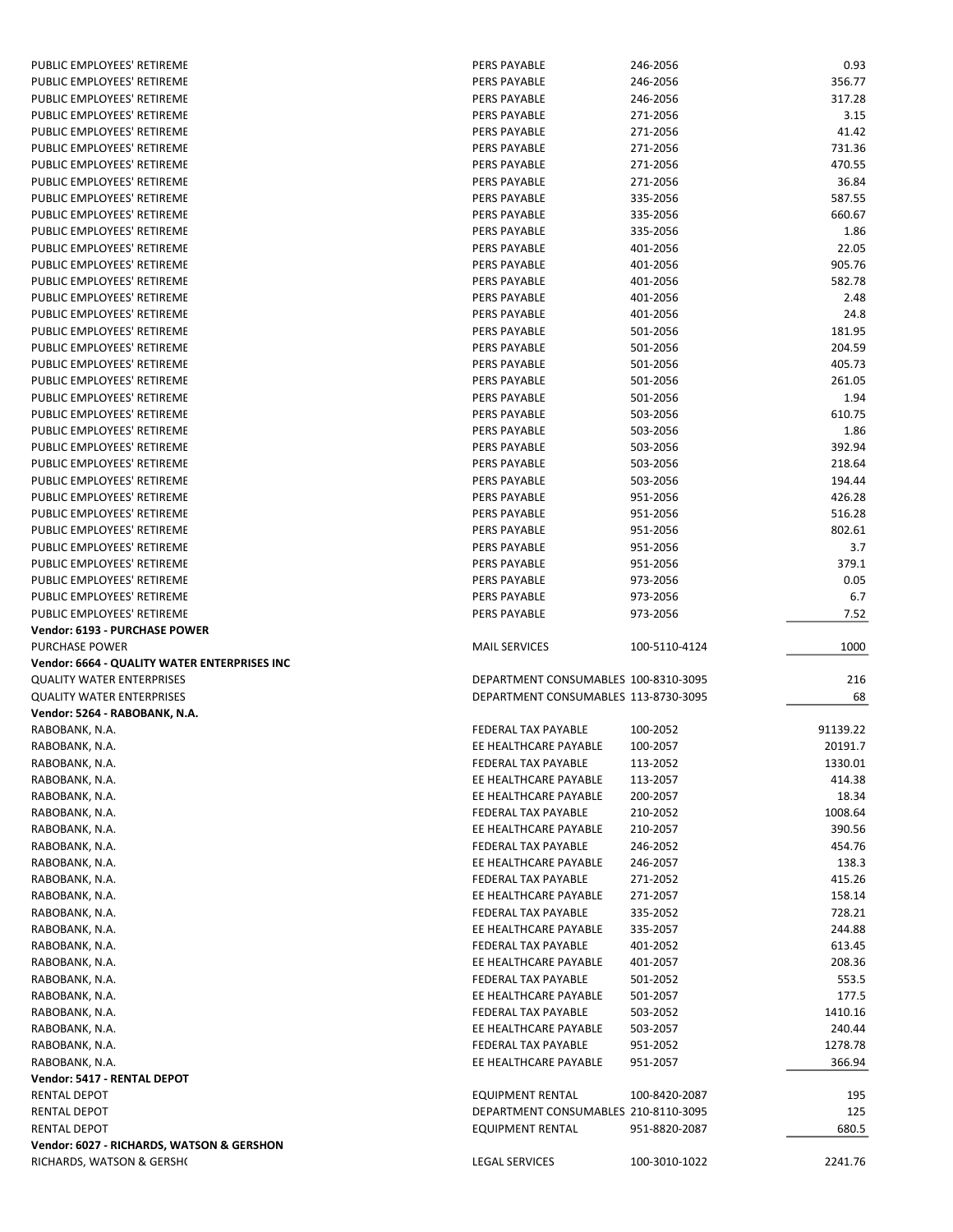| PUBLIC EMPLOYEES' RETIREME                   | PERS PAYABLE                         | 246-2056      | 0.93             |
|----------------------------------------------|--------------------------------------|---------------|------------------|
| PUBLIC EMPLOYEES' RETIREME                   | <b>PERS PAYABLE</b>                  | 246-2056      | 356.77           |
| PUBLIC EMPLOYEES' RETIREME                   | <b>PERS PAYABLE</b>                  | 246-2056      | 317.28           |
| PUBLIC EMPLOYEES' RETIREME                   | <b>PERS PAYABLE</b>                  | 271-2056      | 3.15             |
| PUBLIC EMPLOYEES' RETIREME                   | <b>PERS PAYABLE</b>                  | 271-2056      | 41.42            |
| PUBLIC EMPLOYEES' RETIREME                   | <b>PERS PAYABLE</b>                  | 271-2056      | 731.36           |
| PUBLIC EMPLOYEES' RETIREME                   | <b>PERS PAYABLE</b>                  | 271-2056      | 470.55           |
| PUBLIC EMPLOYEES' RETIREME                   | PERS PAYABLE                         | 271-2056      | 36.84            |
| PUBLIC EMPLOYEES' RETIREME                   | <b>PERS PAYABLE</b>                  | 335-2056      | 587.55           |
| PUBLIC EMPLOYEES' RETIREME                   | PERS PAYABLE                         | 335-2056      | 660.67           |
| PUBLIC EMPLOYEES' RETIREME                   | <b>PERS PAYABLE</b>                  | 335-2056      | 1.86             |
| PUBLIC EMPLOYEES' RETIREME                   | <b>PERS PAYABLE</b>                  | 401-2056      | 22.05            |
| PUBLIC EMPLOYEES' RETIREME                   | <b>PERS PAYABLE</b>                  | 401-2056      | 905.76           |
| PUBLIC EMPLOYEES' RETIREME                   | <b>PERS PAYABLE</b>                  | 401-2056      | 582.78           |
| PUBLIC EMPLOYEES' RETIREME                   | PERS PAYABLE                         | 401-2056      | 2.48             |
| PUBLIC EMPLOYEES' RETIREME                   | PERS PAYABLE                         | 401-2056      | 24.8             |
| PUBLIC EMPLOYEES' RETIREME                   | <b>PERS PAYABLE</b>                  | 501-2056      | 181.95           |
| PUBLIC EMPLOYEES' RETIREME                   | PERS PAYABLE                         | 501-2056      | 204.59           |
| PUBLIC EMPLOYEES' RETIREME                   | <b>PERS PAYABLE</b>                  | 501-2056      | 405.73           |
| PUBLIC EMPLOYEES' RETIREME                   | <b>PERS PAYABLE</b>                  | 501-2056      | 261.05           |
| PUBLIC EMPLOYEES' RETIREME                   | <b>PERS PAYABLE</b>                  | 501-2056      | 1.94             |
| PUBLIC EMPLOYEES' RETIREME                   | <b>PERS PAYABLE</b>                  | 503-2056      | 610.75           |
| PUBLIC EMPLOYEES' RETIREME                   | <b>PERS PAYABLE</b>                  | 503-2056      | 1.86             |
| PUBLIC EMPLOYEES' RETIREME                   | PERS PAYABLE                         | 503-2056      | 392.94           |
|                                              | <b>PERS PAYABLE</b>                  |               |                  |
| PUBLIC EMPLOYEES' RETIREME                   |                                      | 503-2056      | 218.64<br>194.44 |
| PUBLIC EMPLOYEES' RETIREME                   | PERS PAYABLE                         | 503-2056      |                  |
| PUBLIC EMPLOYEES' RETIREME                   | <b>PERS PAYABLE</b>                  | 951-2056      | 426.28           |
| PUBLIC EMPLOYEES' RETIREME                   | <b>PERS PAYABLE</b>                  | 951-2056      | 516.28           |
| PUBLIC EMPLOYEES' RETIREME                   | <b>PERS PAYABLE</b>                  | 951-2056      | 802.61           |
| PUBLIC EMPLOYEES' RETIREME                   | <b>PERS PAYABLE</b>                  | 951-2056      | 3.7              |
| PUBLIC EMPLOYEES' RETIREME                   | <b>PERS PAYABLE</b>                  | 951-2056      | 379.1            |
| PUBLIC EMPLOYEES' RETIREME                   | PERS PAYABLE                         | 973-2056      | 0.05             |
| PUBLIC EMPLOYEES' RETIREME                   | PERS PAYABLE                         | 973-2056      | 6.7              |
| PUBLIC EMPLOYEES' RETIREME                   | PERS PAYABLE                         | 973-2056      | 7.52             |
| Vendor: 6193 - PURCHASE POWER                |                                      |               |                  |
| <b>PURCHASE POWER</b>                        | <b>MAIL SERVICES</b>                 | 100-5110-4124 | 1000             |
| Vendor: 6664 - QUALITY WATER ENTERPRISES INC |                                      |               |                  |
| <b>QUALITY WATER ENTERPRISES</b>             | DEPARTMENT CONSUMABLES 100-8310-3095 |               | 216              |
| <b>QUALITY WATER ENTERPRISES</b>             | DEPARTMENT CONSUMABLES 113-8730-3095 |               | 68               |
| Vendor: 5264 - RABOBANK, N.A.                |                                      |               |                  |
| RABOBANK, N.A.                               | <b>FEDERAL TAX PAYABLE</b>           | 100-2052      | 91139.22         |
| RABOBANK, N.A.                               | EE HEALTHCARE PAYABLE                | 100-2057      | 20191.7          |
| RABOBANK, N.A.                               | FEDERAL TAX PAYABLE                  | 113-2052      | 1330.01          |
| RABOBANK, N.A.                               | EE HEALTHCARE PAYABLE                | 113-2057      | 414.38           |
| RABOBANK, N.A.                               | EE HEALTHCARE PAYABLE                | 200-2057      | 18.34            |
| RABOBANK, N.A.                               |                                      |               |                  |
| RABOBANK, N.A.                               | FEDERAL TAX PAYABLE                  | 210-2052      | 1008.64          |
|                                              | EE HEALTHCARE PAYABLE                | 210-2057      | 390.56           |
| RABOBANK, N.A.                               | FEDERAL TAX PAYABLE                  | 246-2052      | 454.76           |
| RABOBANK, N.A.                               | EE HEALTHCARE PAYABLE                | 246-2057      | 138.3            |
| RABOBANK, N.A.                               | FEDERAL TAX PAYABLE                  | 271-2052      | 415.26           |
| RABOBANK, N.A.                               | EE HEALTHCARE PAYABLE                | 271-2057      | 158.14           |
| RABOBANK, N.A.                               | FEDERAL TAX PAYABLE                  | 335-2052      | 728.21           |
| RABOBANK, N.A.                               | EE HEALTHCARE PAYABLE                | 335-2057      | 244.88           |
| RABOBANK, N.A.                               | FEDERAL TAX PAYABLE                  | 401-2052      | 613.45           |
| RABOBANK, N.A.                               | EE HEALTHCARE PAYABLE                | 401-2057      | 208.36           |
| RABOBANK, N.A.                               | FEDERAL TAX PAYABLE                  | 501-2052      | 553.5            |
| RABOBANK, N.A.                               | EE HEALTHCARE PAYABLE                | 501-2057      | 177.5            |
| RABOBANK, N.A.                               | FEDERAL TAX PAYABLE                  | 503-2052      | 1410.16          |
| RABOBANK, N.A.                               | EE HEALTHCARE PAYABLE                | 503-2057      | 240.44           |
| RABOBANK, N.A.                               | FEDERAL TAX PAYABLE                  | 951-2052      | 1278.78          |
| RABOBANK, N.A.                               | EE HEALTHCARE PAYABLE                | 951-2057      | 366.94           |
| Vendor: 5417 - RENTAL DEPOT                  |                                      |               |                  |
| RENTAL DEPOT                                 | <b>EQUIPMENT RENTAL</b>              | 100-8420-2087 | 195              |
| RENTAL DEPOT                                 | DEPARTMENT CONSUMABLES 210-8110-3095 |               | 125              |
| RENTAL DEPOT                                 | <b>EQUIPMENT RENTAL</b>              | 951-8820-2087 | 680.5            |
| Vendor: 6027 - RICHARDS, WATSON & GERSHON    |                                      |               |                  |
| RICHARDS, WATSON & GERSH(                    | <b>LEGAL SERVICES</b>                | 100-3010-1022 | 2241.76          |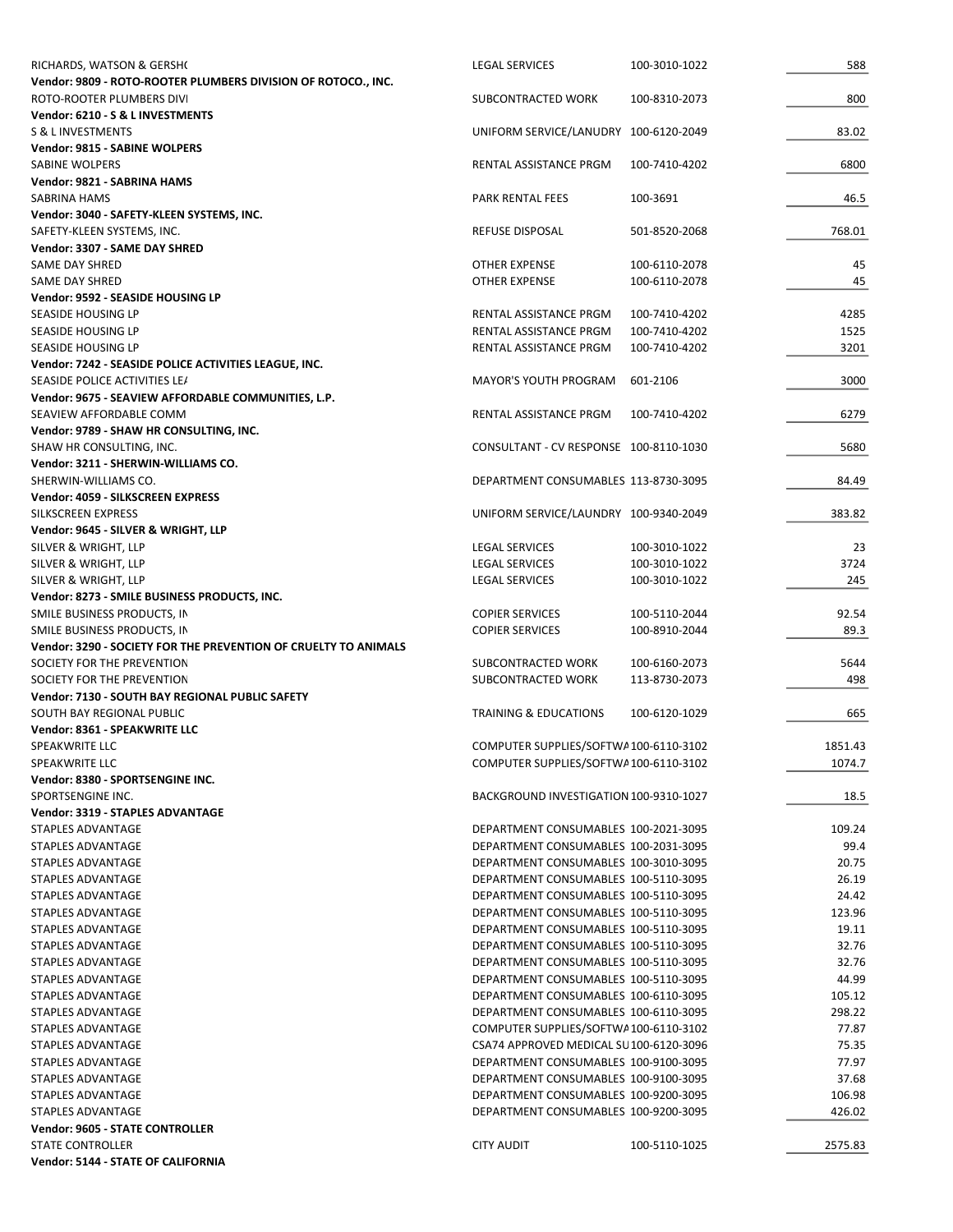| RICHARDS, WATSON & GERSHO                                       | <b>LEGAL SERVICES</b>                                                        | 100-3010-1022 | 588              |
|-----------------------------------------------------------------|------------------------------------------------------------------------------|---------------|------------------|
| Vendor: 9809 - ROTO-ROOTER PLUMBERS DIVISION OF ROTOCO., INC.   |                                                                              |               |                  |
| ROTO-ROOTER PLUMBERS DIVI                                       | SUBCONTRACTED WORK                                                           | 100-8310-2073 | 800              |
| Vendor: 6210 - S & L INVESTMENTS                                |                                                                              |               |                  |
| S & L INVESTMENTS                                               | UNIFORM SERVICE/LANUDRY 100-6120-2049                                        |               | 83.02            |
| Vendor: 9815 - SABINE WOLPERS                                   |                                                                              |               |                  |
| SABINE WOLPERS<br>Vendor: 9821 - SABRINA HAMS                   | RENTAL ASSISTANCE PRGM                                                       | 100-7410-4202 | 6800             |
| SABRINA HAMS                                                    | PARK RENTAL FEES                                                             | 100-3691      | 46.5             |
| Vendor: 3040 - SAFETY-KLEEN SYSTEMS, INC.                       |                                                                              |               |                  |
| SAFETY-KLEEN SYSTEMS, INC.                                      | REFUSE DISPOSAL                                                              | 501-8520-2068 | 768.01           |
| Vendor: 3307 - SAME DAY SHRED                                   |                                                                              |               |                  |
| SAME DAY SHRED                                                  | OTHER EXPENSE                                                                | 100-6110-2078 | 45               |
| SAME DAY SHRED                                                  | <b>OTHER EXPENSE</b>                                                         | 100-6110-2078 | 45               |
| Vendor: 9592 - SEASIDE HOUSING LP                               |                                                                              |               |                  |
| SEASIDE HOUSING LP                                              | RENTAL ASSISTANCE PRGM                                                       | 100-7410-4202 | 4285             |
| SEASIDE HOUSING LP                                              | RENTAL ASSISTANCE PRGM                                                       | 100-7410-4202 | 1525             |
| SEASIDE HOUSING LP                                              | RENTAL ASSISTANCE PRGM                                                       | 100-7410-4202 | 3201             |
| Vendor: 7242 - SEASIDE POLICE ACTIVITIES LEAGUE, INC.           |                                                                              |               |                  |
| SEASIDE POLICE ACTIVITIES LE/                                   | <b>MAYOR'S YOUTH PROGRAM</b>                                                 | 601-2106      | 3000             |
| Vendor: 9675 - SEAVIEW AFFORDABLE COMMUNITIES, L.P.             |                                                                              |               |                  |
| SEAVIEW AFFORDABLE COMM                                         | RENTAL ASSISTANCE PRGM                                                       | 100-7410-4202 | 6279             |
| Vendor: 9789 - SHAW HR CONSULTING, INC.                         |                                                                              |               |                  |
| SHAW HR CONSULTING, INC.                                        | CONSULTANT - CV RESPONSE 100-8110-1030                                       |               | 5680             |
| Vendor: 3211 - SHERWIN-WILLIAMS CO.                             |                                                                              |               |                  |
| SHERWIN-WILLIAMS CO.                                            | DEPARTMENT CONSUMABLES 113-8730-3095                                         |               | 84.49            |
| Vendor: 4059 - SILKSCREEN EXPRESS                               |                                                                              |               |                  |
| SILKSCREEN EXPRESS                                              | UNIFORM SERVICE/LAUNDRY 100-9340-2049                                        |               | 383.82           |
| Vendor: 9645 - SILVER & WRIGHT, LLP                             |                                                                              |               |                  |
| SILVER & WRIGHT, LLP                                            | <b>LEGAL SERVICES</b>                                                        | 100-3010-1022 | 23               |
| SILVER & WRIGHT, LLP                                            | LEGAL SERVICES                                                               | 100-3010-1022 | 3724             |
| SILVER & WRIGHT, LLP                                            | <b>LEGAL SERVICES</b>                                                        | 100-3010-1022 | 245              |
| Vendor: 8273 - SMILE BUSINESS PRODUCTS, INC.                    |                                                                              |               |                  |
| SMILE BUSINESS PRODUCTS, IN                                     | <b>COPIER SERVICES</b>                                                       | 100-5110-2044 | 92.54            |
| SMILE BUSINESS PRODUCTS, IN                                     | <b>COPIER SERVICES</b>                                                       | 100-8910-2044 | 89.3             |
| Vendor: 3290 - SOCIETY FOR THE PREVENTION OF CRUELTY TO ANIMALS |                                                                              |               |                  |
| SOCIETY FOR THE PREVENTION                                      | SUBCONTRACTED WORK                                                           | 100-6160-2073 | 5644             |
| SOCIETY FOR THE PREVENTION                                      | SUBCONTRACTED WORK                                                           | 113-8730-2073 | 498              |
| Vendor: 7130 - SOUTH BAY REGIONAL PUBLIC SAFETY                 |                                                                              |               |                  |
| SOUTH BAY REGIONAL PUBLIC                                       | <b>TRAINING &amp; EDUCATIONS</b>                                             | 100-6120-1029 | 665              |
| Vendor: 8361 - SPEAKWRITE LLC                                   |                                                                              |               |                  |
| SPEAKWRITE LLC                                                  | COMPUTER SUPPLIES/SOFTWA100-6110-3102                                        |               | 1851.43          |
| <b>SPEAKWRITE LLC</b>                                           | COMPUTER SUPPLIES/SOFTWA100-6110-3102                                        |               | 1074.7           |
| Vendor: 8380 - SPORTSENGINE INC.                                |                                                                              |               |                  |
| SPORTSENGINE INC.                                               | BACKGROUND INVESTIGATION 100-9310-1027                                       |               | 18.5             |
| <b>Vendor: 3319 - STAPLES ADVANTAGE</b>                         |                                                                              |               |                  |
| <b>STAPLES ADVANTAGE</b>                                        | DEPARTMENT CONSUMABLES 100-2021-3095                                         |               | 109.24           |
| STAPLES ADVANTAGE                                               | DEPARTMENT CONSUMABLES 100-2031-3095                                         |               | 99.4             |
| STAPLES ADVANTAGE                                               | DEPARTMENT CONSUMABLES 100-3010-3095                                         |               | 20.75            |
| STAPLES ADVANTAGE                                               | DEPARTMENT CONSUMABLES 100-5110-3095                                         |               | 26.19            |
| STAPLES ADVANTAGE                                               | DEPARTMENT CONSUMABLES 100-5110-3095                                         |               | 24.42            |
| STAPLES ADVANTAGE                                               | DEPARTMENT CONSUMABLES 100-5110-3095                                         |               | 123.96           |
| STAPLES ADVANTAGE                                               | DEPARTMENT CONSUMABLES 100-5110-3095                                         |               | 19.11            |
| STAPLES ADVANTAGE                                               | DEPARTMENT CONSUMABLES 100-5110-3095                                         |               | 32.76            |
| STAPLES ADVANTAGE<br>STAPLES ADVANTAGE                          | DEPARTMENT CONSUMABLES 100-5110-3095<br>DEPARTMENT CONSUMABLES 100-5110-3095 |               | 32.76<br>44.99   |
|                                                                 |                                                                              |               |                  |
| STAPLES ADVANTAGE<br>STAPLES ADVANTAGE                          | DEPARTMENT CONSUMABLES 100-6110-3095<br>DEPARTMENT CONSUMABLES 100-6110-3095 |               | 105.12<br>298.22 |
| STAPLES ADVANTAGE                                               | COMPUTER SUPPLIES/SOFTWA100-6110-3102                                        |               | 77.87            |
| STAPLES ADVANTAGE                                               | CSA74 APPROVED MEDICAL SU100-6120-3096                                       |               | 75.35            |
| STAPLES ADVANTAGE                                               | DEPARTMENT CONSUMABLES 100-9100-3095                                         |               | 77.97            |
| STAPLES ADVANTAGE                                               | DEPARTMENT CONSUMABLES 100-9100-3095                                         |               | 37.68            |
| STAPLES ADVANTAGE                                               | DEPARTMENT CONSUMABLES 100-9200-3095                                         |               | 106.98           |
| STAPLES ADVANTAGE                                               | DEPARTMENT CONSUMABLES 100-9200-3095                                         |               | 426.02           |
| <b>Vendor: 9605 - STATE CONTROLLER</b>                          |                                                                              |               |                  |
| STATE CONTROLLER                                                | <b>CITY AUDIT</b>                                                            | 100-5110-1025 | 2575.83          |
| Vendor: 5144 - STATE OF CALIFORNIA                              |                                                                              |               |                  |
|                                                                 |                                                                              |               |                  |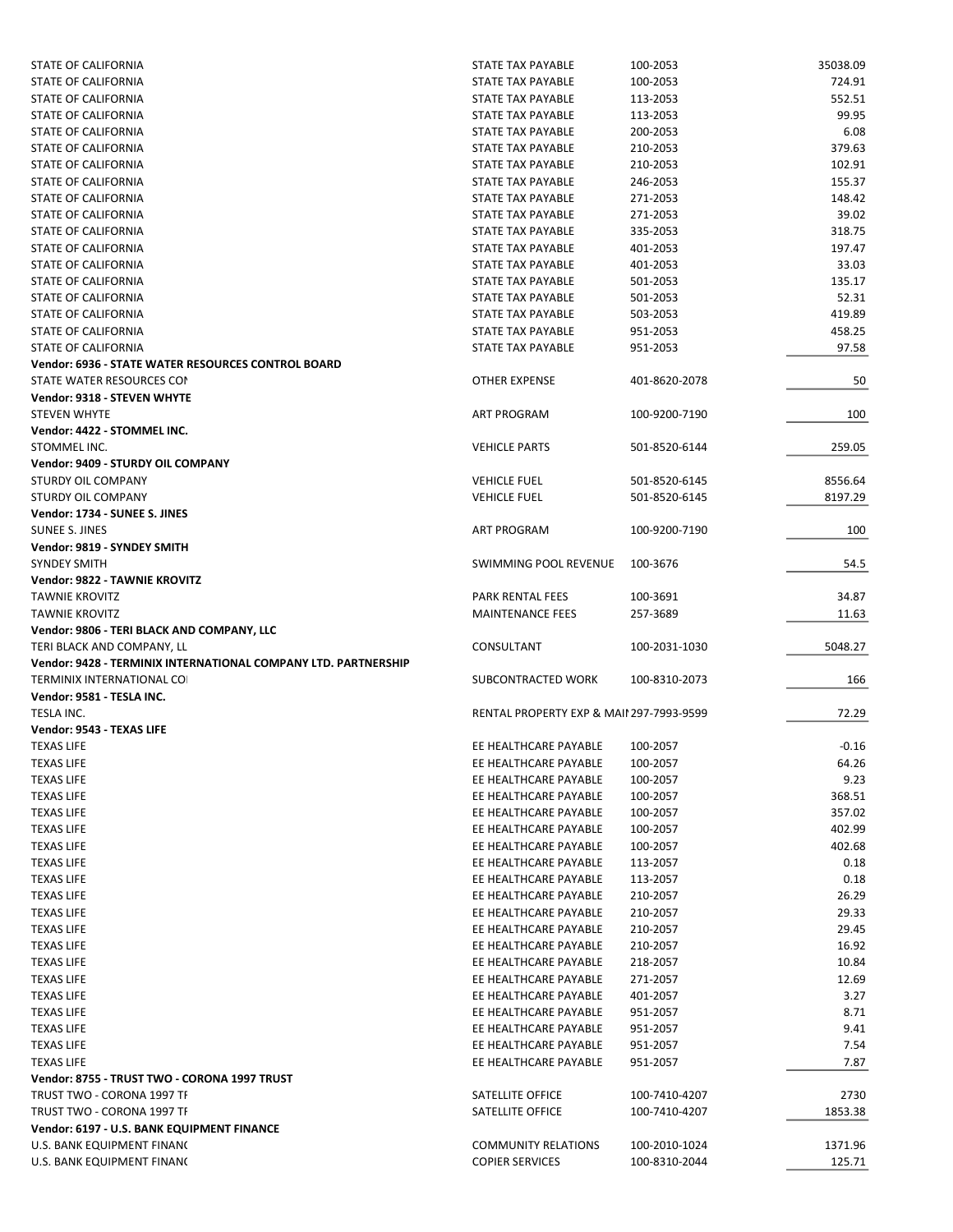| <b>STATE OF CALIFORNIA</b>                                                                                                                                                                                                                                                                                                                                            | STATE TAX PAYABLE                                    | 100-2053                       | 35038.09          |
|-----------------------------------------------------------------------------------------------------------------------------------------------------------------------------------------------------------------------------------------------------------------------------------------------------------------------------------------------------------------------|------------------------------------------------------|--------------------------------|-------------------|
| <b>STATE OF CALIFORNIA</b>                                                                                                                                                                                                                                                                                                                                            | STATE TAX PAYABLE                                    | 100-2053                       | 724.91            |
| STATE OF CALIFORNIA                                                                                                                                                                                                                                                                                                                                                   | <b>STATE TAX PAYABLE</b>                             | 113-2053                       | 552.51            |
| STATE OF CALIFORNIA                                                                                                                                                                                                                                                                                                                                                   | STATE TAX PAYABLE                                    | 113-2053                       | 99.95             |
| STATE OF CALIFORNIA                                                                                                                                                                                                                                                                                                                                                   | STATE TAX PAYABLE                                    | 200-2053                       | 6.08              |
| STATE OF CALIFORNIA                                                                                                                                                                                                                                                                                                                                                   | STATE TAX PAYABLE                                    | 210-2053                       | 379.63            |
| STATE OF CALIFORNIA                                                                                                                                                                                                                                                                                                                                                   | STATE TAX PAYABLE                                    | 210-2053                       | 102.91            |
| STATE OF CALIFORNIA                                                                                                                                                                                                                                                                                                                                                   | STATE TAX PAYABLE                                    | 246-2053                       | 155.37            |
| STATE OF CALIFORNIA                                                                                                                                                                                                                                                                                                                                                   | STATE TAX PAYABLE                                    | 271-2053                       | 148.42            |
| STATE OF CALIFORNIA                                                                                                                                                                                                                                                                                                                                                   | <b>STATE TAX PAYABLE</b>                             | 271-2053                       | 39.02             |
| STATE OF CALIFORNIA                                                                                                                                                                                                                                                                                                                                                   | STATE TAX PAYABLE                                    | 335-2053                       | 318.75            |
| STATE OF CALIFORNIA                                                                                                                                                                                                                                                                                                                                                   | <b>STATE TAX PAYABLE</b>                             | 401-2053                       | 197.47            |
| STATE OF CALIFORNIA                                                                                                                                                                                                                                                                                                                                                   | STATE TAX PAYABLE                                    | 401-2053                       | 33.03             |
| STATE OF CALIFORNIA                                                                                                                                                                                                                                                                                                                                                   | STATE TAX PAYABLE                                    | 501-2053                       | 135.17            |
| STATE OF CALIFORNIA                                                                                                                                                                                                                                                                                                                                                   | STATE TAX PAYABLE                                    | 501-2053                       | 52.31             |
| STATE OF CALIFORNIA                                                                                                                                                                                                                                                                                                                                                   | STATE TAX PAYABLE                                    | 503-2053                       | 419.89            |
| STATE OF CALIFORNIA                                                                                                                                                                                                                                                                                                                                                   | STATE TAX PAYABLE                                    | 951-2053                       | 458.25            |
| STATE OF CALIFORNIA                                                                                                                                                                                                                                                                                                                                                   | STATE TAX PAYABLE                                    | 951-2053                       | 97.58             |
| <b>Vendor: 6936 - STATE WATER RESOURCES CONTROL BOARD</b>                                                                                                                                                                                                                                                                                                             |                                                      |                                |                   |
| STATE WATER RESOURCES CON                                                                                                                                                                                                                                                                                                                                             | <b>OTHER EXPENSE</b>                                 | 401-8620-2078                  | 50                |
| Vendor: 9318 - STEVEN WHYTE                                                                                                                                                                                                                                                                                                                                           |                                                      |                                |                   |
| <b>STEVEN WHYTE</b>                                                                                                                                                                                                                                                                                                                                                   | <b>ART PROGRAM</b>                                   | 100-9200-7190                  | 100               |
| Vendor: 4422 - STOMMEL INC.                                                                                                                                                                                                                                                                                                                                           |                                                      |                                |                   |
| STOMMEL INC.                                                                                                                                                                                                                                                                                                                                                          | <b>VEHICLE PARTS</b>                                 | 501-8520-6144                  | 259.05            |
| Vendor: 9409 - STURDY OIL COMPANY                                                                                                                                                                                                                                                                                                                                     |                                                      |                                |                   |
| <b>STURDY OIL COMPANY</b>                                                                                                                                                                                                                                                                                                                                             | <b>VEHICLE FUEL</b>                                  | 501-8520-6145                  | 8556.64           |
| STURDY OIL COMPANY                                                                                                                                                                                                                                                                                                                                                    | <b>VEHICLE FUEL</b>                                  | 501-8520-6145                  | 8197.29           |
| Vendor: 1734 - SUNEE S. JINES                                                                                                                                                                                                                                                                                                                                         |                                                      |                                |                   |
| SUNEE S. JINES                                                                                                                                                                                                                                                                                                                                                        | <b>ART PROGRAM</b>                                   | 100-9200-7190                  | 100               |
| Vendor: 9819 - SYNDEY SMITH                                                                                                                                                                                                                                                                                                                                           |                                                      |                                |                   |
| <b>SYNDEY SMITH</b>                                                                                                                                                                                                                                                                                                                                                   | SWIMMING POOL REVENUE                                | 100-3676                       | 54.5              |
| <b>Vendor: 9822 - TAWNIE KROVITZ</b>                                                                                                                                                                                                                                                                                                                                  |                                                      |                                |                   |
| <b>TAWNIE KROVITZ</b>                                                                                                                                                                                                                                                                                                                                                 | PARK RENTAL FEES                                     | 100-3691                       | 34.87             |
| <b>TAWNIE KROVITZ</b>                                                                                                                                                                                                                                                                                                                                                 | <b>MAINTENANCE FEES</b>                              | 257-3689                       | 11.63             |
| Vendor: 9806 - TERI BLACK AND COMPANY, LLC                                                                                                                                                                                                                                                                                                                            |                                                      |                                |                   |
| TERI BLACK AND COMPANY, LL                                                                                                                                                                                                                                                                                                                                            | CONSULTANT                                           | 100-2031-1030                  | 5048.27           |
| Vendor: 9428 - TERMINIX INTERNATIONAL COMPANY LTD. PARTNERSHIP                                                                                                                                                                                                                                                                                                        |                                                      |                                |                   |
| <b>TERMINIX INTERNATIONAL COI</b>                                                                                                                                                                                                                                                                                                                                     | SUBCONTRACTED WORK                                   | 100-8310-2073                  | 166               |
| Vendor: 9581 - TESLA INC.                                                                                                                                                                                                                                                                                                                                             |                                                      |                                |                   |
| TESLA INC.                                                                                                                                                                                                                                                                                                                                                            | <b>RENTAL PROPERTY EXP &amp; MAII 297-7993-9599</b>  |                                | 72.29             |
|                                                                                                                                                                                                                                                                                                                                                                       |                                                      |                                |                   |
| Vendor: 9543 - TEXAS LIFE                                                                                                                                                                                                                                                                                                                                             |                                                      |                                |                   |
| <b>TEXAS LIFE</b>                                                                                                                                                                                                                                                                                                                                                     | EE HEALTHCARE PAYABLE                                | 100-2057                       | $-0.16$           |
|                                                                                                                                                                                                                                                                                                                                                                       |                                                      |                                |                   |
| <b>TEXAS LIFE</b>                                                                                                                                                                                                                                                                                                                                                     | EE HEALTHCARE PAYABLE<br>EE HEALTHCARE PAYABLE       | 100-2057                       | 64.26             |
| <b>TEXAS LIFE</b>                                                                                                                                                                                                                                                                                                                                                     |                                                      | 100-2057                       | 9.23              |
| <b>TEXAS LIFE</b>                                                                                                                                                                                                                                                                                                                                                     | EE HEALTHCARE PAYABLE                                | 100-2057                       | 368.51            |
| <b>TEXAS LIFE</b>                                                                                                                                                                                                                                                                                                                                                     | EE HEALTHCARE PAYABLE                                | 100-2057                       | 357.02            |
| <b>TEXAS LIFE</b>                                                                                                                                                                                                                                                                                                                                                     | EE HEALTHCARE PAYABLE                                | 100-2057                       | 402.99            |
|                                                                                                                                                                                                                                                                                                                                                                       | EE HEALTHCARE PAYABLE                                | 100-2057                       | 402.68            |
| <b>TEXAS LIFE</b><br><b>TEXAS LIFE</b>                                                                                                                                                                                                                                                                                                                                | EE HEALTHCARE PAYABLE                                | 113-2057                       | 0.18              |
| <b>TEXAS LIFE</b>                                                                                                                                                                                                                                                                                                                                                     | EE HEALTHCARE PAYABLE                                | 113-2057                       | 0.18              |
| <b>TEXAS LIFE</b>                                                                                                                                                                                                                                                                                                                                                     | EE HEALTHCARE PAYABLE                                | 210-2057                       | 26.29             |
|                                                                                                                                                                                                                                                                                                                                                                       | EE HEALTHCARE PAYABLE                                | 210-2057                       | 29.33             |
| <b>TEXAS LIFE</b><br><b>TEXAS LIFE</b>                                                                                                                                                                                                                                                                                                                                | EE HEALTHCARE PAYABLE                                | 210-2057                       | 29.45             |
| <b>TEXAS LIFE</b>                                                                                                                                                                                                                                                                                                                                                     | EE HEALTHCARE PAYABLE                                | 210-2057                       | 16.92             |
|                                                                                                                                                                                                                                                                                                                                                                       | EE HEALTHCARE PAYABLE                                | 218-2057                       | 10.84             |
|                                                                                                                                                                                                                                                                                                                                                                       | EE HEALTHCARE PAYABLE                                | 271-2057                       | 12.69             |
|                                                                                                                                                                                                                                                                                                                                                                       | EE HEALTHCARE PAYABLE                                | 401-2057                       | 3.27              |
|                                                                                                                                                                                                                                                                                                                                                                       | EE HEALTHCARE PAYABLE                                | 951-2057                       | 8.71              |
|                                                                                                                                                                                                                                                                                                                                                                       | EE HEALTHCARE PAYABLE                                | 951-2057                       | 9.41              |
|                                                                                                                                                                                                                                                                                                                                                                       | EE HEALTHCARE PAYABLE                                | 951-2057                       | 7.54              |
|                                                                                                                                                                                                                                                                                                                                                                       | EE HEALTHCARE PAYABLE                                | 951-2057                       | 7.87              |
|                                                                                                                                                                                                                                                                                                                                                                       |                                                      |                                |                   |
|                                                                                                                                                                                                                                                                                                                                                                       | <b>SATELLITE OFFICE</b>                              | 100-7410-4207                  | 2730              |
|                                                                                                                                                                                                                                                                                                                                                                       | SATELLITE OFFICE                                     | 100-7410-4207                  | 1853.38           |
|                                                                                                                                                                                                                                                                                                                                                                       |                                                      |                                |                   |
| <b>TEXAS LIFE</b><br><b>TEXAS LIFE</b><br><b>TEXAS LIFE</b><br><b>TEXAS LIFE</b><br><b>TEXAS LIFE</b><br><b>TEXAS LIFE</b><br><b>TEXAS LIFE</b><br>Vendor: 8755 - TRUST TWO - CORONA 1997 TRUST<br>TRUST TWO - CORONA 1997 TF<br>TRUST TWO - CORONA 1997 TF<br>Vendor: 6197 - U.S. BANK EQUIPMENT FINANCE<br>U.S. BANK EQUIPMENT FINANC<br>U.S. BANK EQUIPMENT FINANC | <b>COMMUNITY RELATIONS</b><br><b>COPIER SERVICES</b> | 100-2010-1024<br>100-8310-2044 | 1371.96<br>125.71 |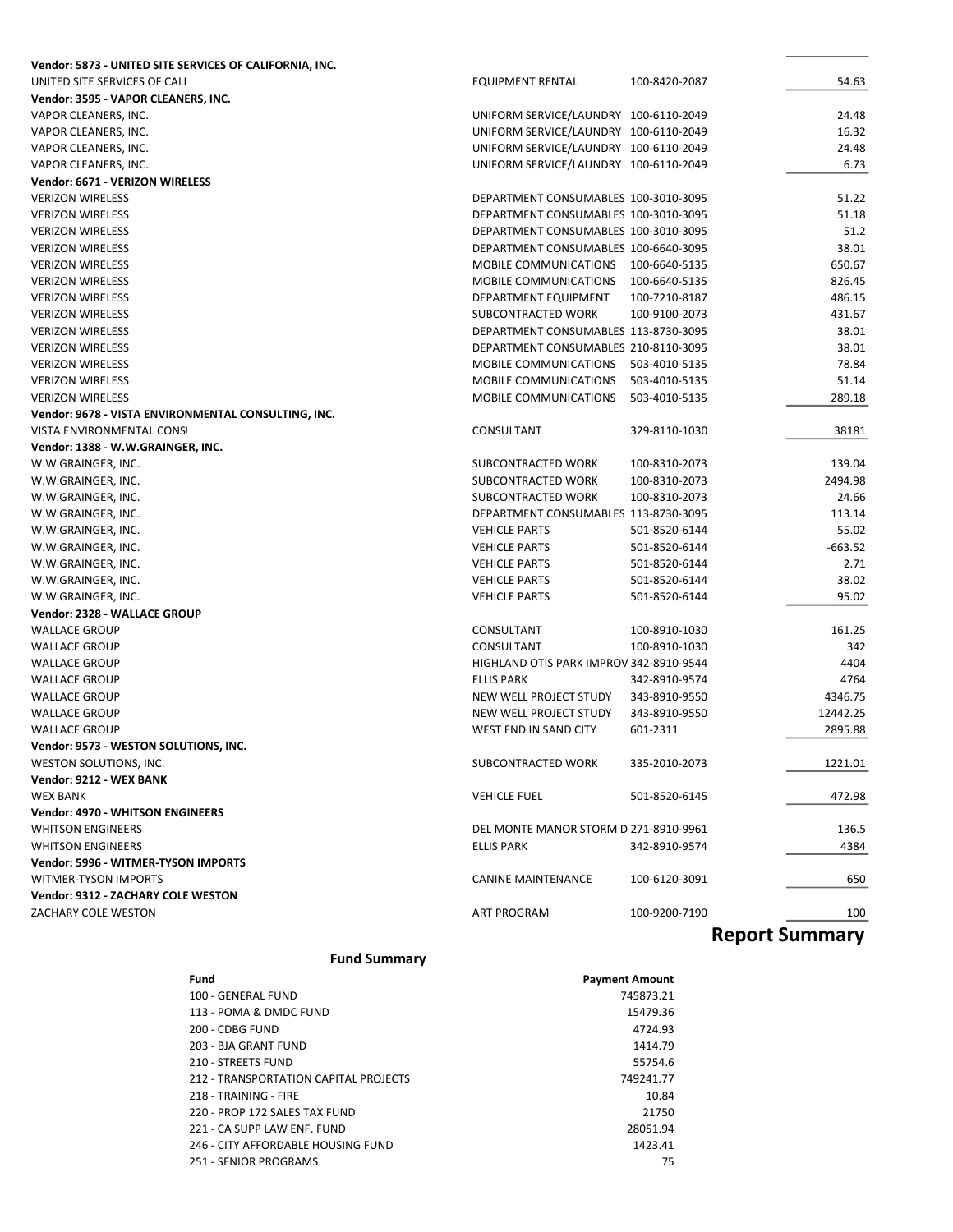| Vendor: 5873 - UNITED SITE SERVICES OF CALIFORNIA, INC. |                                         |               |                |
|---------------------------------------------------------|-----------------------------------------|---------------|----------------|
| UNITED SITE SERVICES OF CALI                            | <b>EQUIPMENT RENTAL</b>                 | 100-8420-2087 | 54.63          |
| Vendor: 3595 - VAPOR CLEANERS, INC.                     |                                         |               |                |
| VAPOR CLEANERS, INC.                                    | UNIFORM SERVICE/LAUNDRY 100-6110-2049   |               | 24.48          |
| VAPOR CLEANERS, INC.                                    | UNIFORM SERVICE/LAUNDRY 100-6110-2049   |               | 16.32          |
| VAPOR CLEANERS, INC.                                    | UNIFORM SERVICE/LAUNDRY 100-6110-2049   |               | 24.48          |
| VAPOR CLEANERS, INC.                                    | UNIFORM SERVICE/LAUNDRY 100-6110-2049   |               | 6.73           |
| Vendor: 6671 - VERIZON WIRELESS                         |                                         |               |                |
| <b>VERIZON WIRELESS</b>                                 | DEPARTMENT CONSUMABLES 100-3010-3095    |               | 51.22          |
| <b>VERIZON WIRELESS</b>                                 | DEPARTMENT CONSUMABLES 100-3010-3095    |               | 51.18          |
| <b>VERIZON WIRELESS</b>                                 | DEPARTMENT CONSUMABLES 100-3010-3095    |               | 51.2           |
| <b>VERIZON WIRELESS</b>                                 | DEPARTMENT CONSUMABLES 100-6640-3095    |               | 38.01          |
| <b>VERIZON WIRELESS</b>                                 | <b>MOBILE COMMUNICATIONS</b>            | 100-6640-5135 | 650.67         |
| <b>VERIZON WIRELESS</b>                                 | MOBILE COMMUNICATIONS                   | 100-6640-5135 | 826.45         |
| <b>VERIZON WIRELESS</b>                                 | DEPARTMENT EQUIPMENT                    | 100-7210-8187 | 486.15         |
| <b>VERIZON WIRELESS</b>                                 | SUBCONTRACTED WORK                      | 100-9100-2073 | 431.67         |
| <b>VERIZON WIRELESS</b>                                 | DEPARTMENT CONSUMABLES 113-8730-3095    |               | 38.01          |
| <b>VERIZON WIRELESS</b>                                 | DEPARTMENT CONSUMABLES 210-8110-3095    |               | 38.01          |
| <b>VERIZON WIRELESS</b>                                 | MOBILE COMMUNICATIONS                   | 503-4010-5135 | 78.84          |
| <b>VERIZON WIRELESS</b>                                 | MOBILE COMMUNICATIONS                   | 503-4010-5135 | 51.14          |
| <b>VERIZON WIRELESS</b>                                 | <b>MOBILE COMMUNICATIONS</b>            | 503-4010-5135 | 289.18         |
| Vendor: 9678 - VISTA ENVIRONMENTAL CONSULTING, INC.     |                                         |               |                |
| <b>VISTA ENVIRONMENTAL CONSI</b>                        | CONSULTANT                              | 329-8110-1030 | 38181          |
| Vendor: 1388 - W.W.GRAINGER, INC.                       |                                         |               |                |
| W.W.GRAINGER, INC.                                      | SUBCONTRACTED WORK                      | 100-8310-2073 | 139.04         |
| W.W.GRAINGER, INC.                                      | SUBCONTRACTED WORK                      | 100-8310-2073 | 2494.98        |
| W.W.GRAINGER, INC.                                      | SUBCONTRACTED WORK                      | 100-8310-2073 | 24.66          |
| W.W.GRAINGER, INC.                                      | DEPARTMENT CONSUMABLES 113-8730-3095    |               | 113.14         |
| W.W.GRAINGER, INC.                                      | <b>VEHICLE PARTS</b>                    | 501-8520-6144 | 55.02          |
| W.W.GRAINGER, INC.                                      | <b>VEHICLE PARTS</b>                    | 501-8520-6144 | $-663.52$      |
|                                                         | <b>VEHICLE PARTS</b>                    |               | 2.71           |
| W.W.GRAINGER, INC.                                      |                                         | 501-8520-6144 |                |
| W.W.GRAINGER, INC.                                      | <b>VEHICLE PARTS</b>                    | 501-8520-6144 | 38.02          |
| W.W.GRAINGER, INC.                                      | <b>VEHICLE PARTS</b>                    | 501-8520-6144 | 95.02          |
| Vendor: 2328 - WALLACE GROUP                            |                                         |               |                |
| <b>WALLACE GROUP</b>                                    | CONSULTANT                              | 100-8910-1030 | 161.25         |
| <b>WALLACE GROUP</b>                                    | CONSULTANT                              | 100-8910-1030 | 342            |
| <b>WALLACE GROUP</b>                                    | HIGHLAND OTIS PARK IMPROV 342-8910-9544 |               | 4404           |
| <b>WALLACE GROUP</b>                                    | <b>ELLIS PARK</b>                       | 342-8910-9574 | 4764           |
| <b>WALLACE GROUP</b>                                    | NEW WELL PROJECT STUDY                  | 343-8910-9550 | 4346.75        |
| <b>WALLACE GROUP</b>                                    | NEW WELL PROJECT STUDY                  | 343-8910-9550 | 12442.25       |
| <b>WALLACE GROUP</b>                                    | WEST END IN SAND CITY                   | 601-2311      | 2895.88        |
| Vendor: 9573 - WESTON SOLUTIONS, INC.                   |                                         |               |                |
| WESTON SOLUTIONS, INC.                                  | SUBCONTRACTED WORK                      | 335-2010-2073 | 1221.01        |
| Vendor: 9212 - WEX BANK                                 |                                         |               |                |
| <b>WEX BANK</b>                                         | <b>VEHICLE FUEL</b>                     | 501-8520-6145 | 472.98         |
| <b>Vendor: 4970 - WHITSON ENGINEERS</b>                 |                                         |               |                |
| <b>WHITSON ENGINEERS</b>                                | DEL MONTE MANOR STORM D 271-8910-9961   |               | 136.5          |
| <b>WHITSON ENGINEERS</b>                                | ELLIS PARK                              | 342-8910-9574 | 4384           |
| <b>Vendor: 5996 - WITMER-TYSON IMPORTS</b>              |                                         |               |                |
| WITMER-TYSON IMPORTS                                    | <b>CANINE MAINTENANCE</b>               | 100-6120-3091 | 650            |
| <b>Vendor: 9312 - ZACHARY COLE WESTON</b>               |                                         |               |                |
| ZACHARY COLE WESTON                                     | ART PROGRAM                             | 100-9200-7190 | 100            |
|                                                         |                                         |               | Ranort Summary |

### Fund Summary

| Fund                                  | <b>Payment Amount</b> |
|---------------------------------------|-----------------------|
| 100 - GENERAL FUND                    | 745873.21             |
| 113 - POMA & DMDC FUND                | 15479.36              |
| 200 - CDBG FUND                       | 4724.93               |
| 203 - BJA GRANT FUND                  | 1414.79               |
| 210 - STREETS FUND                    | 55754.6               |
| 212 - TRANSPORTATION CAPITAL PROJECTS | 749241.77             |
| 218 - TRAINING - FIRE                 | 10.84                 |
| 220 - PROP 172 SALES TAX FUND         | 21750                 |
| 221 - CA SUPP LAW ENF. FUND           | 28051.94              |
| 246 - CITY AFFORDABLE HOUSING FUND    | 1423.41               |
| 251 - SENIOR PROGRAMS                 | 75                    |

## Report Summary

L.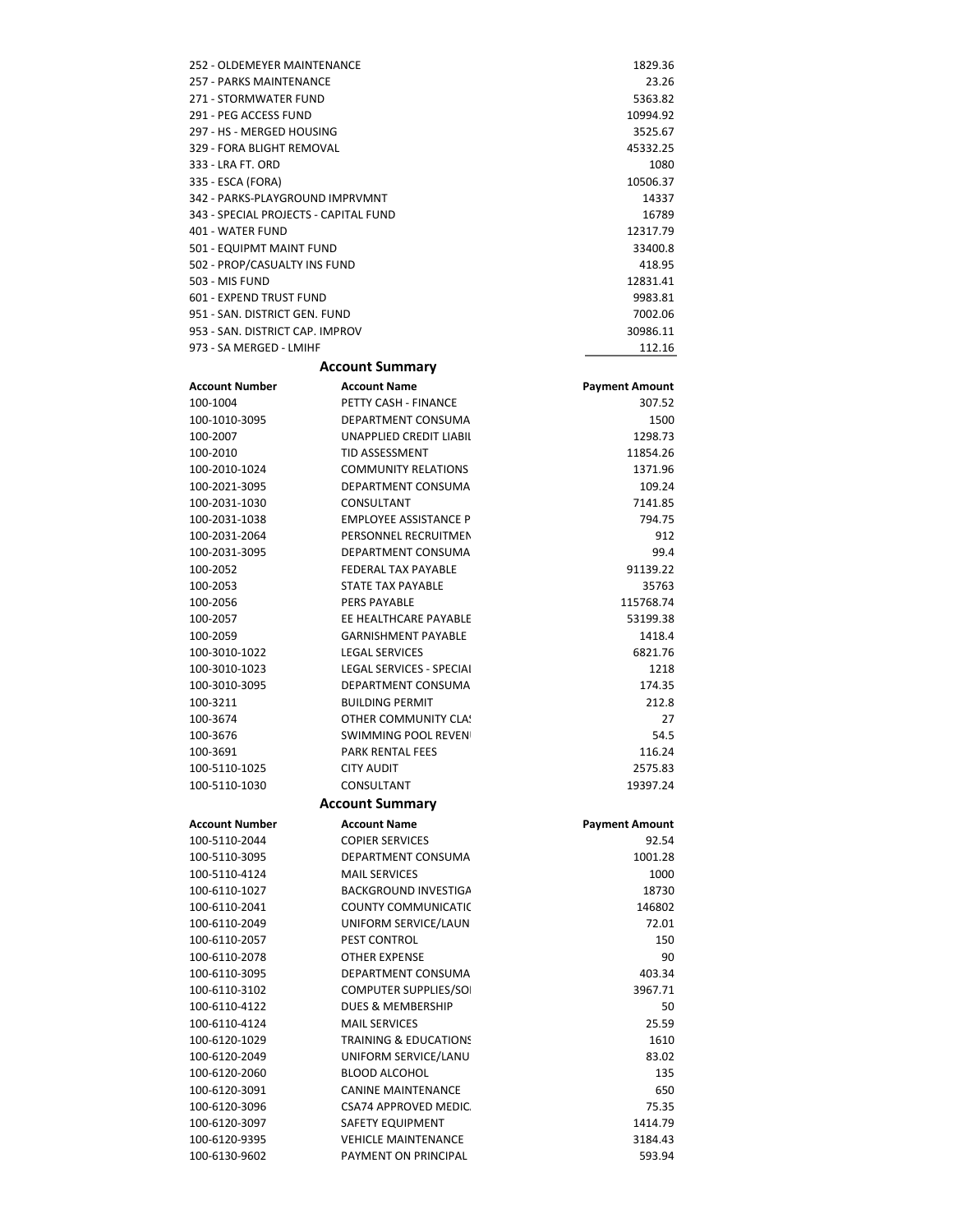| 252 - OLDEMEYER MAINTENANCE           | 1829.36  |
|---------------------------------------|----------|
| 257 - PARKS MAINTENANCE               | 23.26    |
| 271 - STORMWATER FUND                 | 5363.82  |
| 291 - PEG ACCESS FUND                 | 10994.92 |
| 297 - HS - MERGED HOUSING             | 3525.67  |
| 329 - FORA BLIGHT REMOVAL             | 45332.25 |
| 333 - LRA FT, ORD                     | 1080     |
| 335 - ESCA (FORA)                     | 10506.37 |
| 342 - PARKS-PLAYGROUND IMPRVMNT       | 14337    |
| 343 - SPECIAL PROJECTS - CAPITAL FUND | 16789    |
| 401 - WATER FUND                      | 12317.79 |
| 501 - EQUIPMT MAINT FUND              | 33400.8  |
| 502 - PROP/CASUALTY INS FUND          | 418.95   |
| 503 - MIS FUND                        | 12831.41 |
| 601 - EXPEND TRUST FUND               | 9983.81  |
| 951 - SAN, DISTRICT GEN, FUND         | 7002.06  |
| 953 - SAN, DISTRICT CAP, IMPROV       | 30986.11 |
| 973 - SA MERGED - LMIHF               | 112.16   |
|                                       |          |

#### Account Summary

| <b>Account Number</b> | <b>Account Name</b>              | <b>Payment Amount</b> |
|-----------------------|----------------------------------|-----------------------|
| 100-1004              | PETTY CASH - FINANCE             | 307.52                |
| 100-1010-3095         | DEPARTMENT CONSUMA               | 1500                  |
| 100-2007              | <b>UNAPPLIED CREDIT LIABIL</b>   | 1298.73               |
| 100-2010              | <b>TID ASSESSMENT</b>            | 11854.26              |
| 100-2010-1024         | <b>COMMUNITY RELATIONS</b>       | 1371.96               |
| 100-2021-3095         | DEPARTMENT CONSUMA               | 109.24                |
| 100-2031-1030         | CONSULTANT                       | 7141.85               |
| 100-2031-1038         | <b>EMPLOYEE ASSISTANCE P</b>     | 794.75                |
| 100-2031-2064         | PERSONNEL RECRUITMEN             | 912                   |
| 100-2031-3095         | <b>DEPARTMENT CONSUMA</b>        | 99.4                  |
| 100-2052              | <b>FEDERAL TAX PAYABLE</b>       | 91139.22              |
| 100-2053              | STATE TAX PAYABLE                | 35763                 |
| 100-2056              | <b>PERS PAYABLE</b>              | 115768.74             |
| 100-2057              | EE HEALTHCARE PAYABLE            | 53199.38              |
| 100-2059              | <b>GARNISHMENT PAYABLE</b>       | 1418.4                |
| 100-3010-1022         | <b>LEGAL SERVICES</b>            | 6821.76               |
| 100-3010-1023         | LEGAL SERVICES - SPECIAI         | 1218                  |
| 100-3010-3095         | DEPARTMENT CONSUMA               | 174.35                |
| 100-3211              | <b>BUILDING PERMIT</b>           | 212.8                 |
| 100-3674              | OTHER COMMUNITY CLA!             | 27                    |
| 100-3676              | <b>SWIMMING POOL REVEN</b>       | 54.5                  |
| 100-3691              | <b>PARK RENTAL FEES</b>          | 116.24                |
| 100-5110-1025         | <b>CITY AUDIT</b>                | 2575.83               |
| 100-5110-1030         | CONSULTANT                       | 19397.24              |
|                       | <b>Account Summary</b>           |                       |
| <b>Account Number</b> | <b>Account Name</b>              | <b>Payment Amount</b> |
| 100-5110-2044         | <b>COPIER SERVICES</b>           | 92.54                 |
| 100-5110-3095         | DEPARTMENT CONSUMA               | 1001.28               |
| 100-5110-4124         | <b>MAIL SERVICES</b>             | 1000                  |
| 100-6110-1027         | BACKGROUND INVESTIGA             | 18730                 |
| 100-6110-2041         | <b>COUNTY COMMUNICATIO</b>       | 146802                |
| 100-6110-2049         | UNIFORM SERVICE/LAUN             | 72.01                 |
| 100-6110-2057         | PEST CONTROL                     | 150                   |
| 100-6110-2078         | <b>OTHER EXPENSE</b>             | 90                    |
| 100-6110-3095         | DEPARTMENT CONSUMA               | 403.34                |
| 100-6110-3102         | <b>COMPUTER SUPPLIES/SO</b>      | 3967.71               |
| 100-6110-4122         | DUES & MEMBERSHIP                | 50                    |
| 100-6110-4124         | <b>MAIL SERVICES</b>             | 25.59                 |
| 100-6120-1029         | <b>TRAINING &amp; EDUCATIONS</b> | 1610                  |
| 100-6120-2049         | UNIFORM SERVICE/LANU             | 83.02                 |
| 100-6120-2060         | <b>BLOOD ALCOHOL</b>             | 135                   |
| 100-6120-3091         | <b>CANINE MAINTENANCE</b>        | 650                   |
| 100-6120-3096         | <b>CSA74 APPROVED MEDIC</b>      | 75.35                 |
| 100-6120-3097         | SAFETY EQUIPMENT                 | 1414.79               |
| 100-6120-9395         | <b>VEHICLE MAINTENANCE</b>       | 3184.43               |
| 100-6130-9602         | PAYMENT ON PRINCIPAL             | 593.94                |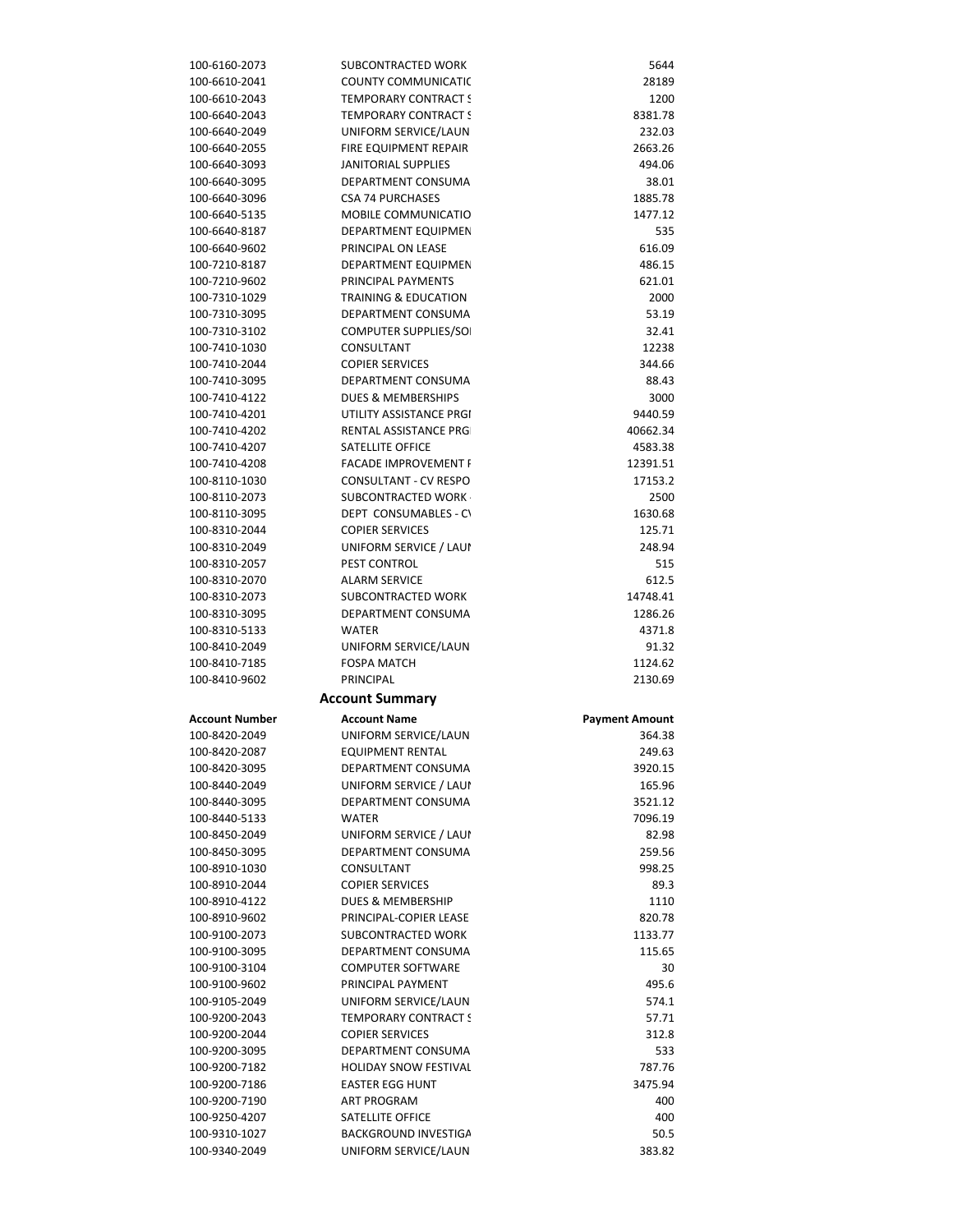| 100-6160-2073                  | SUBCONTRACTED WORK                           | 5644                  |
|--------------------------------|----------------------------------------------|-----------------------|
| 100-6610-2041                  | <b>COUNTY COMMUNICATIO</b>                   | 28189                 |
| 100-6610-2043                  | <b>TEMPORARY CONTRACT S</b>                  | 1200                  |
| 100-6640-2043                  | <b>TEMPORARY CONTRACT S</b>                  | 8381.78               |
| 100-6640-2049                  | UNIFORM SERVICE/LAUN                         | 232.03                |
| 100-6640-2055                  | FIRE EQUIPMENT REPAIR                        | 2663.26               |
| 100-6640-3093                  | <b>JANITORIAL SUPPLIES</b>                   | 494.06                |
| 100-6640-3095                  | DEPARTMENT CONSUMA                           | 38.01                 |
| 100-6640-3096                  | <b>CSA 74 PURCHASES</b>                      | 1885.78               |
| 100-6640-5135                  | MOBILE COMMUNICATIO                          | 1477.12               |
| 100-6640-8187                  | DEPARTMENT EQUIPMEN                          | 535                   |
| 100-6640-9602                  | PRINCIPAL ON LEASE                           | 616.09                |
| 100-7210-8187                  | DEPARTMENT EQUIPMEN                          | 486.15                |
| 100-7210-9602                  | PRINCIPAL PAYMENTS                           | 621.01                |
| 100-7310-1029                  | <b>TRAINING &amp; EDUCATION</b>              | 2000                  |
| 100-7310-3095                  | DEPARTMENT CONSUMA                           | 53.19                 |
| 100-7310-3102                  | <b>COMPUTER SUPPLIES/SO</b>                  | 32.41                 |
| 100-7410-1030                  | CONSULTANT                                   | 12238                 |
| 100-7410-2044                  | <b>COPIER SERVICES</b>                       | 344.66                |
| 100-7410-3095                  | DEPARTMENT CONSUMA                           | 88.43                 |
| 100-7410-4122                  | DUES & MEMBERSHIPS                           | 3000                  |
| 100-7410-4201                  | UTILITY ASSISTANCE PRGI                      | 9440.59               |
| 100-7410-4202                  | RENTAL ASSISTANCE PRG                        | 40662.34              |
| 100-7410-4207                  | SATELLITE OFFICE                             | 4583.38               |
| 100-7410-4208                  | <b>FACADE IMPROVEMENT I</b>                  | 12391.51              |
| 100-8110-1030                  | CONSULTANT - CV RESPO                        | 17153.2               |
| 100-8110-2073                  | SUBCONTRACTED WORK                           | 2500                  |
| 100-8110-3095                  | DEPT CONSUMABLES - CV                        | 1630.68               |
| 100-8310-2044                  | <b>COPIER SERVICES</b>                       | 125.71                |
| 100-8310-2049                  | UNIFORM SERVICE / LAUI                       | 248.94                |
| 100-8310-2057                  | PEST CONTROL                                 | 515                   |
| 100-8310-2070                  | <b>ALARM SERVICE</b>                         | 612.5                 |
| 100-8310-2073                  | SUBCONTRACTED WORK                           | 14748.41              |
|                                |                                              |                       |
| 100-8310-3095                  | DEPARTMENT CONSUMA                           | 1286.26               |
| 100-8310-5133                  | <b>WATER</b>                                 | 4371.8                |
|                                |                                              |                       |
| 100-8410-2049<br>100-8410-7185 | UNIFORM SERVICE/LAUN<br><b>FOSPA MATCH</b>   | 91.32<br>1124.62      |
|                                |                                              |                       |
| 100-8410-9602                  | PRINCIPAL                                    | 2130.69               |
|                                | <b>Account Summary</b>                       |                       |
| <b>Account Number</b>          | <b>Account Name</b>                          | <b>Payment Amount</b> |
| 100-8420-2049                  | UNIFORM SERVICE/LAUN                         | 364.38                |
| 100-8420-2087                  | <b>EQUIPMENT RENTAL</b>                      | 249.63                |
| 100-8420-3095                  | DEPARTMENT CONSUMA                           | 3920.15               |
| 100-8440-2049                  | UNIFORM SERVICE / LAUI                       | 165.96                |
| 100-8440-3095                  | <b>DEPARTMENT CONSUMA</b>                    | 3521.12               |
| 100-8440-5133                  | <b>WATER</b>                                 | 7096.19               |
| 100-8450-2049                  | UNIFORM SERVICE / LAUI                       | 82.98                 |
| 100-8450-3095                  | <b>DEPARTMENT CONSUMA</b>                    | 259.56                |
| 100-8910-1030                  | CONSULTANT                                   | 998.25                |
| 100-8910-2044                  | <b>COPIER SERVICES</b>                       | 89.3                  |
| 100-8910-4122                  | DUES & MEMBERSHIP                            | 1110                  |
| 100-8910-9602                  | PRINCIPAL-COPIER LEASE                       | 820.78                |
| 100-9100-2073                  | SUBCONTRACTED WORK                           | 1133.77               |
| 100-9100-3095                  | <b>DEPARTMENT CONSUMA</b>                    | 115.65                |
| 100-9100-3104                  | <b>COMPUTER SOFTWARE</b>                     | 30                    |
| 100-9100-9602                  | PRINCIPAL PAYMENT                            | 495.6                 |
| 100-9105-2049                  | UNIFORM SERVICE/LAUN                         | 574.1                 |
| 100-9200-2043                  | <b>TEMPORARY CONTRACT S</b>                  | 57.71                 |
| 100-9200-2044                  | <b>COPIER SERVICES</b>                       | 312.8                 |
| 100-9200-3095                  | DEPARTMENT CONSUMA                           | 533                   |
| 100-9200-7182                  | <b>HOLIDAY SNOW FESTIVAL</b>                 | 787.76                |
| 100-9200-7186                  | <b>EASTER EGG HUNT</b>                       | 3475.94               |
| 100-9200-7190                  | <b>ART PROGRAM</b>                           | 400                   |
| 100-9250-4207                  | SATELLITE OFFICE                             | 400                   |
| 100-9310-1027<br>100-9340-2049 | BACKGROUND INVESTIGA<br>UNIFORM SERVICE/LAUN | 50.5<br>383.82        |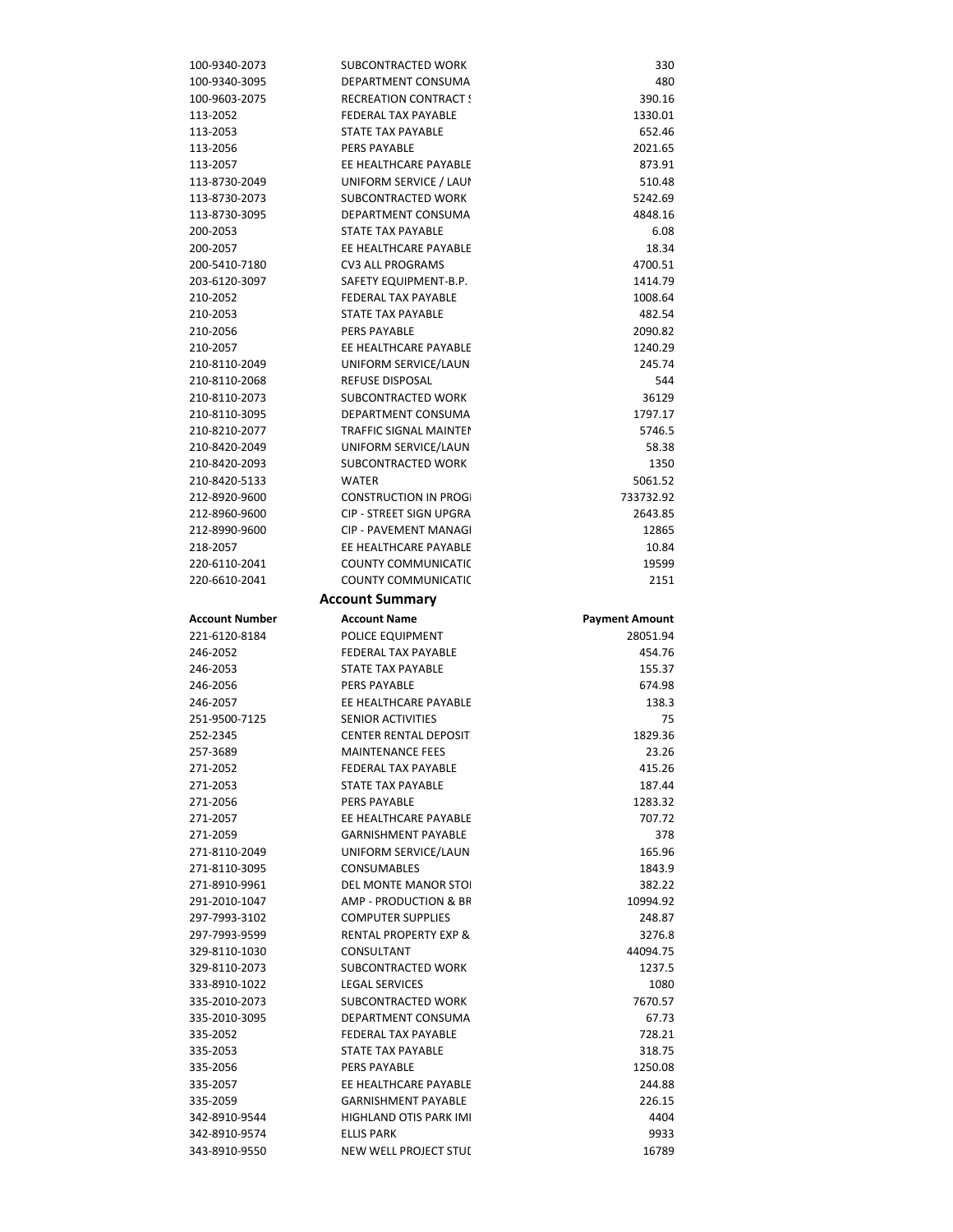| 100-9340-2073                  | SUBCONTRACTED WORK                                | 330                   |
|--------------------------------|---------------------------------------------------|-----------------------|
| 100-9340-3095                  | DEPARTMENT CONSUMA                                | 480                   |
| 100-9603-2075                  | <b>RECREATION CONTRACT!</b>                       | 390.16                |
| 113-2052                       | <b>FEDERAL TAX PAYABLE</b>                        | 1330.01               |
| 113-2053                       | STATE TAX PAYABLE                                 | 652.46                |
| 113-2056                       | PERS PAYABLE                                      | 2021.65               |
| 113-2057                       | EE HEALTHCARE PAYABLE                             | 873.91                |
| 113-8730-2049                  | UNIFORM SERVICE / LAUI                            | 510.48                |
| 113-8730-2073                  | SUBCONTRACTED WORK                                | 5242.69               |
| 113-8730-3095                  | DEPARTMENT CONSUMA                                | 4848.16               |
| 200-2053                       | <b>STATE TAX PAYABLE</b>                          | 6.08                  |
| 200-2057                       | EE HEALTHCARE PAYABLE                             | 18.34                 |
| 200-5410-7180                  | <b>CV3 ALL PROGRAMS</b>                           | 4700.51               |
| 203-6120-3097                  | SAFETY EQUIPMENT-B.P.                             | 1414.79               |
| 210-2052                       | FEDERAL TAX PAYABLE                               | 1008.64               |
| 210-2053                       | STATE TAX PAYABLE<br>PERS PAYABLE                 | 482.54                |
| 210-2056<br>210-2057           | EE HEALTHCARE PAYABLE                             | 2090.82<br>1240.29    |
| 210-8110-2049                  | UNIFORM SERVICE/LAUN                              | 245.74                |
| 210-8110-2068                  | REFUSE DISPOSAL                                   | 544                   |
| 210-8110-2073                  | SUBCONTRACTED WORK                                | 36129                 |
| 210-8110-3095                  | DEPARTMENT CONSUMA                                | 1797.17               |
| 210-8210-2077                  | <b>TRAFFIC SIGNAL MAINTEI</b>                     | 5746.5                |
| 210-8420-2049                  | UNIFORM SERVICE/LAUN                              | 58.38                 |
| 210-8420-2093                  | SUBCONTRACTED WORK                                | 1350                  |
| 210-8420-5133                  | <b>WATER</b>                                      | 5061.52               |
| 212-8920-9600                  | <b>CONSTRUCTION IN PROG</b>                       | 733732.92             |
| 212-8960-9600                  | CIP - STREET SIGN UPGRA                           | 2643.85               |
| 212-8990-9600                  | <b>CIP - PAVEMENT MANAGI</b>                      | 12865                 |
| 218-2057                       | EE HEALTHCARE PAYABLE                             | 10.84                 |
| 220-6110-2041                  | <b>COUNTY COMMUNICATIC</b>                        | 19599                 |
| 220-6610-2041                  | <b>COUNTY COMMUNICATIC</b>                        | 2151                  |
|                                | <b>Account Summary</b>                            |                       |
|                                |                                                   |                       |
| <b>Account Number</b>          | <b>Account Name</b>                               | <b>Payment Amount</b> |
| 221-6120-8184                  | POLICE EQUIPMENT                                  | 28051.94              |
| 246-2052                       | <b>FEDERAL TAX PAYABLE</b>                        | 454.76                |
| 246-2053                       | <b>STATE TAX PAYABLE</b>                          | 155.37                |
| 246-2056                       | <b>PERS PAYABLE</b>                               | 674.98                |
| 246-2057                       | EE HEALTHCARE PAYABLE                             | 138.3                 |
| 251-9500-7125                  | <b>SENIOR ACTIVITIES</b>                          | 75                    |
| 252-2345                       | <b>CENTER RENTAL DEPOSIT</b>                      | 1829.36               |
| 257-3689                       | <b>MAINTENANCE FEES</b>                           | 23.26                 |
| 271-2052                       | <b>FEDERAL TAX PAYABLE</b>                        | 415.26                |
| 271-2053                       | STATE TAX PAYABLE                                 | 187.44                |
| 271-2056                       | PERS PAYABLE                                      | 1283.32               |
| 271-2057                       | EE HEALTHCARE PAYABLE                             | 707.72                |
| 271-2059                       | <b>GARNISHMENT PAYABLE</b>                        | 378                   |
| 271-8110-2049                  | UNIFORM SERVICE/LAUN                              | 165.96                |
| 271-8110-3095                  | <b>CONSUMABLES</b>                                | 1843.9                |
| 271-8910-9961                  | <b>DEL MONTE MANOR STOL</b>                       | 382.22                |
| 291-2010-1047                  | AMP - PRODUCTION & BR                             | 10994.92              |
| 297-7993-3102                  | <b>COMPUTER SUPPLIES</b>                          | 248.87                |
| 297-7993-9599                  | <b>RENTAL PROPERTY EXP &amp;</b>                  | 3276.8                |
| 329-8110-1030                  | CONSULTANT                                        | 44094.75              |
| 329-8110-2073                  | SUBCONTRACTED WORK<br><b>LEGAL SERVICES</b>       | 1237.5                |
| 333-8910-1022<br>335-2010-2073 | SUBCONTRACTED WORK                                | 1080<br>7670.57       |
| 335-2010-3095                  | DEPARTMENT CONSUMA                                | 67.73                 |
| 335-2052                       | FEDERAL TAX PAYABLE                               | 728.21                |
| 335-2053                       | STATE TAX PAYABLE                                 | 318.75                |
| 335-2056                       | <b>PERS PAYABLE</b>                               | 1250.08               |
| 335-2057                       | EE HEALTHCARE PAYABLE                             | 244.88                |
| 335-2059                       | <b>GARNISHMENT PAYABLE</b>                        | 226.15                |
| 342-8910-9544                  | <b>HIGHLAND OTIS PARK IMI</b>                     | 4404                  |
| 342-8910-9574<br>343-8910-9550 | <b>ELLIS PARK</b><br><b>NEW WELL PROJECT STUL</b> | 9933<br>16789         |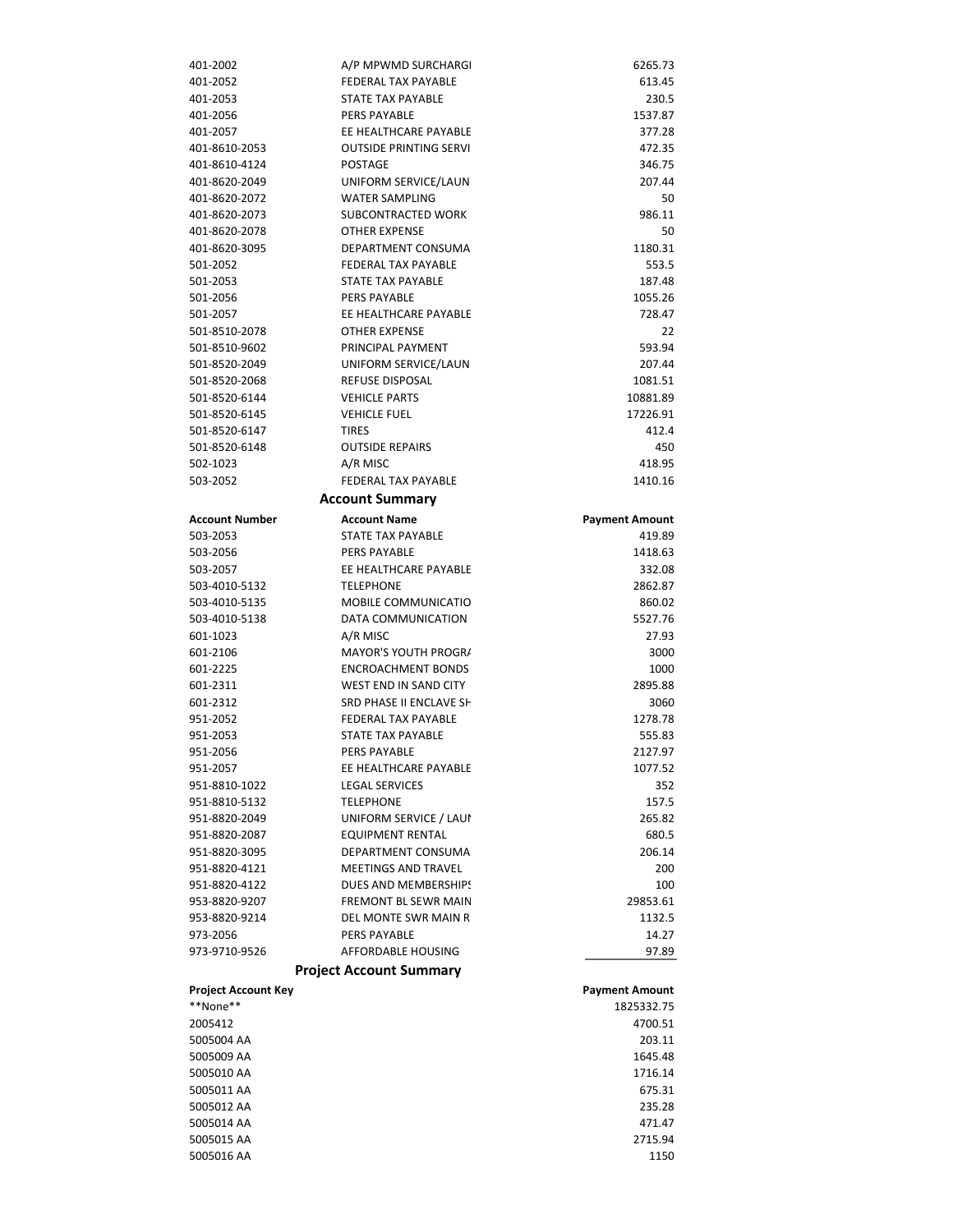| 401-2002                   | A/P MPWMD SURCHARGI            | 6265.73               |
|----------------------------|--------------------------------|-----------------------|
| 401-2052                   | <b>FEDERAL TAX PAYABLE</b>     | 613.45                |
| 401-2053                   | STATE TAX PAYABLE              | 230.5                 |
| 401-2056                   | <b>PERS PAYABLE</b>            | 1537.87               |
| 401-2057                   | EE HEALTHCARE PAYABLE          | 377.28                |
| 401-8610-2053              | <b>OUTSIDE PRINTING SERVI</b>  | 472.35                |
| 401-8610-4124              | <b>POSTAGE</b>                 | 346.75                |
| 401-8620-2049              | UNIFORM SERVICE/LAUN           | 207.44                |
| 401-8620-2072              | <b>WATER SAMPLING</b>          | 50                    |
|                            |                                |                       |
| 401-8620-2073              | <b>SUBCONTRACTED WORK</b>      | 986.11                |
| 401-8620-2078              | <b>OTHER EXPENSE</b>           | 50                    |
| 401-8620-3095              | DEPARTMENT CONSUMA             | 1180.31               |
| 501-2052                   | <b>FEDERAL TAX PAYABLE</b>     | 553.5                 |
| 501-2053                   | <b>STATE TAX PAYABLE</b>       | 187.48                |
| 501-2056                   | <b>PERS PAYABLE</b>            | 1055.26               |
| 501-2057                   | EE HEALTHCARE PAYABLE          | 728.47                |
| 501-8510-2078              | <b>OTHER EXPENSE</b>           | 22                    |
| 501-8510-9602              | PRINCIPAL PAYMENT              | 593.94                |
| 501-8520-2049              | UNIFORM SERVICE/LAUN           | 207.44                |
| 501-8520-2068              | <b>REFUSE DISPOSAL</b>         | 1081.51               |
| 501-8520-6144              | <b>VEHICLE PARTS</b>           | 10881.89              |
| 501-8520-6145              | <b>VEHICLE FUEL</b>            | 17226.91              |
| 501-8520-6147              | <b>TIRES</b>                   | 412.4                 |
| 501-8520-6148              | <b>OUTSIDE REPAIRS</b>         | 450                   |
|                            |                                |                       |
| 502-1023                   | A/R MISC                       | 418.95                |
| 503-2052                   | FEDERAL TAX PAYABLE            | 1410.16               |
|                            | <b>Account Summary</b>         |                       |
| <b>Account Number</b>      | <b>Account Name</b>            | <b>Payment Amount</b> |
| 503-2053                   | STATE TAX PAYABLE              | 419.89                |
| 503-2056                   | <b>PERS PAYABLE</b>            | 1418.63               |
| 503-2057                   | EE HEALTHCARE PAYABLE          | 332.08                |
| 503-4010-5132              | <b>TELEPHONE</b>               | 2862.87               |
| 503-4010-5135              | MOBILE COMMUNICATIO            | 860.02                |
| 503-4010-5138              | DATA COMMUNICATION             | 5527.76               |
| 601-1023                   | A/R MISC                       | 27.93                 |
| 601-2106                   | MAYOR'S YOUTH PROGR/           | 3000                  |
|                            | <b>ENCROACHMENT BONDS</b>      |                       |
| 601-2225                   |                                | 1000                  |
| 601-2311                   | WEST END IN SAND CITY          | 2895.88               |
| 601-2312                   | SRD PHASE II ENCLAVE SH        | 3060                  |
| 951-2052                   | FEDERAL TAX PAYABLE            | 1278.78               |
| 951-2053                   | <b>STATE TAX PAYABLE</b>       | 555.83                |
| 951-2056                   | <b>PERS PAYABLE</b>            | 2127.97               |
| 951-2057                   | EE HEALTHCARE PAYABLE          | 1077.52               |
| 951-8810-1022              | <b>LEGAL SERVICES</b>          | 352                   |
| 951-8810-5132              | <b>TELEPHONE</b>               | 157.5                 |
| 951-8820-2049              | UNIFORM SERVICE / LAUI         | 265.82                |
| 951-8820-2087              | <b>EQUIPMENT RENTAL</b>        | 680.5                 |
| 951-8820-3095              | DEPARTMENT CONSUMA             | 206.14                |
| 951-8820-4121              | MEETINGS AND TRAVEL            | 200                   |
| 951-8820-4122              | DUES AND MEMBERSHIPS           | 100                   |
| 953-8820-9207              | <b>FREMONT BL SEWR MAIN</b>    | 29853.61              |
| 953-8820-9214              | DEL MONTE SWR MAIN R           | 1132.5                |
|                            |                                |                       |
| 973-2056                   | PERS PAYABLE                   | 14.27                 |
| 973-9710-9526              | AFFORDABLE HOUSING             | 97.89                 |
|                            | <b>Project Account Summary</b> |                       |
| <b>Project Account Key</b> |                                | <b>Payment Amount</b> |
| **None**                   |                                | 1825332.75            |
| 2005412                    |                                | 4700.51               |
| 5005004 AA                 |                                | 203.11                |
| 5005009 AA                 |                                | 1645.48               |
| 5005010 AA                 |                                | 1716.14               |
| 5005011 AA                 |                                | 675.31                |
| 5005012 AA                 |                                | 235.28                |
| 5005014 AA                 |                                | 471.47                |
|                            |                                |                       |
|                            |                                |                       |
| 5005015 AA<br>5005016 AA   |                                | 2715.94<br>1150       |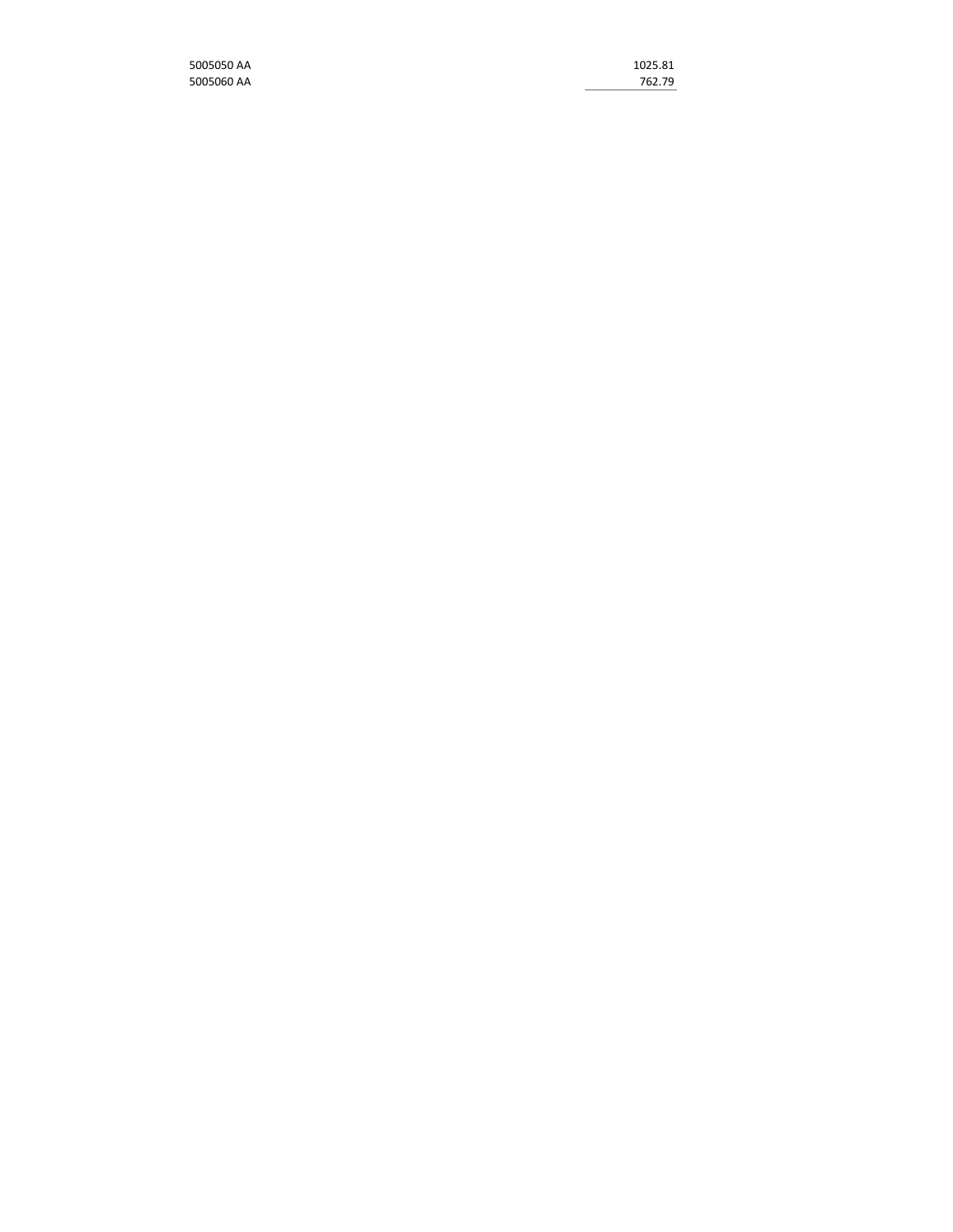| 5005050 AA | 1025.81 |
|------------|---------|
| 5005060 AA | 762.79  |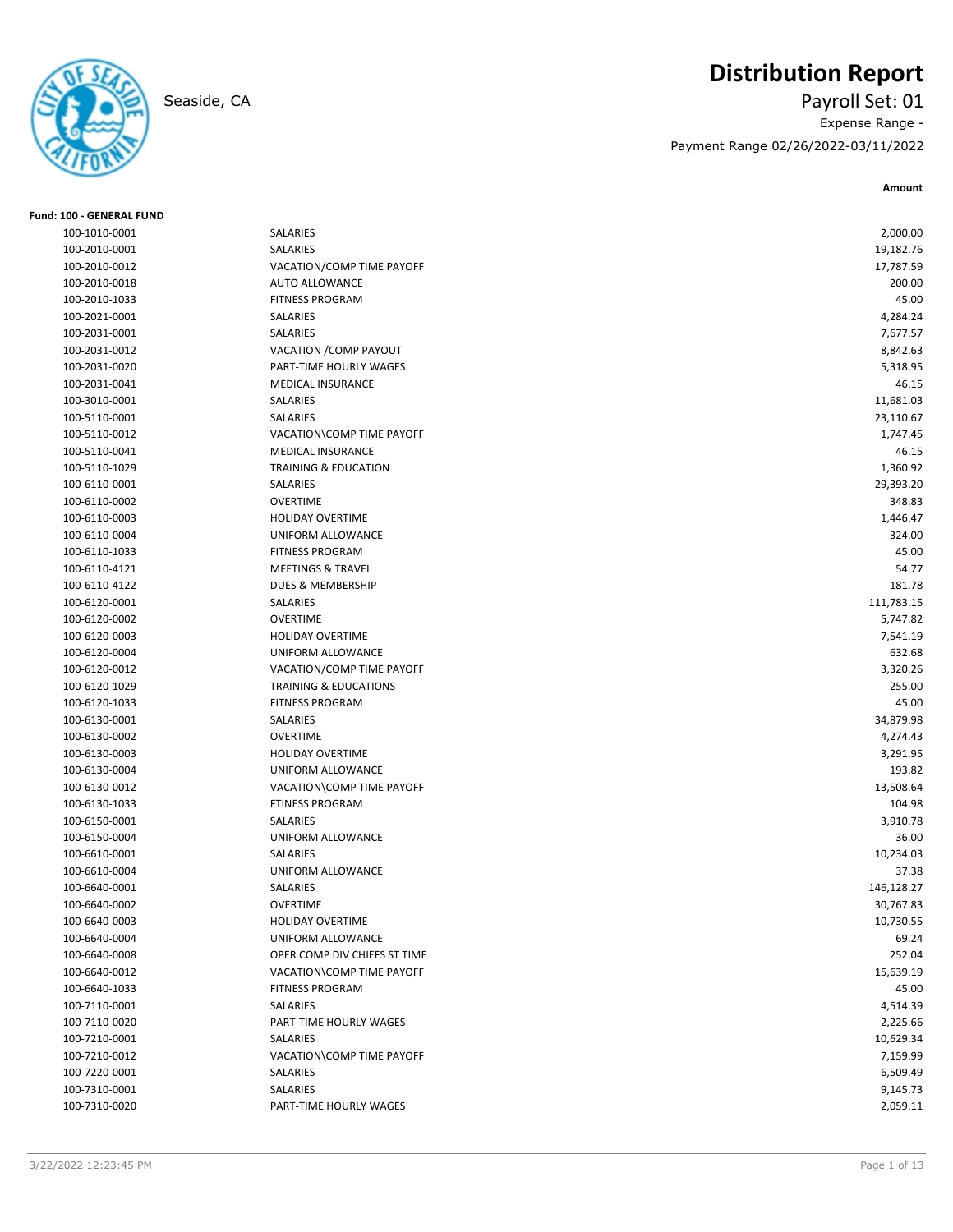

# **Distribution Report**

Seaside, CA Payroll Set: 01 Expense Range - Payment Range 02/26/2022-03/11/2022

| <b>Fund: 100 - GENERAL FUND</b> |                                  |            |
|---------------------------------|----------------------------------|------------|
| 100-1010-0001                   | SALARIES                         | 2,000.00   |
| 100-2010-0001                   | SALARIES                         | 19,182.76  |
| 100-2010-0012                   | VACATION/COMP TIME PAYOFF        | 17,787.59  |
| 100-2010-0018                   | <b>AUTO ALLOWANCE</b>            | 200.00     |
| 100-2010-1033                   | <b>FITNESS PROGRAM</b>           | 45.00      |
| 100-2021-0001                   | SALARIES                         | 4,284.24   |
| 100-2031-0001                   | SALARIES                         | 7,677.57   |
| 100-2031-0012                   | VACATION / COMP PAYOUT           | 8,842.63   |
| 100-2031-0020                   | PART-TIME HOURLY WAGES           | 5,318.95   |
| 100-2031-0041                   | <b>MEDICAL INSURANCE</b>         | 46.15      |
| 100-3010-0001                   | SALARIES                         | 11,681.03  |
| 100-5110-0001                   | SALARIES                         | 23,110.67  |
| 100-5110-0012                   | VACATION\COMP TIME PAYOFF        | 1,747.45   |
| 100-5110-0041                   | MEDICAL INSURANCE                | 46.15      |
| 100-5110-1029                   | <b>TRAINING &amp; EDUCATION</b>  | 1,360.92   |
| 100-6110-0001                   | SALARIES                         | 29,393.20  |
| 100-6110-0002                   | <b>OVERTIME</b>                  | 348.83     |
| 100-6110-0003                   | <b>HOLIDAY OVERTIME</b>          | 1,446.47   |
| 100-6110-0004                   | UNIFORM ALLOWANCE                | 324.00     |
| 100-6110-1033                   | <b>FITNESS PROGRAM</b>           | 45.00      |
| 100-6110-4121                   | <b>MEETINGS &amp; TRAVEL</b>     | 54.77      |
| 100-6110-4122                   | DUES & MEMBERSHIP                | 181.78     |
| 100-6120-0001                   | SALARIES                         | 111,783.15 |
| 100-6120-0002                   | <b>OVERTIME</b>                  | 5,747.82   |
| 100-6120-0003                   | <b>HOLIDAY OVERTIME</b>          | 7,541.19   |
| 100-6120-0004                   | UNIFORM ALLOWANCE                | 632.68     |
| 100-6120-0012                   | VACATION/COMP TIME PAYOFF        | 3,320.26   |
| 100-6120-1029                   | <b>TRAINING &amp; EDUCATIONS</b> | 255.00     |
| 100-6120-1033                   | <b>FITNESS PROGRAM</b>           | 45.00      |
| 100-6130-0001                   | SALARIES                         | 34,879.98  |
| 100-6130-0002                   | <b>OVERTIME</b>                  | 4,274.43   |
| 100-6130-0003                   | <b>HOLIDAY OVERTIME</b>          | 3,291.95   |
| 100-6130-0004                   | UNIFORM ALLOWANCE                | 193.82     |
| 100-6130-0012                   | VACATION\COMP TIME PAYOFF        | 13,508.64  |
| 100-6130-1033                   | <b>FTINESS PROGRAM</b>           | 104.98     |
| 100-6150-0001                   | SALARIES                         | 3,910.78   |
| 100-6150-0004                   | UNIFORM ALLOWANCE                | 36.00      |
| 100-6610-0001                   | SALARIES                         | 10,234.03  |
| 100-6610-0004                   | <b>UNIFORM ALLOWANCE</b>         | 37.38      |
| 100-6640-0001                   | SALARIES                         | 146,128.27 |
| 100-6640-0002                   | <b>OVERTIME</b>                  | 30,767.83  |
| 100-6640-0003                   | <b>HOLIDAY OVERTIME</b>          | 10,730.55  |
| 100-6640-0004                   | UNIFORM ALLOWANCE                | 69.24      |
| 100-6640-0008                   | OPER COMP DIV CHIEFS ST TIME     | 252.04     |
| 100-6640-0012                   | VACATION\COMP TIME PAYOFF        | 15,639.19  |
| 100-6640-1033                   | <b>FITNESS PROGRAM</b>           | 45.00      |
| 100-7110-0001                   | SALARIES                         | 4,514.39   |
| 100-7110-0020                   | PART-TIME HOURLY WAGES           | 2,225.66   |
| 100-7210-0001                   | SALARIES                         | 10,629.34  |
| 100-7210-0012                   |                                  |            |
|                                 | VACATION\COMP TIME PAYOFF        | 7,159.99   |
| 100-7220-0001<br>100-7310-0001  | SALARIES<br>SALARIES             | 6,509.49   |
|                                 |                                  | 9,145.73   |
| 100-7310-0020                   | PART-TIME HOURLY WAGES           | 2,059.11   |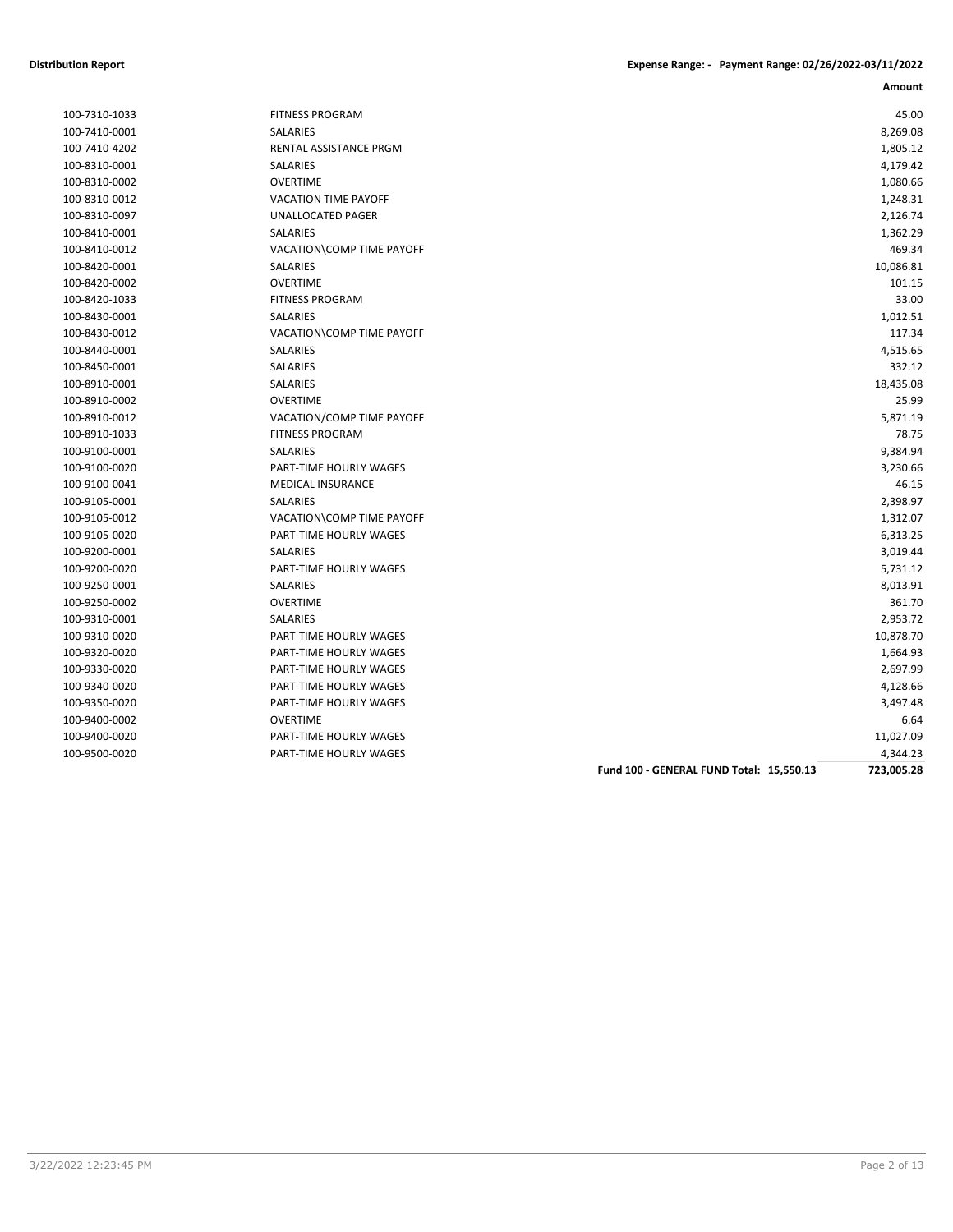| Amount |
|--------|

| 100-7410-0001 |
|---------------|
| 100-7410-4202 |
| 100-8310-0001 |
| 100-8310-0002 |
| 100-8310-0012 |
| 100-8310-0097 |
| 100-8410-0001 |
| 100-8410-0012 |
| 100-8420-0001 |
| 100-8420-0002 |
| 100-8420-1033 |
| 100-8430-0001 |
| 100-8430-0012 |
| 100-8440-0001 |
| 100-8450-0001 |
| 100-8910-0001 |
| 100-8910-0002 |
| 100-8910-0012 |
| 100-8910-1033 |
| 100-9100-0001 |
| 100-9100-0020 |
| 100-9100-0041 |
| 100-9105-0001 |
| 100-9105-0012 |
| 100-9105-0020 |
| 100-9200-0001 |
| 100-9200-0020 |
| 100-9250-0001 |
| 100-9250-0002 |
| 100-9310-0001 |
| 100-9310-0020 |
| 100-9320-0020 |
| 100-9330-0020 |
| 100-9340-0020 |
| 100-9350-0020 |
| 100-9400-0002 |
| 100-9400-0020 |
| 100-9500-0020 |

| 100-7310-1033 | <b>FITNESS PROGRAM</b>      | 45.00     |
|---------------|-----------------------------|-----------|
| 100-7410-0001 | SALARIES                    | 8,269.08  |
| 100-7410-4202 | RENTAL ASSISTANCE PRGM      | 1,805.12  |
| 100-8310-0001 | SALARIES                    | 4,179.42  |
| 100-8310-0002 | <b>OVERTIME</b>             | 1,080.66  |
| 100-8310-0012 | <b>VACATION TIME PAYOFF</b> | 1,248.31  |
| 100-8310-0097 | UNALLOCATED PAGER           | 2,126.74  |
| 100-8410-0001 | SALARIES                    | 1,362.29  |
| 100-8410-0012 | VACATION\COMP TIME PAYOFF   | 469.34    |
| 100-8420-0001 | SALARIES                    | 10,086.81 |
| 100-8420-0002 | <b>OVERTIME</b>             | 101.15    |
| 100-8420-1033 | <b>FITNESS PROGRAM</b>      | 33.00     |
| 100-8430-0001 | SALARIES                    | 1,012.51  |
| 100-8430-0012 | VACATION\COMP TIME PAYOFF   | 117.34    |
| 100-8440-0001 | SALARIES                    | 4,515.65  |
| 100-8450-0001 | <b>SALARIES</b>             | 332.12    |
| 100-8910-0001 | SALARIES                    | 18,435.08 |
| 100-8910-0002 | <b>OVERTIME</b>             | 25.99     |
| 100-8910-0012 | VACATION/COMP TIME PAYOFF   | 5,871.19  |
| 100-8910-1033 | <b>FITNESS PROGRAM</b>      | 78.75     |
| 100-9100-0001 | SALARIES                    | 9,384.94  |
| 100-9100-0020 | PART-TIME HOURLY WAGES      | 3,230.66  |
| 100-9100-0041 | <b>MEDICAL INSURANCE</b>    | 46.15     |
| 100-9105-0001 | SALARIES                    | 2,398.97  |
| 100-9105-0012 | VACATION\COMP TIME PAYOFF   | 1,312.07  |
| 100-9105-0020 | PART-TIME HOURLY WAGES      | 6,313.25  |
| 100-9200-0001 | SALARIES                    | 3,019.44  |
| 100-9200-0020 | PART-TIME HOURLY WAGES      | 5,731.12  |
| 100-9250-0001 | <b>SALARIES</b>             | 8,013.91  |
| 100-9250-0002 | <b>OVERTIME</b>             | 361.70    |
| 100-9310-0001 | SALARIES                    | 2,953.72  |
| 100-9310-0020 | PART-TIME HOURLY WAGES      | 10,878.70 |
| 100-9320-0020 | PART-TIME HOURLY WAGES      | 1,664.93  |
| 100-9330-0020 | PART-TIME HOURLY WAGES      | 2,697.99  |
| 100-9340-0020 | PART-TIME HOURLY WAGES      | 4,128.66  |
| 100-9350-0020 | PART-TIME HOURLY WAGES      | 3,497.48  |
| 100-9400-0002 | <b>OVERTIME</b>             | 6.64      |
| 100-9400-0020 | PART-TIME HOURLY WAGES      | 11,027.09 |
| 100-9500-0020 | PART-TIME HOURLY WAGES      | 4,344.23  |
|               |                             |           |

**Fund 100 - GENERAL FUND Total: 15,550.13 723,005.28**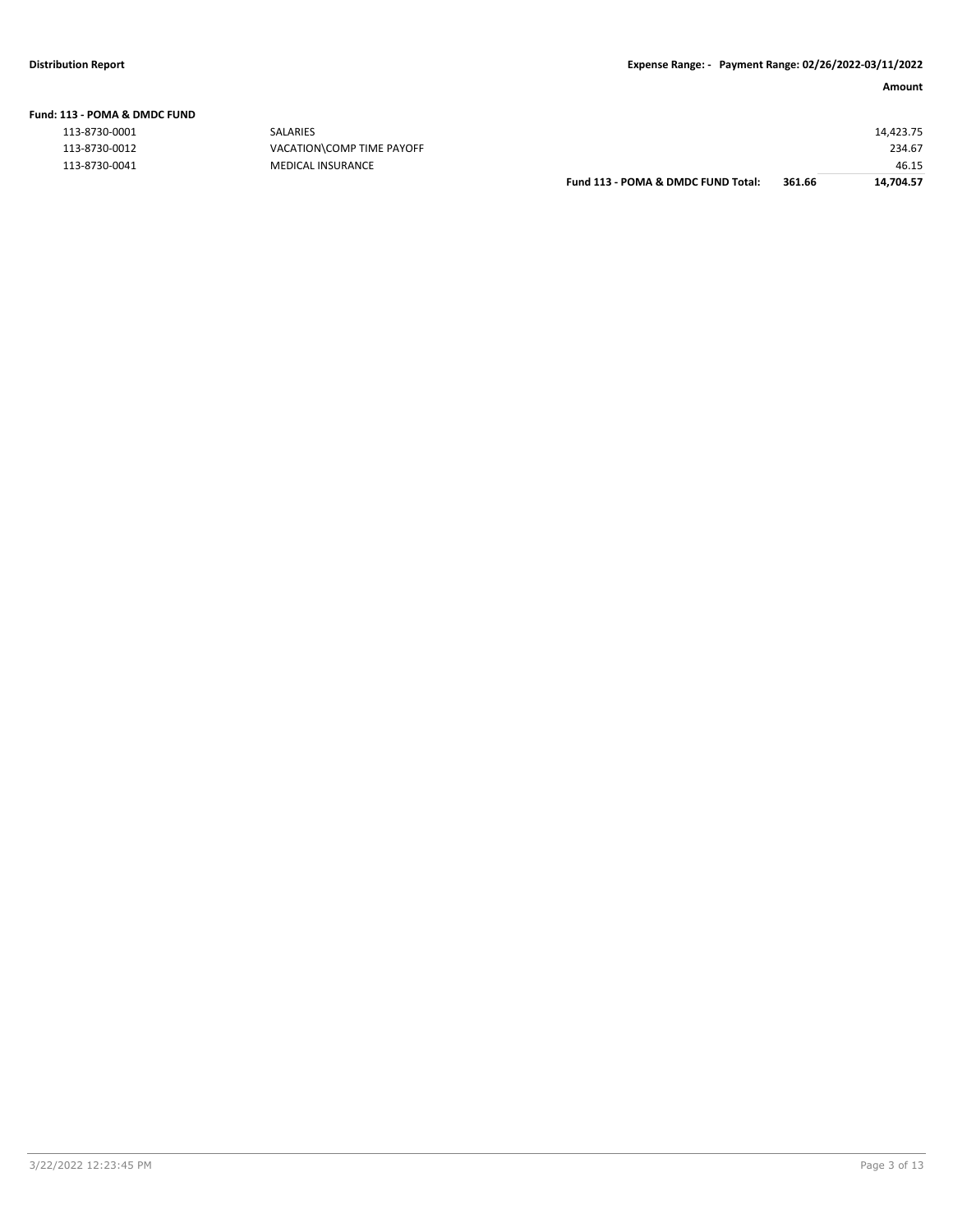|  | Fund: 113 - POMA & DMDC FUND |  |  |
|--|------------------------------|--|--|
|  |                              |  |  |

| 113-8730-0001 |
|---------------|
| 113-8730-0012 |
| 113-8730-0041 |

|               |                           | Fund 113 - POMA & DMDC FUND Total: | 361.66 | 14.704.57 |
|---------------|---------------------------|------------------------------------|--------|-----------|
| 113-8730-0041 | <b>MEDICAL INSURANCE</b>  |                                    |        | 46.15     |
| 113-8730-0012 | VACATION\COMP TIME PAYOFF |                                    |        | 234.67    |
| 113-8730-0001 | SALARIES                  |                                    |        | 14,423.75 |
|               |                           |                                    |        |           |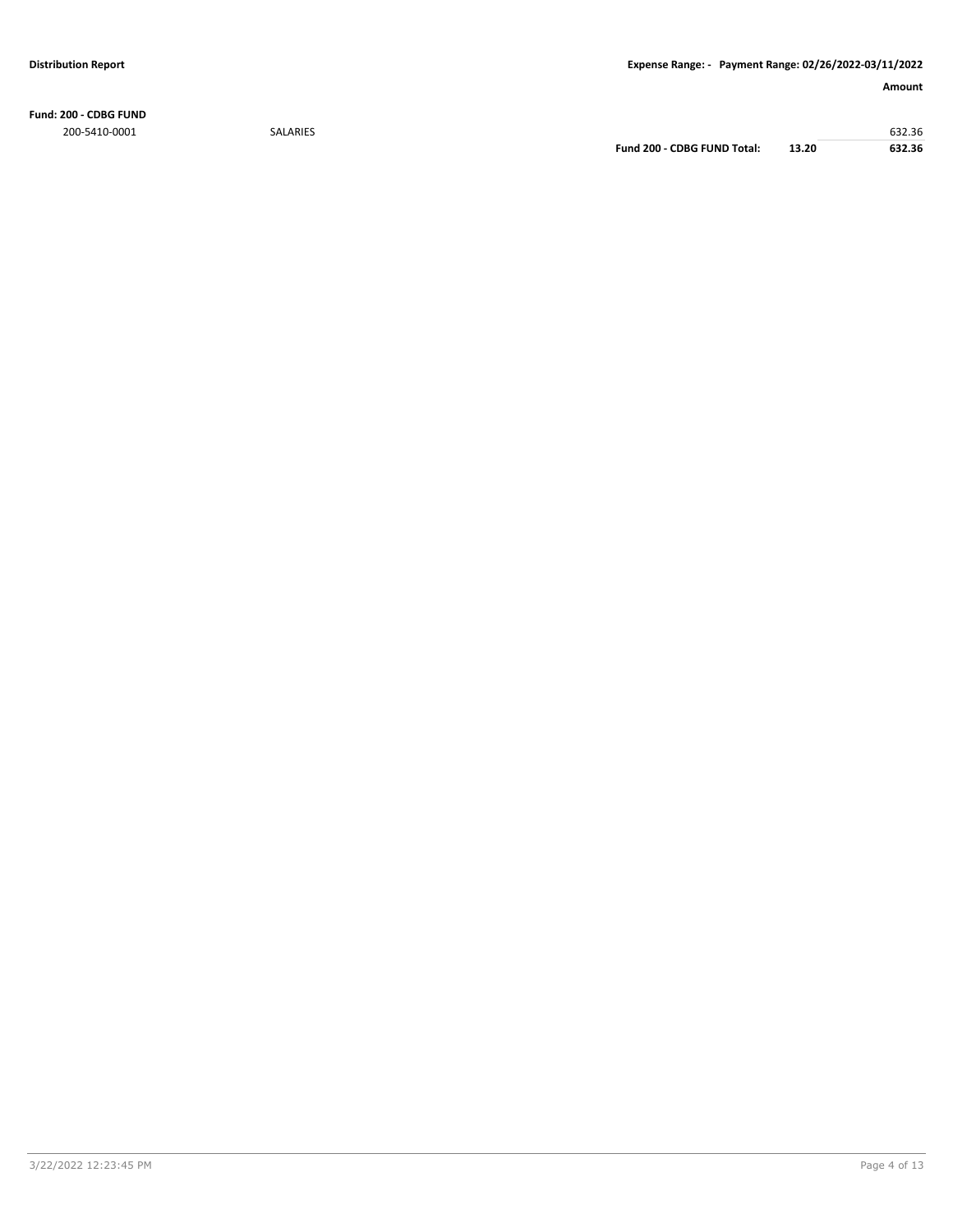**Fund: 200 - CDBG FUND** 200-5410-0001 SALARIES 632.36

**Fund 200 - CDBG FUND Total: 13.20 632.36**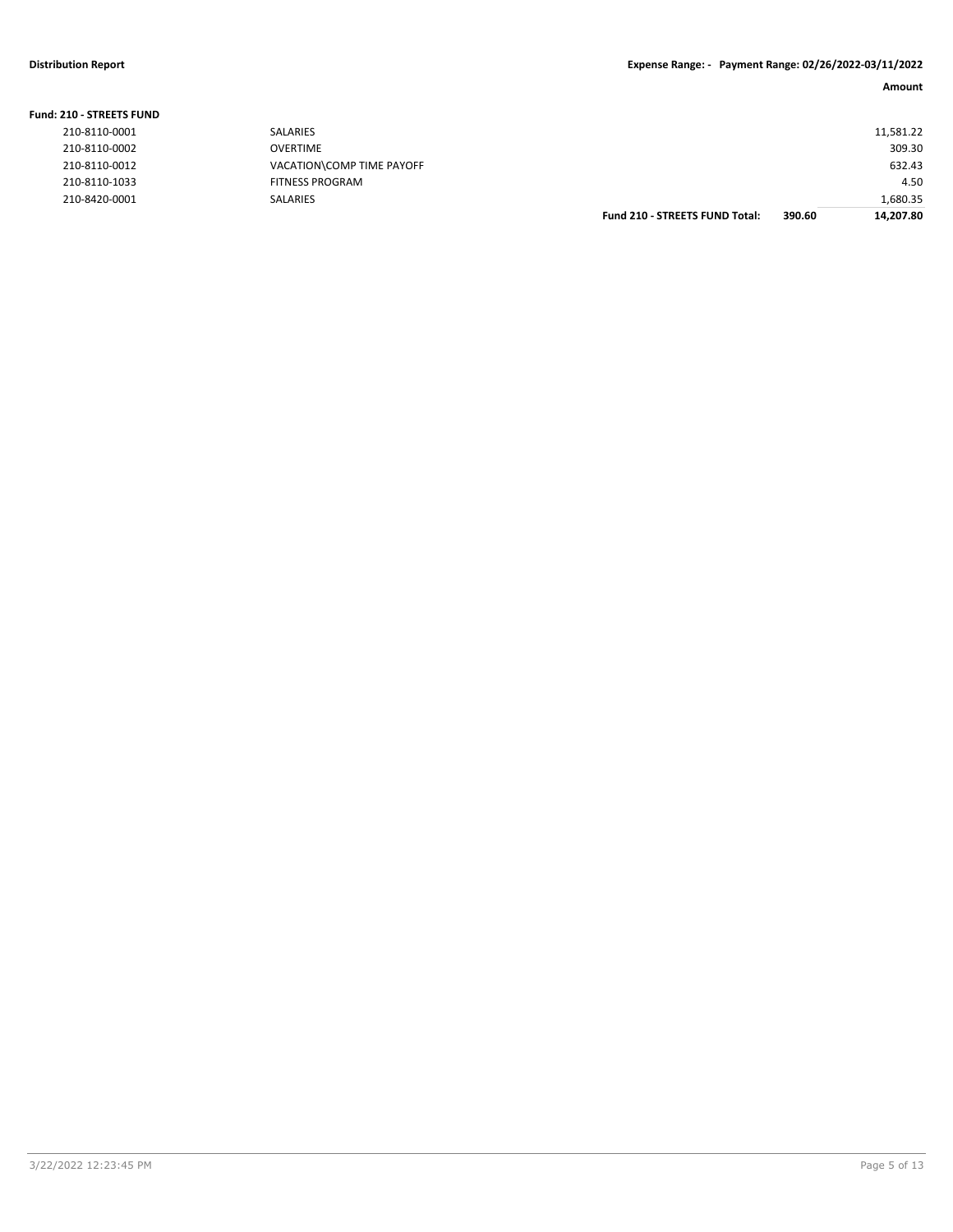| <b>Fund: 210 - STREETS FUND</b> |                           |                                       |        |           |
|---------------------------------|---------------------------|---------------------------------------|--------|-----------|
| 210-8110-0001                   | <b>SALARIES</b>           |                                       |        | 11,581.22 |
| 210-8110-0002                   | <b>OVERTIME</b>           |                                       |        | 309.30    |
| 210-8110-0012                   | VACATION\COMP TIME PAYOFF |                                       |        | 632.43    |
| 210-8110-1033                   | <b>FITNESS PROGRAM</b>    |                                       |        | 4.50      |
| 210-8420-0001                   | <b>SALARIES</b>           |                                       |        | 1,680.35  |
|                                 |                           | <b>Fund 210 - STREETS FUND Total:</b> | 390.60 | 14.207.80 |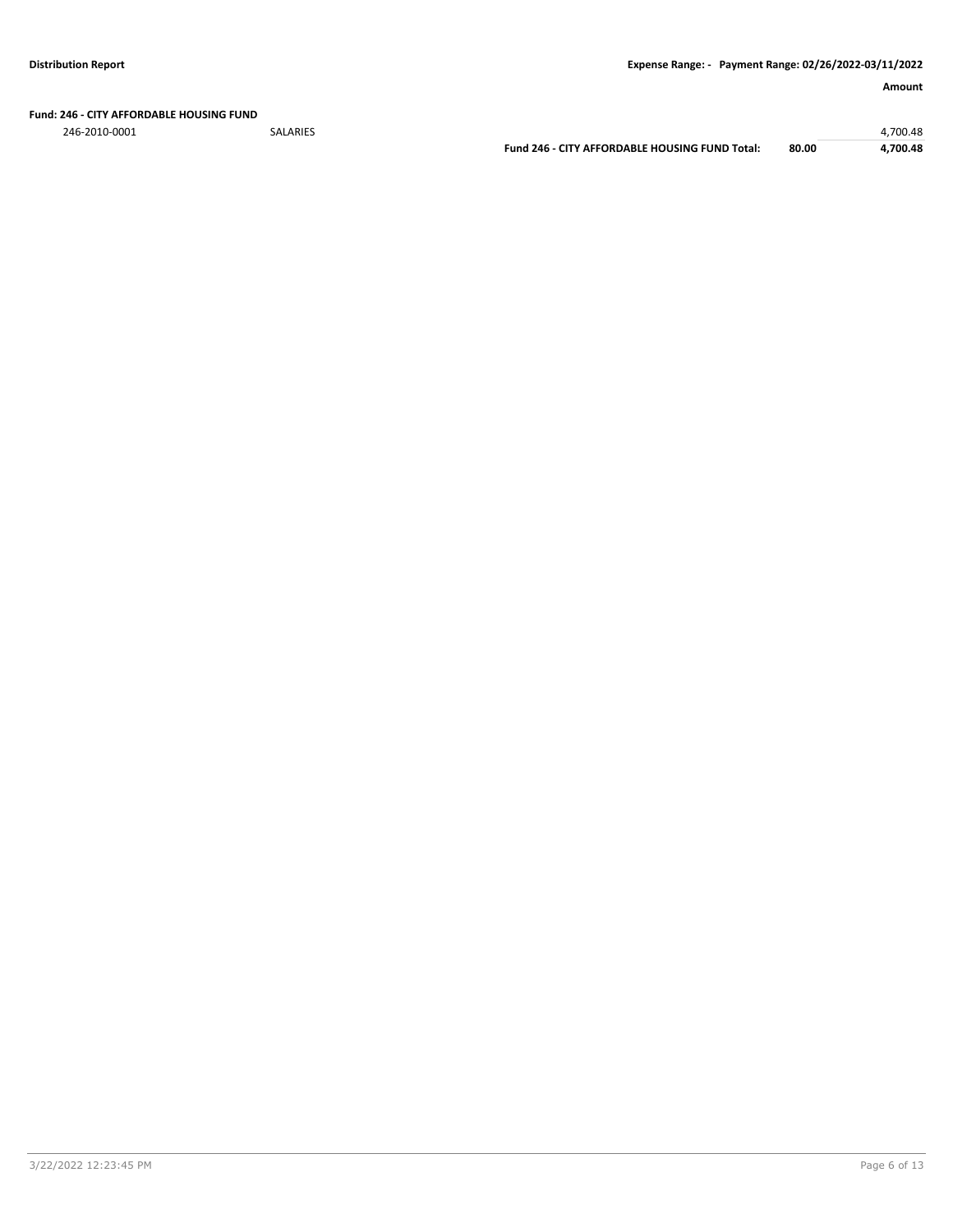### **Fund: 246 - CITY AFFORDABLE HOUSING FUND**

246-2010-0001 SALARIES 4,700.48

**Fund 246 - CITY AFFORDABLE HOUSING FUND Total: 80.00 4,700.48**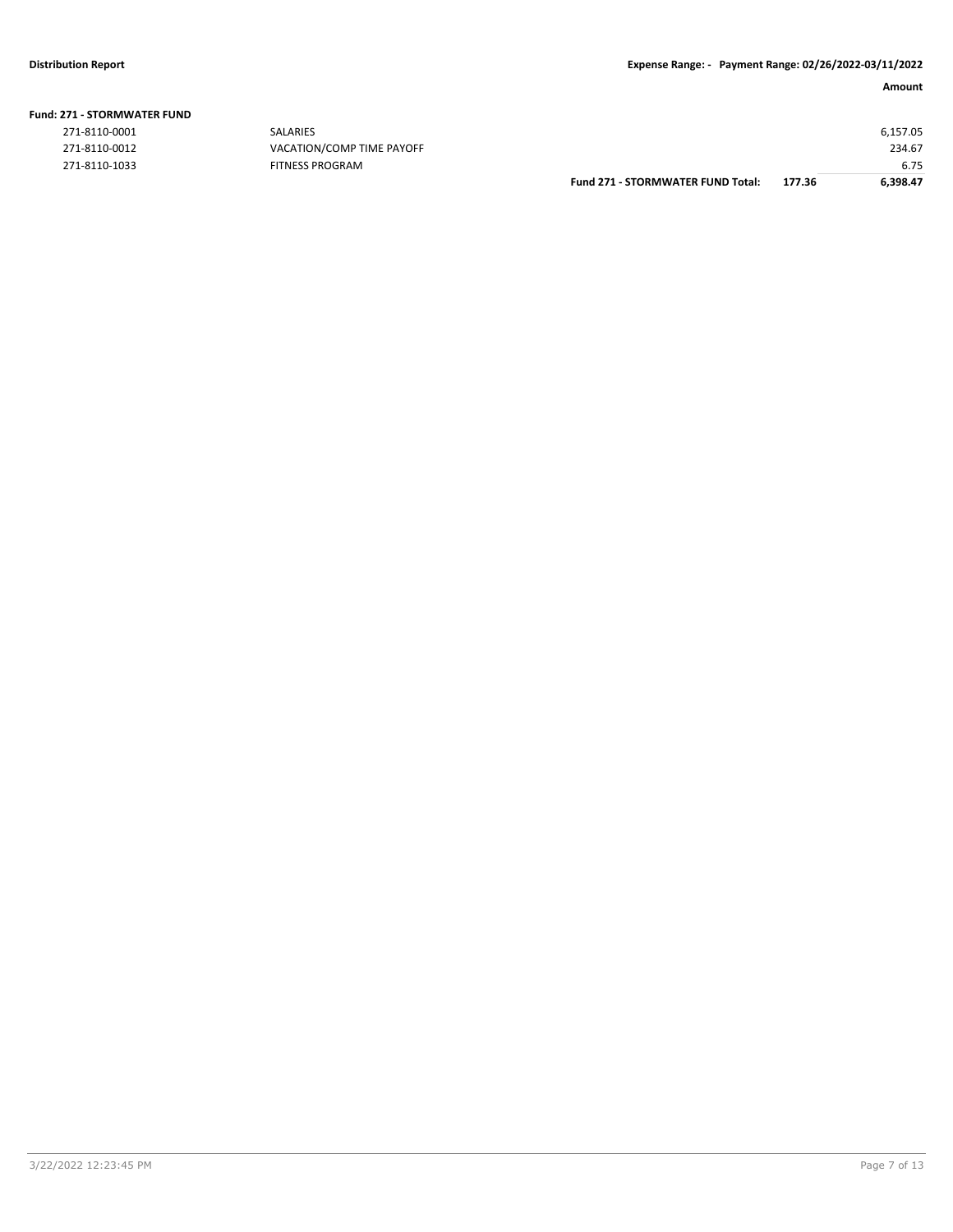| <b>Fund: 271 - STORMWATER FUND</b> |  |
|------------------------------------|--|
|                                    |  |

| 271-8110-0001 | SALARIES                  |                                          |        | 6,157.05 |
|---------------|---------------------------|------------------------------------------|--------|----------|
| 271-8110-0012 | VACATION/COMP TIME PAYOFF |                                          |        | 234.67   |
| 271-8110-1033 | <b>FITNESS PROGRAM</b>    |                                          |        | 6.75     |
|               |                           | <b>Fund 271 - STORMWATER FUND Total:</b> | 177.36 | 6,398.47 |
|               |                           |                                          |        |          |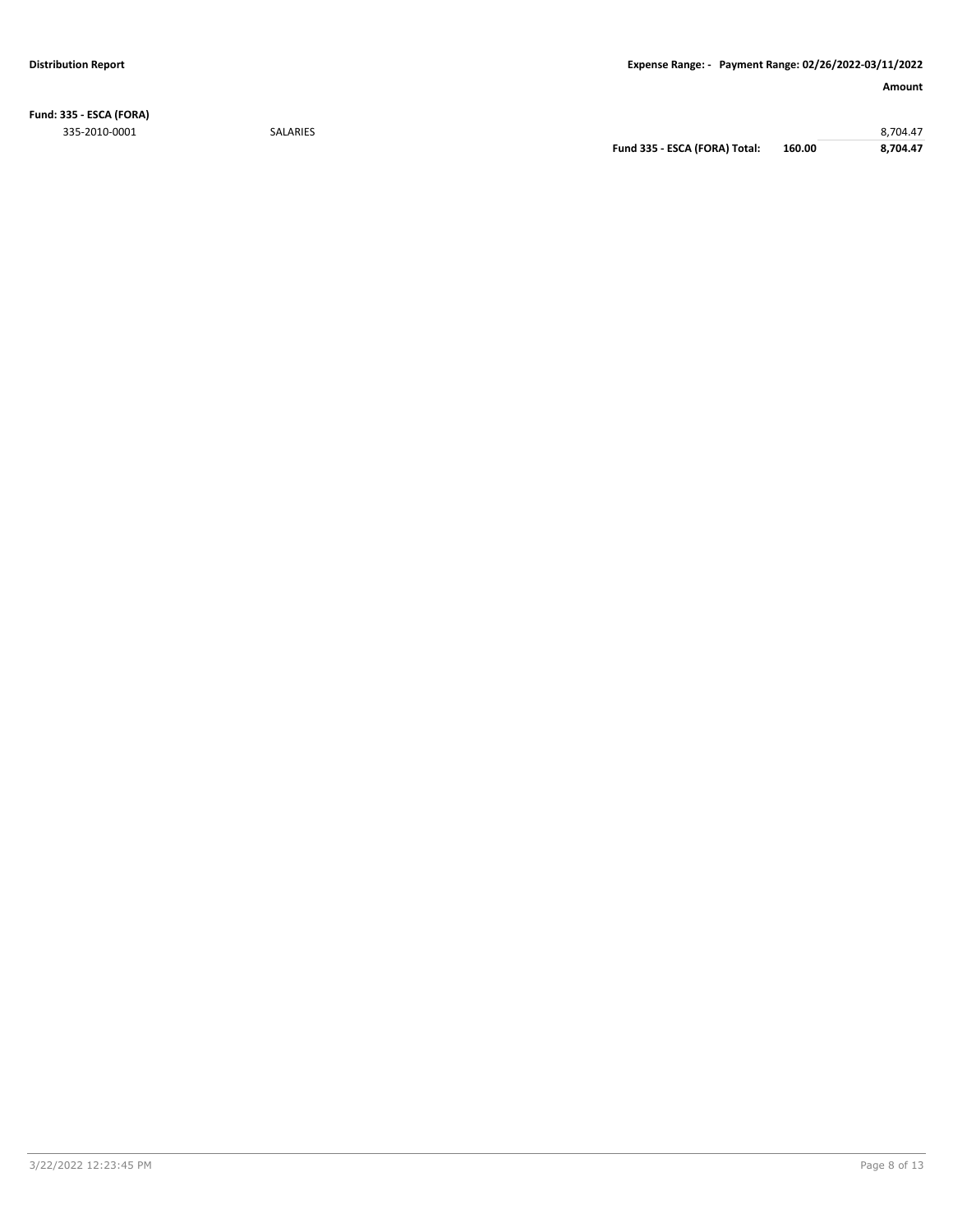**Fund: 335 - ESCA (FORA)** 335-2010-0001 SALARIES 8,704.47

**Fund 335 - ESCA (FORA) Total: 160.00 8,704.47**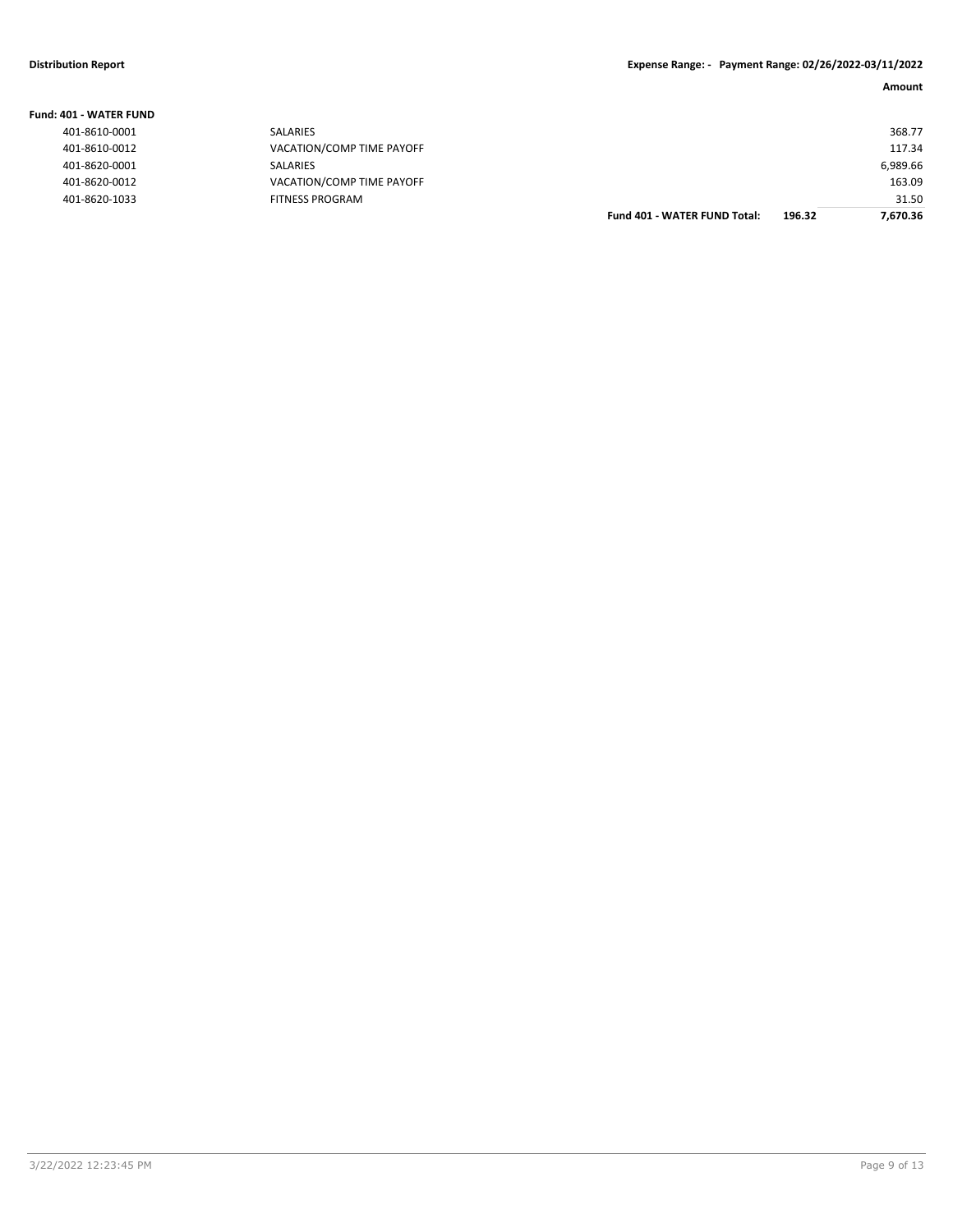| <b>Fund: 401 - WATER FUND</b> |                           |                                     |        |          |
|-------------------------------|---------------------------|-------------------------------------|--------|----------|
| 401-8610-0001                 | <b>SALARIES</b>           |                                     |        | 368.77   |
| 401-8610-0012                 | VACATION/COMP TIME PAYOFF |                                     |        | 117.34   |
| 401-8620-0001                 | <b>SALARIES</b>           |                                     |        | 6,989.66 |
| 401-8620-0012                 | VACATION/COMP TIME PAYOFF |                                     |        | 163.09   |
| 401-8620-1033                 | <b>FITNESS PROGRAM</b>    |                                     |        | 31.50    |
|                               |                           | <b>Fund 401 - WATER FUND Total:</b> | 196.32 | 7.670.36 |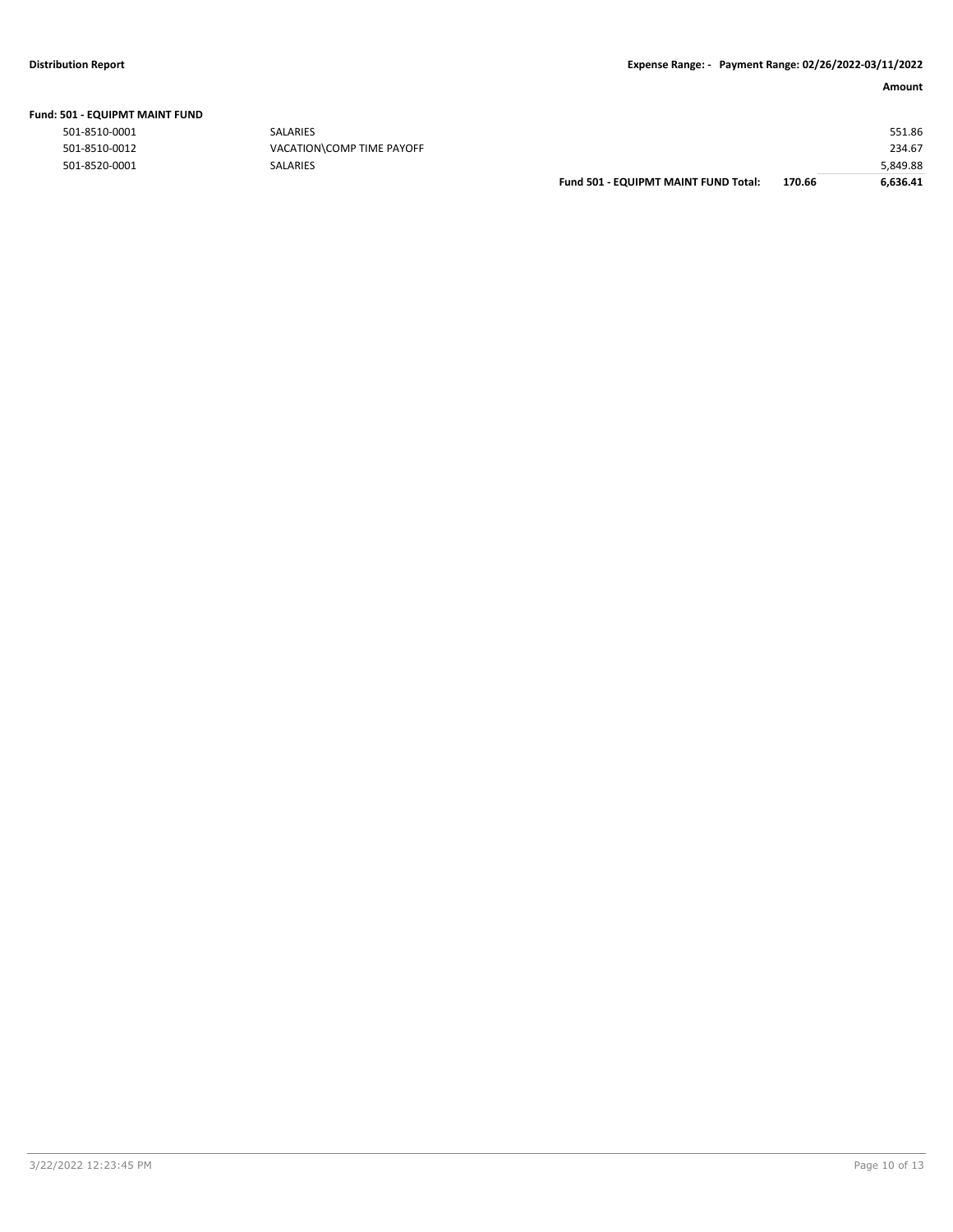|  |  | Fund: 501 - EQUIPMT MAINT FUND |  |  |
|--|--|--------------------------------|--|--|
|--|--|--------------------------------|--|--|

|               |                           | Fund 501 - EQUIPMT MAINT FUND Total: | 170.66 | 6.636.41 |
|---------------|---------------------------|--------------------------------------|--------|----------|
| 501-8520-0001 | <b>SALARIES</b>           |                                      |        | 5,849.88 |
| 501-8510-0012 | VACATION\COMP TIME PAYOFF |                                      |        | 234.67   |
| 501-8510-0001 | <b>SALARIES</b>           |                                      |        | 551.86   |
|               |                           |                                      |        |          |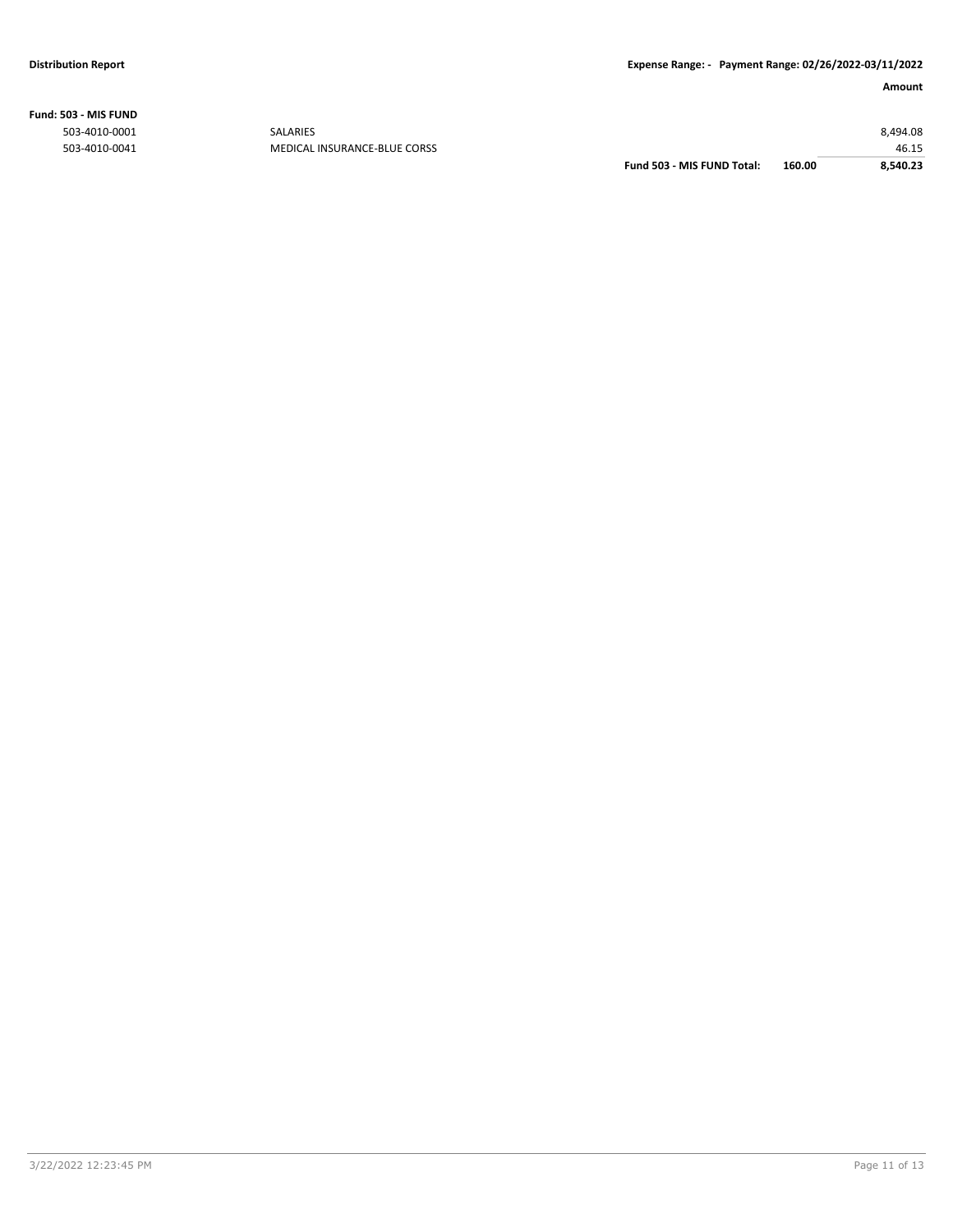**Fund: 503 - MIS FUND**

| Fund 503 - MIS FUND Total: | 160.00 | 8.540.23 |
|----------------------------|--------|----------|
|                            |        | 46.15    |
|                            |        | 8,494.08 |
|                            |        |          |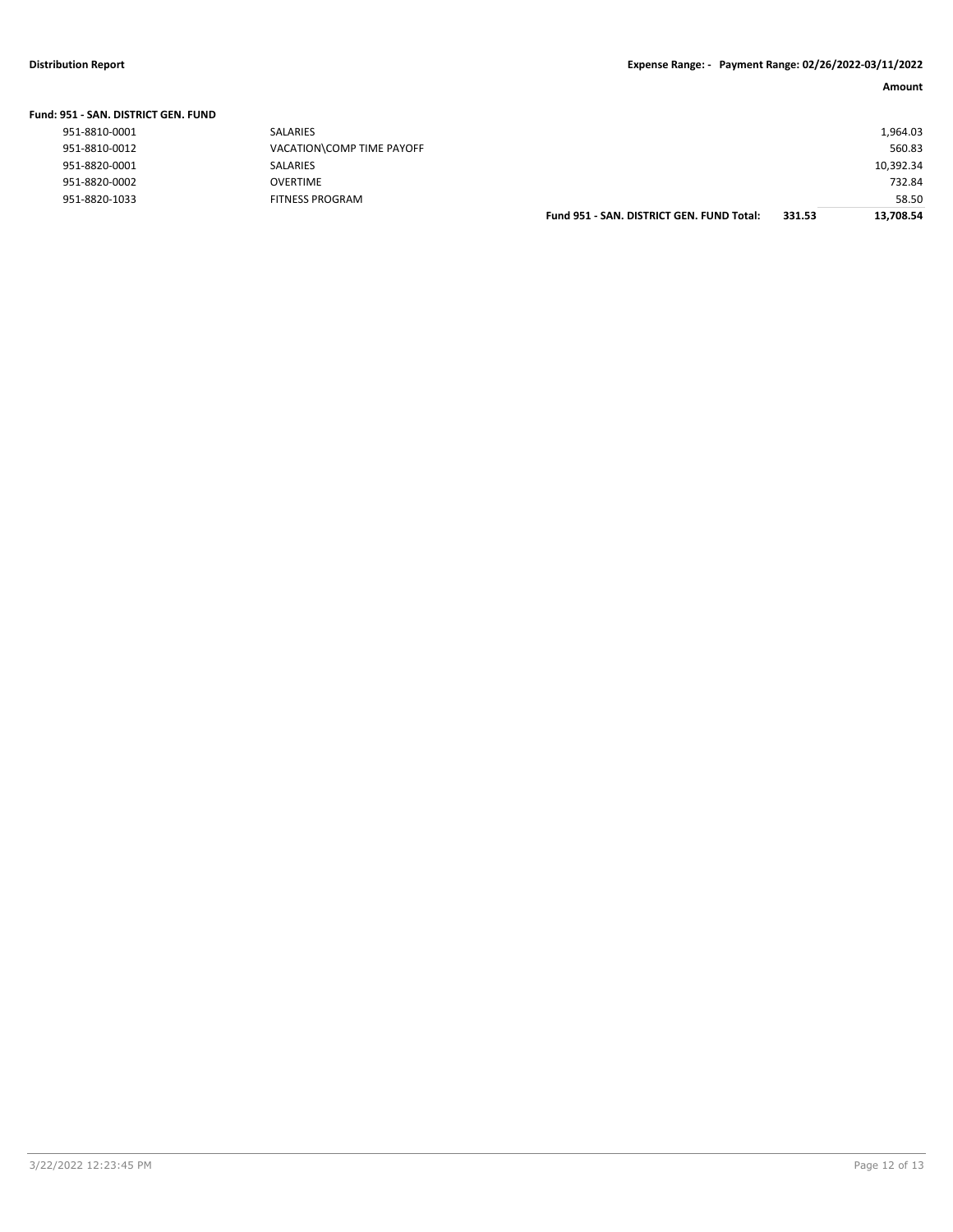| Fund: 951 - SAN, DISTRICT GEN, FUND |                           |                                           |        |           |
|-------------------------------------|---------------------------|-------------------------------------------|--------|-----------|
| 951-8810-0001                       | SALARIES                  |                                           |        | 1,964.03  |
| 951-8810-0012                       | VACATION\COMP TIME PAYOFF |                                           |        | 560.83    |
| 951-8820-0001                       | SALARIES                  |                                           |        | 10,392.34 |
| 951-8820-0002                       | <b>OVERTIME</b>           |                                           |        | 732.84    |
| 951-8820-1033                       | <b>FITNESS PROGRAM</b>    |                                           |        | 58.50     |
|                                     |                           | Fund 951 - SAN, DISTRICT GEN, FUND Total: | 331.53 | 13.708.54 |